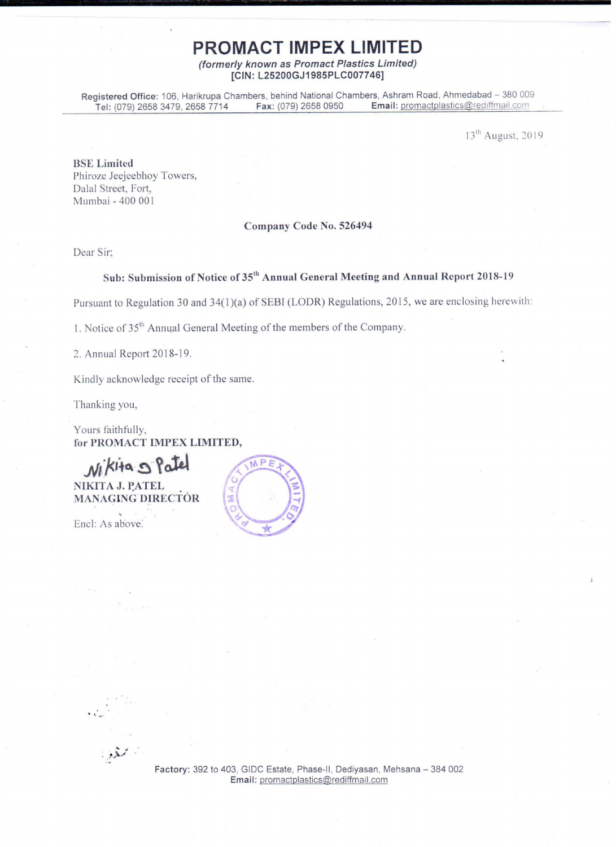# **PROMACT IMPEX LIMITED**  (formerly known as Promact Plastics Limited)

[CIN: L25200GJ1985PLC0077 46]

Registered Office: 106, Harikrupa Chambers, behind National Chambers, Ashram Road, Ahmedabad - 380 009<br>Tel: (079) 2658 3479, 2658 7714 Fax: (079) 2658 0950 Email: promactplastics@rediffmail.com Email: promactplastics@rediffmail.com

13<sup>th</sup> August, 2019

BSE Limited Phiroze Jeejeebhoy Towers, Dalal Street, Fort Mumbai - 400 001

# Company Code No. 526494

Dear Sir;

# Sub: Submission of Notice of 35<sup>th</sup> Annual General Meeting and Annual Report 2018-19

Pursuant to Regulation 30 and 34(1)(a) of SEBI (LODR) Regulations, 2015, we are enclosing herewith:

1. Notice of 35<sup>th</sup> Annual General Meeting of the members of the Company.

2. Annual Report 2018-19.

Kindly acknowledge receipt of the same.

Thanking you,

Yours faithfully, for PROMACT IMPEX LIMITED,

 $N$ *i* Kita 9 Patel NIKITA J. PATEL MANAGING' DIRECTOR

Encl: As above:

 $\cdot$   $\cdot$   $\cdot$ 

الىسى<br>سىمكىن

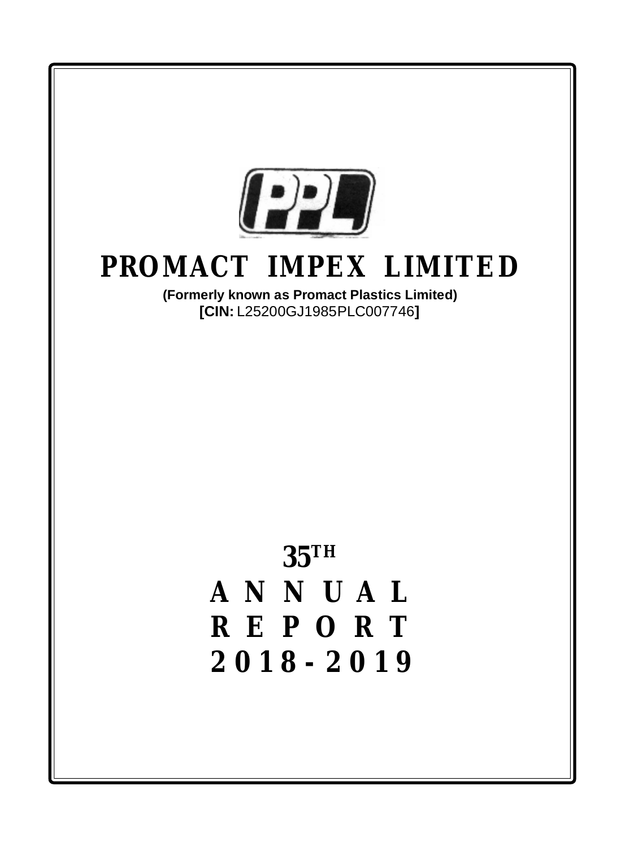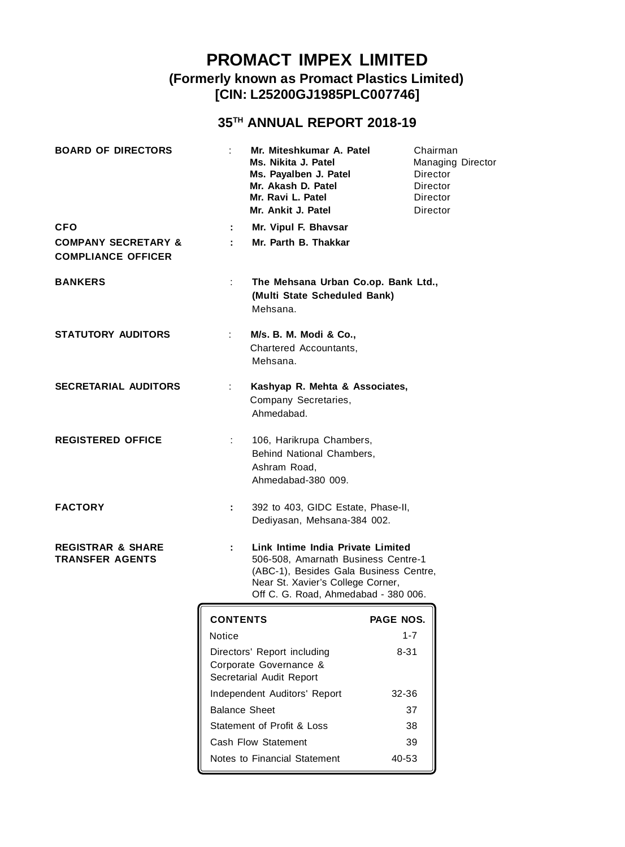# **PROMACT IMPEX LIMITED (Formerly known as Promact Plastics Limited) [CIN: L25200GJ1985PLC007746]**

# **TH 35 ANNUAL REPORT 2018-19**

| <b>BOARD OF DIRECTORS</b>                                   | ÷                    | Mr. Miteshkumar A. Patel<br>Ms. Nikita J. Patel<br>Ms. Payalben J. Patel<br>Mr. Akash D. Patel<br>Mr. Ravi L. Patel<br>Mr. Ankit J. Patel                                                       |           | Chairman<br><b>Managing Director</b><br>Director<br>Director<br>Director<br>Director |  |
|-------------------------------------------------------------|----------------------|-------------------------------------------------------------------------------------------------------------------------------------------------------------------------------------------------|-----------|--------------------------------------------------------------------------------------|--|
| <b>CFO</b>                                                  | ÷                    | Mr. Vipul F. Bhavsar                                                                                                                                                                            |           |                                                                                      |  |
| <b>COMPANY SECRETARY &amp;</b><br><b>COMPLIANCE OFFICER</b> | ÷                    | Mr. Parth B. Thakkar                                                                                                                                                                            |           |                                                                                      |  |
| <b>BANKERS</b>                                              | ÷                    | The Mehsana Urban Co.op. Bank Ltd.,<br>(Multi State Scheduled Bank)<br>Mehsana.                                                                                                                 |           |                                                                                      |  |
| <b>STATUTORY AUDITORS</b>                                   | ÷.                   | M/s. B. M. Modi & Co.,<br>Chartered Accountants,<br>Mehsana.                                                                                                                                    |           |                                                                                      |  |
| <b>SECRETARIAL AUDITORS</b>                                 | ÷                    | Kashyap R. Mehta & Associates,<br>Company Secretaries,<br>Ahmedabad.                                                                                                                            |           |                                                                                      |  |
| <b>REGISTERED OFFICE</b>                                    | ÷                    | 106, Harikrupa Chambers,<br>Behind National Chambers,<br>Ashram Road.<br>Ahmedabad-380 009.                                                                                                     |           |                                                                                      |  |
| <b>FACTORY</b>                                              | ÷                    | 392 to 403, GIDC Estate, Phase-II,<br>Dediyasan, Mehsana-384 002.                                                                                                                               |           |                                                                                      |  |
| <b>REGISTRAR &amp; SHARE</b><br><b>TRANSFER AGENTS</b>      | ÷                    | Link Intime India Private Limited<br>506-508, Amarnath Business Centre-1<br>(ABC-1), Besides Gala Business Centre,<br>Near St. Xavier's College Corner,<br>Off C. G. Road, Ahmedabad - 380 006. |           |                                                                                      |  |
|                                                             | <b>CONTENTS</b>      |                                                                                                                                                                                                 | PAGE NOS. |                                                                                      |  |
|                                                             | Notice               |                                                                                                                                                                                                 | $1 - 7$   |                                                                                      |  |
|                                                             |                      | Directors' Report including<br>Corporate Governance &<br>Secretarial Audit Report                                                                                                               | $8 - 31$  |                                                                                      |  |
|                                                             |                      | Independent Auditors' Report                                                                                                                                                                    | 32-36     |                                                                                      |  |
|                                                             | <b>Balance Sheet</b> |                                                                                                                                                                                                 | 37        |                                                                                      |  |
|                                                             |                      | Statement of Profit & Loss                                                                                                                                                                      | 38        |                                                                                      |  |
|                                                             |                      | Cash Flow Statement                                                                                                                                                                             | 39        |                                                                                      |  |
|                                                             |                      | Notes to Financial Statement                                                                                                                                                                    | 40-53     |                                                                                      |  |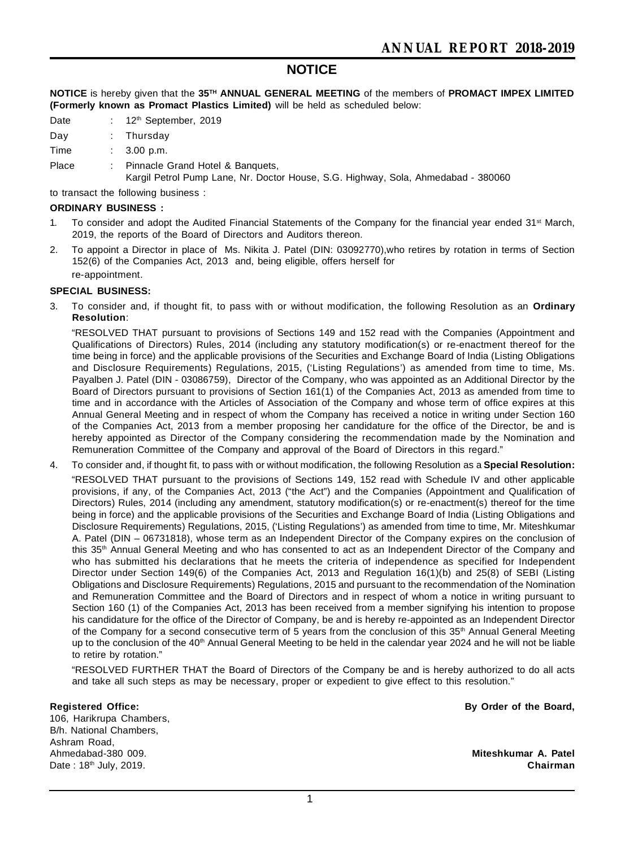# **NOTICE**

**NO TH TICE** is hereby given that the **35 ANNUAL GENERAL MEETING** of the members of **PROMACT IMPEX LIMITED (Formerly known as Promact Plastics Limited)** will be held as scheduled below:

Date : 12<sup>th</sup> September, 2019

Day : Thursday

Time : 3.00 p.m.

Place : Pinnacle Grand Hotel & Banquets,

Kargil Petrol Pump Lane, Nr. Doctor House, S.G. Highway, Sola, Ahmedabad - 380060

to transact the following business :

#### **ORDINARY BUSINESS :**

- 1. To consider and adopt the Audited Financial Statements of the Company for the financial year ended 31<sup>st</sup> March, 2019, the reports of the Board of Directors and Auditors thereon.
- 2. To appoint a Director in place of Ms. Nikita J. Patel (DIN: 03092770),who retires by rotation in terms of Section 152(6) of the Companies Act, 2013 and, being eligible, offers herself for

re-appointment.

#### **SPECIAL BUSINESS:**

3. To consider and, if thought fit, to pass with or without modification, the following Resolution as an **Ordinary Resolution**:

"RESOLVED THAT pursuant to provisions of Sections 149 and 152 read with the Companies (Appointment and Qualifications of Directors) Rules, 2014 (including any statutory modification(s) or re-enactment thereof for the time being in force) and the applicable provisions of the Securities and Exchange Board of India (Listing Obligations and Disclosure Requirements) Regulations, 2015, ('Listing Regulations') as amended from time to time, Ms. Payalben J. Patel (DIN - 03086759), Director of the Company, who was appointed as an Additional Director by the Board of Directors pursuant to provisions of Section 161(1) of the Companies Act, 2013 as amended from time to time and in accordance with the Articles of Association of the Company and whose term of office expires at this Annual General Meeting and in respect of whom the Company has received a notice in writing under Section 160 of the Companies Act, 2013 from a member proposing her candidature for the office of the Director, be and is hereby appointed as Director of the Company considering the recommendation made by the Nomination and Remuneration Committee of the Company and approval of the Board of Directors in this regard."

4. To consider and, if thought fit, to pass with or without modification, the following Resolution as a **Special Resolution:**

"RESOLVED THAT pursuant to the provisions of Sections 149, 152 read with Schedule IV and other applicable provisions, if any, of the Companies Act, 2013 ("the Act") and the Companies (Appointment and Qualification of Directors) Rules, 2014 (including any amendment, statutory modification(s) or re-enactment(s) thereof for the time being in force) and the applicable provisions of the Securities and Exchange Board of India (Listing Obligations and Disclosure Requirements) Regulations, 2015, ('Listing Regulations') as amended from time to time, Mr. Miteshkumar A. Patel (DIN – 06731818), whose term as an Independent Director of the Company expires on the conclusion of this 35<sup>th</sup> Annual General Meeting and who has consented to act as an Independent Director of the Company and who has submitted his declarations that he meets the criteria of independence as specified for Independent Director under Section 149(6) of the Companies Act, 2013 and Regulation 16(1)(b) and 25(8) of SEBI (Listing Obligations and Disclosure Requirements) Regulations, 2015 and pursuant to the recommendation of the Nomination and Remuneration Committee and the Board of Directors and in respect of whom a notice in writing pursuant to Section 160 (1) of the Companies Act, 2013 has been received from a member signifying his intention to propose his candidature for the office of the Director of Company, be and is hereby re-appointed as an Independent Director of the Company for a second consecutive term of 5 years from the conclusion of this 35<sup>th</sup> Annual General Meeting up to the conclusion of the 40<sup>th</sup> Annual General Meeting to be held in the calendar year 2024 and he will not be liable to retire by rotation."

"RESOLVED FURTHER THAT the Board of Directors of the Company be and is hereby authorized to do all acts and take all such steps as may be necessary, proper or expedient to give effect to this resolution."

106, Harikrupa Chambers, B/h. National Chambers, Ashram Road, Ahmedabad-380 009. **Miteshkumar A. Patel** Date : 18<sup>th</sup> July, 2019. **Chairman** 

**Registered Office: By Order of the Board,**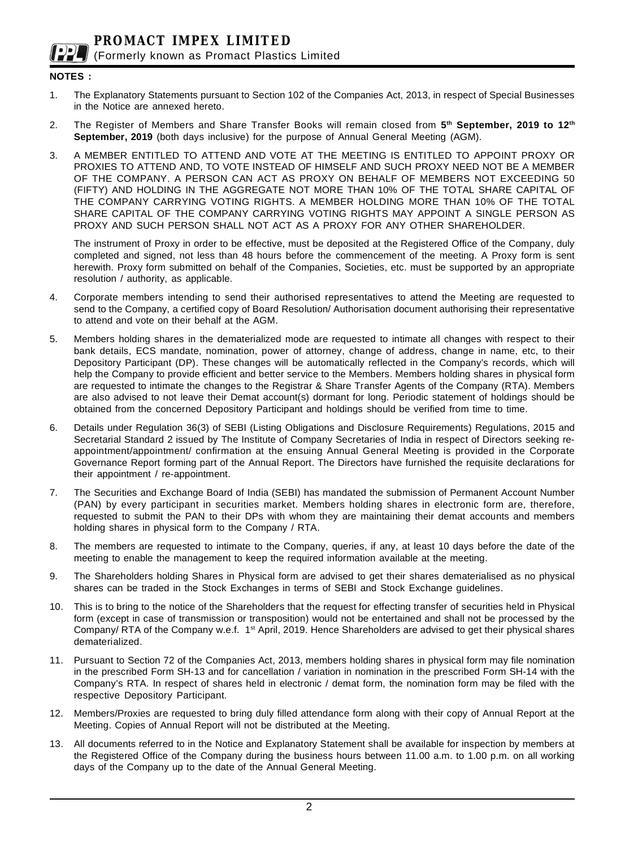

#### **NOTES :**

- 1. The Explanatory Statements pursuant to Section 102 of the Companies Act, 2013, in respect of Special Businesses in the Notice are annexed hereto.
- 2. The Register of Members and Share Transfer Books will remain closed from 5<sup>th</sup> September, 2019 to 12<sup>th</sup> **September, 2019** (both days inclusive) for the purpose of Annual General Meeting (AGM).
- 3. A MEMBER ENTITLED TO ATTEND AND VOTE AT THE MEETING IS ENTITLED TO APPOINT PROXY OR PROXIES TO ATTEND AND, TO VOTE INSTEAD OF HIMSELF AND SUCH PROXY NEED NOT BE A MEMBER OF THE COMPANY. A PERSON CAN ACT AS PROXY ON BEHALF OF MEMBERS NOT EXCEEDING 50 (FIFTY) AND HOLDING IN THE AGGREGATE NOT MORE THAN 10% OF THE TOTAL SHARE CAPITAL OF THE COMPANY CARRYING VOTING RIGHTS. A MEMBER HOLDING MORE THAN 10% OF THE TOTAL SHARE CAPITAL OF THE COMPANY CARRYING VOTING RIGHTS MAY APPOINT A SINGLE PERSON AS PROXY AND SUCH PERSON SHALL NOT ACT AS A PROXY FOR ANY OTHER SHAREHOLDER.

The instrument of Proxy in order to be effective, must be deposited at the Registered Office of the Company, duly completed and signed, not less than 48 hours before the commencement of the meeting. A Proxy form is sent herewith. Proxy form submitted on behalf of the Companies, Societies, etc. must be supported by an appropriate resolution / authority, as applicable.

- 4. Corporate members intending to send their authorised representatives to attend the Meeting are requested to send to the Company, a certified copy of Board Resolution/ Authorisation document authorising their representative to attend and vote on their behalf at the AGM.
- 5. Members holding shares in the dematerialized mode are requested to intimate all changes with respect to their bank details, ECS mandate, nomination, power of attorney, change of address, change in name, etc, to their Depository Participant (DP). These changes will be automatically reflected in the Company's records, which will help the Company to provide efficient and better service to the Members. Members holding shares in physical form are requested to intimate the changes to the Registrar & Share Transfer Agents of the Company (RTA). Members are also advised to not leave their Demat account(s) dormant for long. Periodic statement of holdings should be obtained from the concerned Depository Participant and holdings should be verified from time to time.
- 6. Details under Regulation 36(3) of SEBI (Listing Obligations and Disclosure Requirements) Regulations, 2015 and Secretarial Standard 2 issued by The Institute of Company Secretaries of India in respect of Directors seeking reappointment/appointment/ confirmation at the ensuing Annual General Meeting is provided in the Corporate Governance Report forming part of the Annual Report. The Directors have furnished the requisite declarations for their appointment / re-appointment.
- 7. The Securities and Exchange Board of India (SEBI) has mandated the submission of Permanent Account Number (PAN) by every participant in securities market. Members holding shares in electronic form are, therefore, requested to submit the PAN to their DPs with whom they are maintaining their demat accounts and members holding shares in physical form to the Company / RTA.
- 8. The members are requested to intimate to the Company, queries, if any, at least 10 days before the date of the meeting to enable the management to keep the required information available at the meeting.
- 9. The Shareholders holding Shares in Physical form are advised to get their shares dematerialised as no physical shares can be traded in the Stock Exchanges in terms of SEBI and Stock Exchange guidelines.
- 10. This is to bring to the notice of the Shareholders that the request for effecting transfer of securities held in Physical form (except in case of transmission or transposition) would not be entertained and shall not be processed by the Company/ RTA of the Company w.e.f. 1<sup>st</sup> April, 2019. Hence Shareholders are advised to get their physical shares dematerialized.
- 11. Pursuant to Section 72 of the Companies Act, 2013, members holding shares in physical form may file nomination in the prescribed Form SH-13 and for cancellation / variation in nomination in the prescribed Form SH-14 with the Company's RTA. In respect of shares held in electronic / demat form, the nomination form may be filed with the respective Depository Participant.
- 12. Members/Proxies are requested to bring duly filled attendance form along with their copy of Annual Report at the Meeting. Copies of Annual Report will not be distributed at the Meeting.
- 13. All documents referred to in the Notice and Explanatory Statement shall be available for inspection by members at the Registered Office of the Company during the business hours between 11.00 a.m. to 1.00 p.m. on all working days of the Company up to the date of the Annual General Meeting.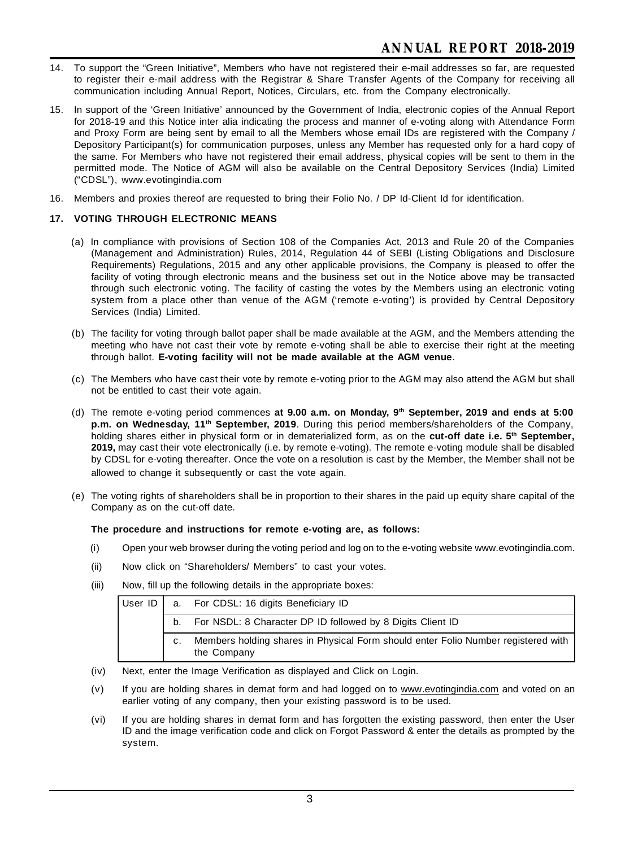- 14. To support the "Green Initiative", Members who have not registered their e-mail addresses so far, are requested to register their e-mail address with the Registrar & Share Transfer Agents of the Company for receiving all communication including Annual Report, Notices, Circulars, etc. from the Company electronically.
- 15. In support of the 'Green Initiative' announced by the Government of India, electronic copies of the Annual Report for 2018-19 and this Notice inter alia indicating the process and manner of e-voting along with Attendance Form and Proxy Form are being sent by email to all the Members whose email IDs are registered with the Company / Depository Participant(s) for communication purposes, unless any Member has requested only for a hard copy of the same. For Members who have not registered their email address, physical copies will be sent to them in the permitted mode. The Notice of AGM will also be available on the Central Depository Services (India) Limited ("CDSL"), www.evotingindia.com
- 16. Members and proxies thereof are requested to bring their Folio No. / DP Id-Client Id for identification.

#### **17. VOTING THROUGH ELECTRONIC MEANS**

- (a) In compliance with provisions of Section 108 of the Companies Act, 2013 and Rule 20 of the Companies (Management and Administration) Rules, 2014, Regulation 44 of SEBI (Listing Obligations and Disclosure Requirements) Regulations, 2015 and any other applicable provisions, the Company is pleased to offer the facility of voting through electronic means and the business set out in the Notice above may be transacted through such electronic voting. The facility of casting the votes by the Members using an electronic voting system from a place other than venue of the AGM ('remote e-voting') is provided by Central Depository Services (India) Limited.
- (b) The facility for voting through ballot paper shall be made available at the AGM, and the Members attending the meeting who have not cast their vote by remote e-voting shall be able to exercise their right at the meeting through ballot. **E-voting facility will not be made available at the AGM venue**.
- (c) The Members who have cast their vote by remote e-voting prior to the AGM may also attend the AGM but shall not be entitled to cast their vote again.
- **th** (d) The remote e-voting period commences **at 9.00 a.m. on Monday, 9 September, 2019 and ends at 5:00 th p.m. on Wednesday, 11 September, 2019**. During this period members/shareholders of the Company, **th** holding shares either in physical form or in dematerialized form, as on the **cut-off date i.e. 5 September, 2019,** may cast their vote electronically (i.e. by remote e-voting). The remote e-voting module shall be disabled by CDSL for e-voting thereafter. Once the vote on a resolution is cast by the Member, the Member shall not be allowed to change it subsequently or cast the vote again.
- (e) The voting rights of shareholders shall be in proportion to their shares in the paid up equity share capital of the Company as on the cut-off date.

#### **The procedure and instructions for remote e-voting are, as follows:**

- (i) Open your web browser during the voting period and log on to the e-voting website www.evotingindia.com.
- (ii) Now click on "Shareholders/ Members" to cast your votes.
- (iii) Now, fill up the following details in the appropriate boxes:

| User ID |    | a. For CDSL: 16 digits Beneficiary ID                                                            |
|---------|----|--------------------------------------------------------------------------------------------------|
|         | b. | For NSDL: 8 Character DP ID followed by 8 Digits Client ID                                       |
|         | c. | Members holding shares in Physical Form should enter Folio Number registered with<br>the Company |

- (iv) Next, enter the Image Verification as displayed and Click on Login.
- (v) If you are holding shares in demat form and had logged on to www.evotingindia.com and voted on an earlier voting of any company, then your existing password is to be used.
- (vi) If you are holding shares in demat form and has forgotten the existing password, then enter the User ID and the image verification code and click on Forgot Password & enter the details as prompted by the system.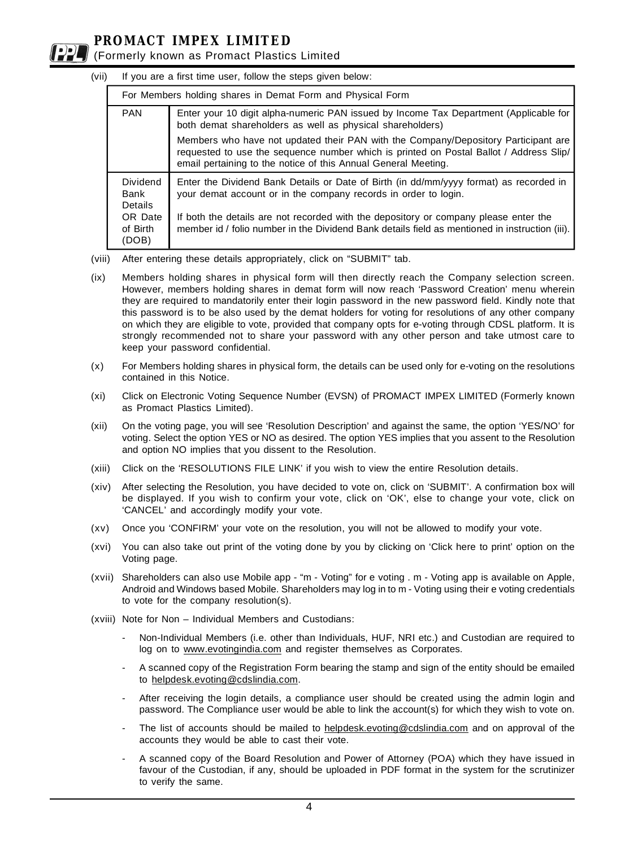**PROMACT IMPEX LIMITED**

(Formerly known as Promact Plastics Limited

(vii) If you are a first time user, follow the steps given below:

|                                    | For Members holding shares in Demat Form and Physical Form                                                                                                                                                                                     |  |  |  |  |
|------------------------------------|------------------------------------------------------------------------------------------------------------------------------------------------------------------------------------------------------------------------------------------------|--|--|--|--|
| <b>PAN</b>                         | Enter your 10 digit alpha-numeric PAN issued by Income Tax Department (Applicable for<br>both demat shareholders as well as physical shareholders)                                                                                             |  |  |  |  |
|                                    | Members who have not updated their PAN with the Company/Depository Participant are<br>requested to use the sequence number which is printed on Postal Ballot / Address Slip/<br>email pertaining to the notice of this Annual General Meeting. |  |  |  |  |
| Dividend<br>Bank<br><b>Details</b> | Enter the Dividend Bank Details or Date of Birth (in dd/mm/yyyy format) as recorded in<br>your demat account or in the company records in order to login.                                                                                      |  |  |  |  |
| OR Date<br>of Birth<br>(DOB)       | If both the details are not recorded with the depository or company please enter the<br>member id / folio number in the Dividend Bank details field as mentioned in instruction (iii).                                                         |  |  |  |  |

- (viii) After entering these details appropriately, click on "SUBMIT" tab.
- (ix) Members holding shares in physical form will then directly reach the Company selection screen. However, members holding shares in demat form will now reach 'Password Creation' menu wherein they are required to mandatorily enter their login password in the new password field. Kindly note that this password is to be also used by the demat holders for voting for resolutions of any other company on which they are eligible to vote, provided that company opts for e-voting through CDSL platform. It is strongly recommended not to share your password with any other person and take utmost care to keep your password confidential.
- (x) For Members holding shares in physical form, the details can be used only for e-voting on the resolutions contained in this Notice.
- (xi) Click on Electronic Voting Sequence Number (EVSN) of PROMACT IMPEX LIMITED (Formerly known as Promact Plastics Limited).
- (xii) On the voting page, you will see 'Resolution Description' and against the same, the option 'YES/NO' for voting. Select the option YES or NO as desired. The option YES implies that you assent to the Resolution and option NO implies that you dissent to the Resolution.
- (xiii) Click on the 'RESOLUTIONS FILE LINK' if you wish to view the entire Resolution details.
- (xiv) After selecting the Resolution, you have decided to vote on, click on 'SUBMIT'. A confirmation box will be displayed. If you wish to confirm your vote, click on 'OK', else to change your vote, click on 'CANCEL' and accordingly modify your vote.
- (xv) Once you 'CONFIRM' your vote on the resolution, you will not be allowed to modify your vote.
- (xvi) You can also take out print of the voting done by you by clicking on 'Click here to print' option on the Voting page.
- (xvii) Shareholders can also use Mobile app "m Voting" for e voting . m Voting app is available on Apple, Android and Windows based Mobile. Shareholders may log in to m - Voting using their e voting credentials to vote for the company resolution(s).
- (xviii) Note for Non Individual Members and Custodians:
	- Non-Individual Members (i.e. other than Individuals, HUF, NRI etc.) and Custodian are required to log on to www.evotingindia.com and register themselves as Corporates.
	- A scanned copy of the Registration Form bearing the stamp and sign of the entity should be emailed to helpdesk.evoting@cdslindia.com.
	- After receiving the login details, a compliance user should be created using the admin login and password. The Compliance user would be able to link the account(s) for which they wish to vote on.
	- The list of accounts should be mailed to helpdesk.evoting@cdslindia.com and on approval of the accounts they would be able to cast their vote.
	- A scanned copy of the Board Resolution and Power of Attorney (POA) which they have issued in favour of the Custodian, if any, should be uploaded in PDF format in the system for the scrutinizer to verify the same.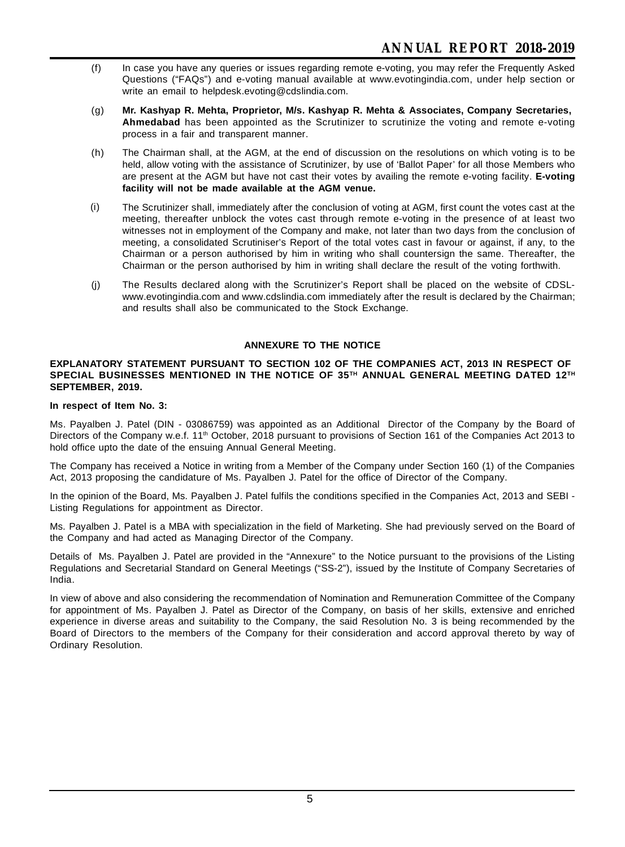- (f) In case you have any queries or issues regarding remote e-voting, you may refer the Frequently Asked Questions ("FAQs") and e-voting manual available at www.evotingindia.com, under help section or write an email to helpdesk.evoting@cdslindia.com.
- (g) **Mr. Kashyap R. Mehta, Proprietor, M/s. Kashyap R. Mehta & Associates, Company Secretaries, Ahmedabad** has been appointed as the Scrutinizer to scrutinize the voting and remote e-voting process in a fair and transparent manner.
- (h) The Chairman shall, at the AGM, at the end of discussion on the resolutions on which voting is to be held, allow voting with the assistance of Scrutinizer, by use of 'Ballot Paper' for all those Members who are present at the AGM but have not cast their votes by availing the remote e-voting facility. **E-voting facility will not be made available at the AGM venue.**
- (i) The Scrutinizer shall, immediately after the conclusion of voting at AGM, first count the votes cast at the meeting, thereafter unblock the votes cast through remote e-voting in the presence of at least two witnesses not in employment of the Company and make, not later than two days from the conclusion of meeting, a consolidated Scrutiniser's Report of the total votes cast in favour or against, if any, to the Chairman or a person authorised by him in writing who shall countersign the same. Thereafter, the Chairman or the person authorised by him in writing shall declare the result of the voting forthwith.
- (j) The Results declared along with the Scrutinizer's Report shall be placed on the website of CDSLwww.evotingindia.com and www.cdslindia.com immediately after the result is declared by the Chairman; and results shall also be communicated to the Stock Exchange.

#### **ANNEXURE TO THE NOTICE**

#### **EXPLANATORY STATEMENT PURSUANT TO SECTION 102 OF THE COMPANIES ACT, 2013 IN RESPECT OF TH TH SPECIAL BUSINESSES MENTIONED IN THE NOTICE OF 35 ANNUAL GENERAL MEETING DATED 12 SEPTEMBER, 2019.**

#### **In respect of Item No. 3:**

Ms. Payalben J. Patel (DIN - 03086759) was appointed as an Additional Director of the Company by the Board of Directors of the Company w.e.f. 11<sup>th</sup> October, 2018 pursuant to provisions of Section 161 of the Companies Act 2013 to hold office upto the date of the ensuing Annual General Meeting.

The Company has received a Notice in writing from a Member of the Company under Section 160 (1) of the Companies Act, 2013 proposing the candidature of Ms. Payalben J. Patel for the office of Director of the Company.

In the opinion of the Board, Ms. Payalben J. Patel fulfils the conditions specified in the Companies Act, 2013 and SEBI - Listing Regulations for appointment as Director.

Ms. Payalben J. Patel is a MBA with specialization in the field of Marketing. She had previously served on the Board of the Company and had acted as Managing Director of the Company.

Details of Ms. Payalben J. Patel are provided in the "Annexure" to the Notice pursuant to the provisions of the Listing Regulations and Secretarial Standard on General Meetings ("SS-2"), issued by the Institute of Company Secretaries of India.

In view of above and also considering the recommendation of Nomination and Remuneration Committee of the Company for appointment of Ms. Payalben J. Patel as Director of the Company, on basis of her skills, extensive and enriched experience in diverse areas and suitability to the Company, the said Resolution No. 3 is being recommended by the Board of Directors to the members of the Company for their consideration and accord approval thereto by way of Ordinary Resolution.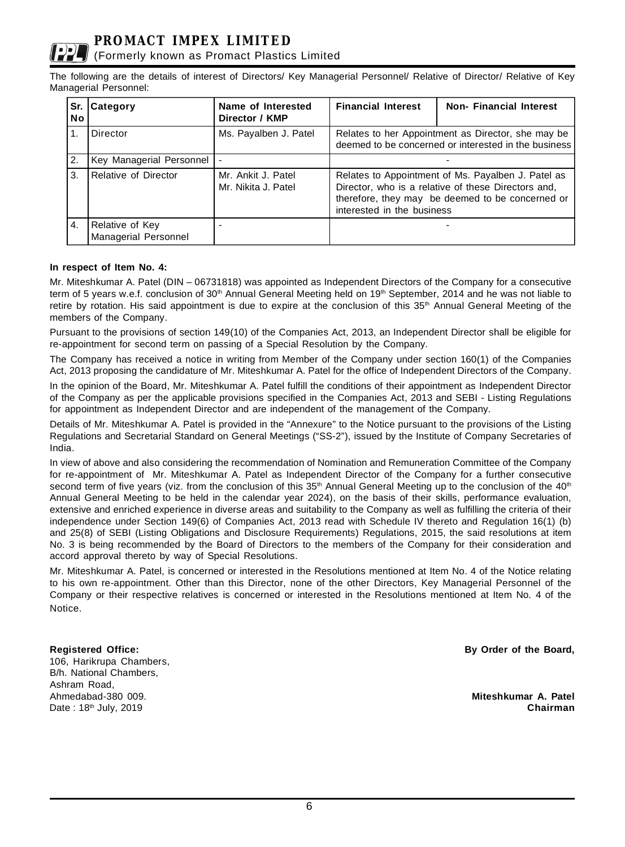

The following are the details of interest of Directors/ Key Managerial Personnel/ Relative of Director/ Relative of Key Managerial Personnel:

| No | Sr. Category                                   | Name of Interested<br>Director / KMP      | <b>Financial Interest</b>                                                                                  | <b>Non-Financial Interest</b>                                                                                                                                 |
|----|------------------------------------------------|-------------------------------------------|------------------------------------------------------------------------------------------------------------|---------------------------------------------------------------------------------------------------------------------------------------------------------------|
|    | Director                                       | Ms. Payalben J. Patel                     | Relates to her Appointment as Director, she may be<br>deemed to be concerned or interested in the business |                                                                                                                                                               |
| 2. | Key Managerial Personnel                       | $\overline{\phantom{a}}$                  |                                                                                                            |                                                                                                                                                               |
| 3. | Relative of Director                           | Mr. Ankit J. Patel<br>Mr. Nikita J. Patel | interested in the business                                                                                 | Relates to Appointment of Ms. Payalben J. Patel as<br>Director, who is a relative of these Directors and,<br>therefore, they may be deemed to be concerned or |
| 4. | Relative of Key<br><b>Managerial Personnel</b> |                                           |                                                                                                            |                                                                                                                                                               |

#### **In respect of Item No. 4:**

Mr. Miteshkumar A. Patel (DIN – 06731818) was appointed as Independent Directors of the Company for a consecutive term of 5 years w.e.f. conclusion of 30<sup>th</sup> Annual General Meeting held on 19<sup>th</sup> September, 2014 and he was not liable to retire by rotation. His said appointment is due to expire at the conclusion of this 35<sup>th</sup> Annual General Meeting of the members of the Company.

Pursuant to the provisions of section 149(10) of the Companies Act, 2013, an Independent Director shall be eligible for re-appointment for second term on passing of a Special Resolution by the Company.

The Company has received a notice in writing from Member of the Company under section 160(1) of the Companies Act, 2013 proposing the candidature of Mr. Miteshkumar A. Patel for the office of Independent Directors of the Company.

In the opinion of the Board, Mr. Miteshkumar A. Patel fulfill the conditions of their appointment as Independent Director of the Company as per the applicable provisions specified in the Companies Act, 2013 and SEBI - Listing Regulations for appointment as Independent Director and are independent of the management of the Company.

Details of Mr. Miteshkumar A. Patel is provided in the "Annexure" to the Notice pursuant to the provisions of the Listing Regulations and Secretarial Standard on General Meetings ("SS-2"), issued by the Institute of Company Secretaries of India.

In view of above and also considering the recommendation of Nomination and Remuneration Committee of the Company for re-appointment of Mr. Miteshkumar A. Patel as Independent Director of the Company for a further consecutive second term of five years (viz. from the conclusion of this 35<sup>th</sup> Annual General Meeting up to the conclusion of the 40<sup>th</sup> Annual General Meeting to be held in the calendar year 2024), on the basis of their skills, performance evaluation, extensive and enriched experience in diverse areas and suitability to the Company as well as fulfilling the criteria of their independence under Section 149(6) of Companies Act, 2013 read with Schedule IV thereto and Regulation 16(1) (b) and 25(8) of SEBI (Listing Obligations and Disclosure Requirements) Regulations, 2015, the said resolutions at item No. 3 is being recommended by the Board of Directors to the members of the Company for their consideration and accord approval thereto by way of Special Resolutions.

Mr. Miteshkumar A. Patel, is concerned or interested in the Resolutions mentioned at Item No. 4 of the Notice relating to his own re-appointment. Other than this Director, none of the other Directors, Key Managerial Personnel of the Company or their respective relatives is concerned or interested in the Resolutions mentioned at Item No. 4 of the Notice.

**Registered Office: By Order of the Board,**

106, Harikrupa Chambers, B/h. National Chambers, Ashram Road, Ahmedabad-380 009. **Miteshkumar A. Patel** Date : 18<sup>th</sup> July, 2019 **Chairman**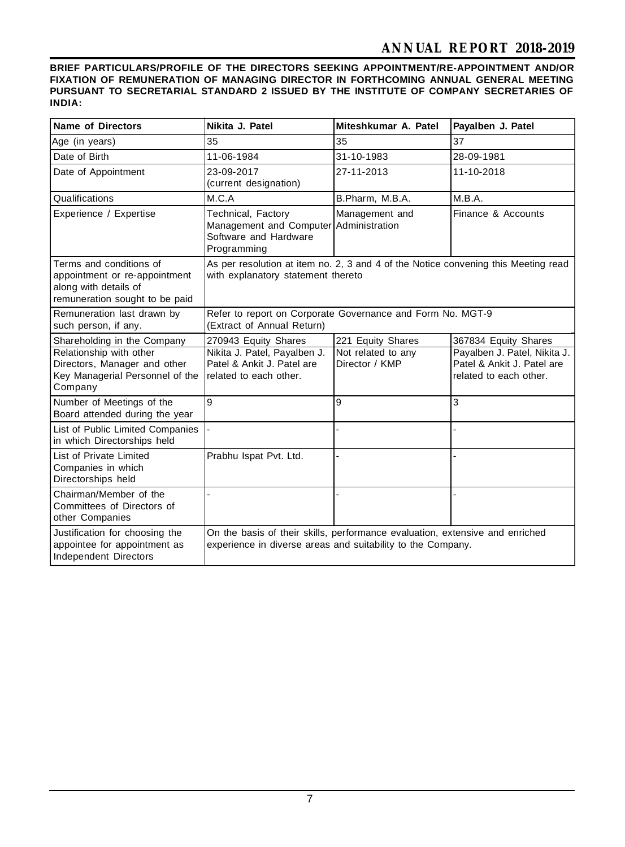**BRIEF PARTICULARS/PROFILE OF THE DIRECTORS SEEKING APPOINTMENT/RE-APPOINTMENT AND/OR FIXATION OF REMUNERATION OF MANAGING DIRECTOR IN FORTHCOMING ANNUAL GENERAL MEETING PURSUANT TO SECRETARIAL STANDARD 2 ISSUED BY THE INSTITUTE OF COMPANY SECRETARIES OF INDIA:**

 $\mathbf{r}$ 

| <b>Name of Directors</b>                                                                                            | Nikita J. Patel                                                                                                                             | Miteshkumar A. Patel                 | Payalben J. Patel                                                                    |  |  |
|---------------------------------------------------------------------------------------------------------------------|---------------------------------------------------------------------------------------------------------------------------------------------|--------------------------------------|--------------------------------------------------------------------------------------|--|--|
| Age (in years)                                                                                                      | 35                                                                                                                                          | 35                                   | 37                                                                                   |  |  |
| Date of Birth                                                                                                       | 11-06-1984                                                                                                                                  | 31-10-1983                           | 28-09-1981                                                                           |  |  |
| Date of Appointment                                                                                                 | 23-09-2017<br>(current designation)                                                                                                         | 27-11-2013                           | 11-10-2018                                                                           |  |  |
| Qualifications                                                                                                      | M.C.A                                                                                                                                       | B.Pharm, M.B.A.                      | M.B.A.                                                                               |  |  |
| Experience / Expertise                                                                                              | Technical, Factory<br>Management and Computer Administration<br>Software and Hardware<br>Programming                                        | Management and                       | Finance & Accounts                                                                   |  |  |
| Terms and conditions of<br>appointment or re-appointment<br>along with details of<br>remuneration sought to be paid | As per resolution at item no. 2, 3 and 4 of the Notice convening this Meeting read<br>with explanatory statement thereto                    |                                      |                                                                                      |  |  |
| Remuneration last drawn by<br>such person, if any.                                                                  | Refer to report on Corporate Governance and Form No. MGT-9<br>(Extract of Annual Return)                                                    |                                      |                                                                                      |  |  |
| Shareholding in the Company                                                                                         | 270943 Equity Shares                                                                                                                        | 221 Equity Shares                    | 367834 Equity Shares                                                                 |  |  |
| Relationship with other<br>Directors, Manager and other<br>Key Managerial Personnel of the<br>Company               | Nikita J. Patel, Payalben J.<br>Patel & Ankit J. Patel are<br>related to each other.                                                        | Not related to any<br>Director / KMP | Payalben J. Patel, Nikita J.<br>Patel & Ankit J. Patel are<br>related to each other. |  |  |
| Number of Meetings of the<br>Board attended during the year                                                         | $\overline{9}$                                                                                                                              | 9                                    | 3                                                                                    |  |  |
| List of Public Limited Companies<br>in which Directorships held                                                     |                                                                                                                                             |                                      |                                                                                      |  |  |
| List of Private Limited<br>Companies in which<br>Directorships held                                                 | Prabhu Ispat Pvt. Ltd.                                                                                                                      |                                      |                                                                                      |  |  |
| Chairman/Member of the<br>Committees of Directors of<br>other Companies                                             |                                                                                                                                             |                                      |                                                                                      |  |  |
| Justification for choosing the<br>appointee for appointment as<br>Independent Directors                             | On the basis of their skills, performance evaluation, extensive and enriched<br>experience in diverse areas and suitability to the Company. |                                      |                                                                                      |  |  |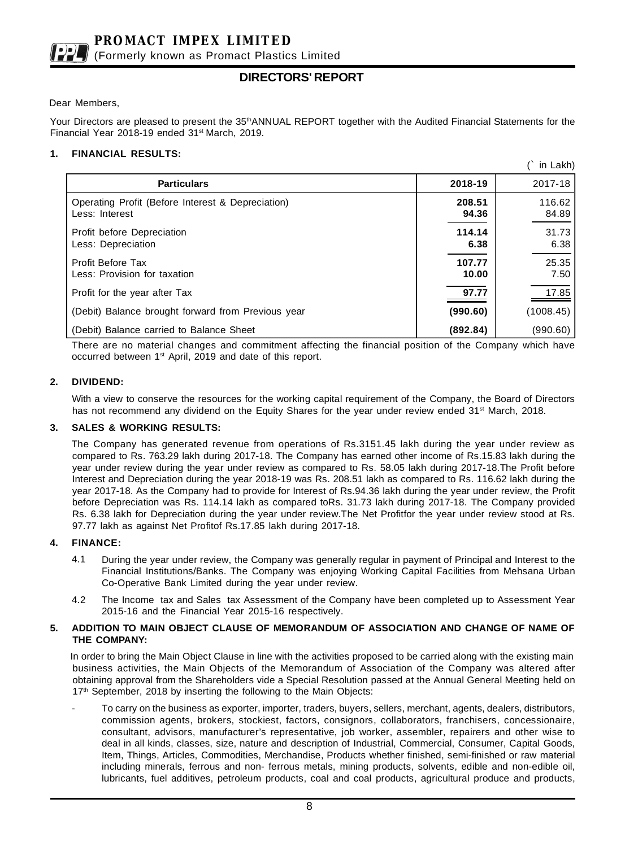

# **DIRECTORS' REPORT**

Dear Members,

Your Directors are pleased to present the 35<sup>th</sup>ANNUAL REPORT together with the Audited Financial Statements for the Financial Year 2018-19 ended 31<sup>st</sup> March, 2019.

 $(2.16)$  in Lakhball

#### **1. FINANCIAL RESULTS:**

|                                                                     |                 | $III$ Lanii     |
|---------------------------------------------------------------------|-----------------|-----------------|
| <b>Particulars</b>                                                  | 2018-19         | 2017-18         |
| Operating Profit (Before Interest & Depreciation)<br>Less: Interest | 208.51<br>94.36 | 116.62<br>84.89 |
| Profit before Depreciation<br>Less: Depreciation                    | 114.14<br>6.38  | 31.73<br>6.38   |
| Profit Before Tax<br>Less: Provision for taxation                   | 107.77<br>10.00 | 25.35<br>7.50   |
| Profit for the year after Tax                                       | 97.77           | 17.85           |
| (Debit) Balance brought forward from Previous year                  | (990.60)        | (1008.45)       |
| (Debit) Balance carried to Balance Sheet                            | (892.84)        | (990.60)        |

There are no material changes and commitment affecting the financial position of the Company which have occurred between 1<sup>st</sup> April, 2019 and date of this report.

#### **2. DIVIDEND:**

With a view to conserve the resources for the working capital requirement of the Company, the Board of Directors has not recommend any dividend on the Equity Shares for the year under review ended 31<sup>st</sup> March, 2018.

#### **3. SALES & WORKING RESULTS:**

The Company has generated revenue from operations of Rs.3151.45 lakh during the year under review as compared to Rs. 763.29 lakh during 2017-18. The Company has earned other income of Rs.15.83 lakh during the year under review during the year under review as compared to Rs. 58.05 lakh during 2017-18.The Profit before Interest and Depreciation during the year 2018-19 was Rs. 208.51 lakh as compared to Rs. 116.62 lakh during the year 2017-18. As the Company had to provide for Interest of Rs.94.36 lakh during the year under review, the Profit before Depreciation was Rs. 114.14 lakh as compared toRs. 31.73 lakh during 2017-18. The Company provided Rs. 6.38 lakh for Depreciation during the year under review.The Net Profitfor the year under review stood at Rs. 97.77 lakh as against Net Profitof Rs.17.85 lakh during 2017-18.

#### **4. FINANCE:**

- 4.1 During the year under review, the Company was generally regular in payment of Principal and Interest to the Financial Institutions/Banks. The Company was enjoying Working Capital Facilities from Mehsana Urban Co-Operative Bank Limited during the year under review.
- 4.2 The Income tax and Sales tax Assessment of the Company have been completed up to Assessment Year 2015-16 and the Financial Year 2015-16 respectively.

#### **5. ADDITION TO MAIN OBJECT CLAUSE OF MEMORANDUM OF ASSOCIATION AND CHANGE OF NAME OF THE COMPANY:**

In order to bring the Main Object Clause in line with the activities proposed to be carried along with the existing main business activities, the Main Objects of the Memorandum of Association of the Company was altered after obtaining approval from the Shareholders vide a Special Resolution passed at the Annual General Meeting held on  $17<sup>th</sup>$  September, 2018 by inserting the following to the Main Objects:

- To carry on the business as exporter, importer, traders, buyers, sellers, merchant, agents, dealers, distributors, commission agents, brokers, stockiest, factors, consignors, collaborators, franchisers, concessionaire, consultant, advisors, manufacturer's representative, job worker, assembler, repairers and other wise to deal in all kinds, classes, size, nature and description of Industrial, Commercial, Consumer, Capital Goods, Item, Things, Articles, Commodities, Merchandise, Products whether finished, semi-finished or raw material including minerals, ferrous and non- ferrous metals, mining products, solvents, edible and non-edible oil, lubricants, fuel additives, petroleum products, coal and coal products, agricultural produce and products,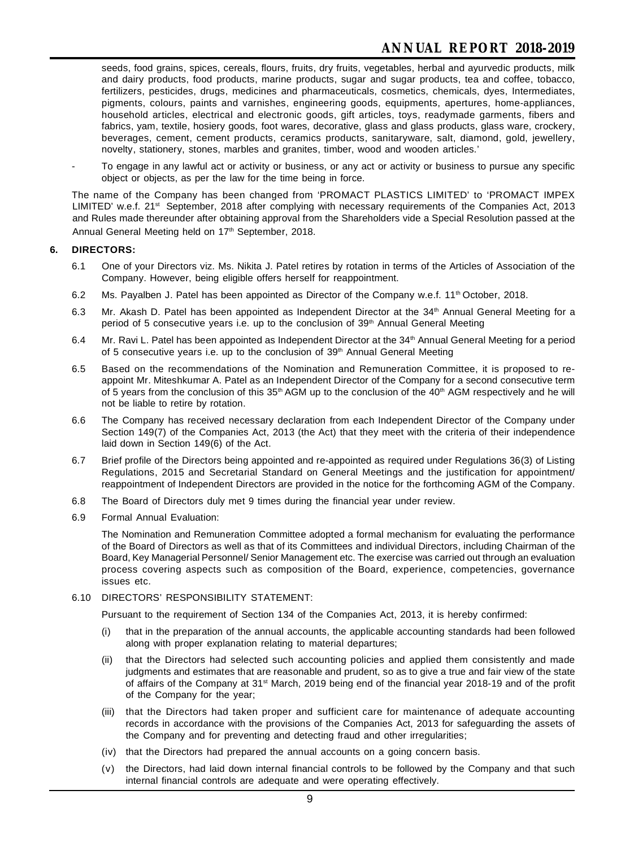seeds, food grains, spices, cereals, flours, fruits, dry fruits, vegetables, herbal and ayurvedic products, milk and dairy products, food products, marine products, sugar and sugar products, tea and coffee, tobacco, fertilizers, pesticides, drugs, medicines and pharmaceuticals, cosmetics, chemicals, dyes, Intermediates, pigments, colours, paints and varnishes, engineering goods, equipments, apertures, home-appliances, household articles, electrical and electronic goods, gift articles, toys, readymade garments, fibers and fabrics, yam, textile, hosiery goods, foot wares, decorative, glass and glass products, glass ware, crockery, beverages, cement, cement products, ceramics products, sanitaryware, salt, diamond, gold, jewellery, novelty, stationery, stones, marbles and granites, timber, wood and wooden articles.'

- To engage in any lawful act or activity or business, or any act or activity or business to pursue any specific object or objects, as per the law for the time being in force.

The name of the Company has been changed from 'PROMACT PLASTICS LIMITED' to 'PROMACT IMPEX LIMITED' w.e.f. 21<sup>st</sup> September, 2018 after complying with necessary requirements of the Companies Act, 2013 and Rules made thereunder after obtaining approval from the Shareholders vide a Special Resolution passed at the Annual General Meeting held on 17<sup>th</sup> September, 2018.

#### **6. DIRECTORS:**

- 6.1 One of your Directors viz. Ms. Nikita J. Patel retires by rotation in terms of the Articles of Association of the Company. However, being eligible offers herself for reappointment.
- 6.2 Ms. Payalben J. Patel has been appointed as Director of the Company w.e.f.  $11<sup>th</sup>$  October, 2018.
- 6.3 Mr. Akash D. Patel has been appointed as Independent Director at the 34<sup>th</sup> Annual General Meeting for a period of 5 consecutive years i.e. up to the conclusion of 39<sup>th</sup> Annual General Meeting
- 6.4 Mr. Ravi L. Patel has been appointed as Independent Director at the 34<sup>th</sup> Annual General Meeting for a period of 5 consecutive years i.e. up to the conclusion of 39<sup>th</sup> Annual General Meeting
- 6.5 Based on the recommendations of the Nomination and Remuneration Committee, it is proposed to reappoint Mr. Miteshkumar A. Patel as an Independent Director of the Company for a second consecutive term of 5 years from the conclusion of this  $35<sup>th</sup>$  AGM up to the conclusion of the 40<sup>th</sup> AGM respectively and he will not be liable to retire by rotation.
- 6.6 The Company has received necessary declaration from each Independent Director of the Company under Section 149(7) of the Companies Act, 2013 (the Act) that they meet with the criteria of their independence laid down in Section 149(6) of the Act.
- 6.7 Brief profile of the Directors being appointed and re-appointed as required under Regulations 36(3) of Listing Regulations, 2015 and Secretarial Standard on General Meetings and the justification for appointment/ reappointment of Independent Directors are provided in the notice for the forthcoming AGM of the Company.
- 6.8 The Board of Directors duly met 9 times during the financial year under review.
- 6.9 Formal Annual Evaluation:

The Nomination and Remuneration Committee adopted a formal mechanism for evaluating the performance of the Board of Directors as well as that of its Committees and individual Directors, including Chairman of the Board, Key Managerial Personnel/ Senior Management etc. The exercise was carried out through an evaluation process covering aspects such as composition of the Board, experience, competencies, governance issues etc.

#### 6.10 DIRECTORS' RESPONSIBILITY STATEMENT:

Pursuant to the requirement of Section 134 of the Companies Act, 2013, it is hereby confirmed:

- (i) that in the preparation of the annual accounts, the applicable accounting standards had been followed along with proper explanation relating to material departures;
- (ii) that the Directors had selected such accounting policies and applied them consistently and made judgments and estimates that are reasonable and prudent, so as to give a true and fair view of the state of affairs of the Company at 31<sup>st</sup> March, 2019 being end of the financial year 2018-19 and of the profit of the Company for the year;
- (iii) that the Directors had taken proper and sufficient care for maintenance of adequate accounting records in accordance with the provisions of the Companies Act, 2013 for safeguarding the assets of the Company and for preventing and detecting fraud and other irregularities;
- (iv) that the Directors had prepared the annual accounts on a going concern basis.
- (v) the Directors, had laid down internal financial controls to be followed by the Company and that such internal financial controls are adequate and were operating effectively.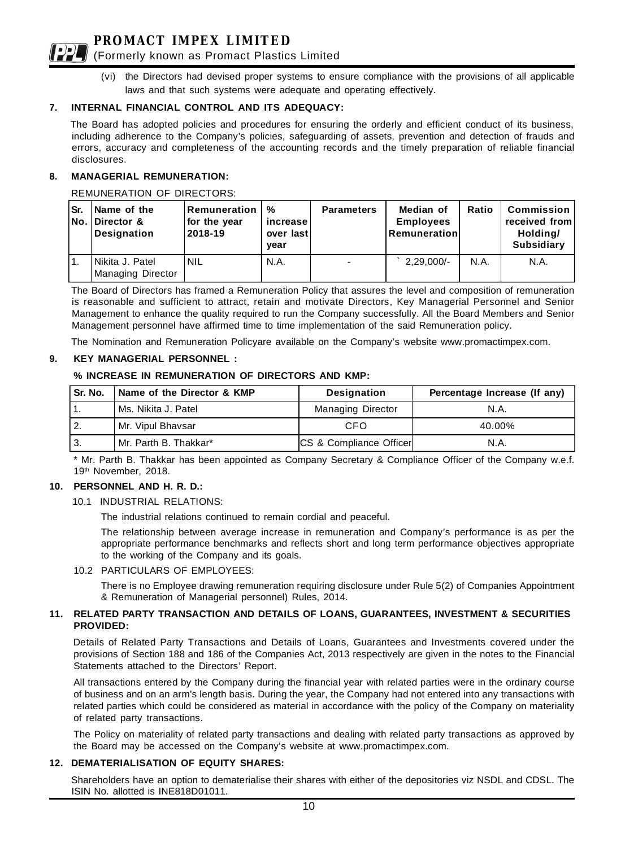# **PROMACT IMPEX LIMITED** (Formerly known as Promact Plastics Limited

(vi) the Directors had devised proper systems to ensure compliance with the provisions of all applicable laws and that such systems were adequate and operating effectively.

#### **7. INTERNAL FINANCIAL CONTROL AND ITS ADEQUACY:**

The Board has adopted policies and procedures for ensuring the orderly and efficient conduct of its business, including adherence to the Company's policies, safeguarding of assets, prevention and detection of frauds and errors, accuracy and completeness of the accounting records and the timely preparation of reliable financial disclosures.

#### **8. MANAGERIAL REMUNERATION:**

#### REMUNERATION OF DIRECTORS:

| lSr. | Name of the<br>No. Director &<br><b>Designation</b> | ∣Remuneration I<br>for the year<br>2018-19 | %<br>increase<br>over last<br>year | <b>Parameters</b> | Median of<br><b>Employees</b><br>Remuneration | Ratio | <b>Commission</b><br>received from<br>Holding/<br><b>Subsidiary</b> |
|------|-----------------------------------------------------|--------------------------------------------|------------------------------------|-------------------|-----------------------------------------------|-------|---------------------------------------------------------------------|
|      | Nikita J. Patel<br>Managing Director                | <b>NIL</b>                                 | N.A.                               | -                 | $2,29,000/-$                                  | N.A.  | N.A.                                                                |

The Board of Directors has framed a Remuneration Policy that assures the level and composition of remuneration is reasonable and sufficient to attract, retain and motivate Directors, Key Managerial Personnel and Senior Management to enhance the quality required to run the Company successfully. All the Board Members and Senior Management personnel have affirmed time to time implementation of the said Remuneration policy.

The Nomination and Remuneration Policyare available on the Company's website www.promactimpex.com.

#### **9. KEY MANAGERIAL PERSONNEL :**

#### **% INCREASE IN REMUNERATION OF DIRECTORS AND KMP:**

| l Sr. No. | Name of the Director & KMP | Designation                        | Percentage Increase (If any) |
|-----------|----------------------------|------------------------------------|------------------------------|
| ' 1.      | Ms. Nikita J. Patel        | Managing Director                  | N.A.                         |
| ۱2.       | Mr. Vipul Bhavsar          | CFO                                | 40.00%                       |
| IЗ.       | Mr. Parth B. Thakkar*      | <b>CS &amp; Compliance Officer</b> | N.A.                         |

\* Mr. Parth B. Thakkar has been appointed as Company Secretary & Compliance Officer of the Company w.e.f. 19th November, 2018.

#### **10. PERSONNEL AND H. R. D.:**

10.1 INDUSTRIAL RELATIONS:

The industrial relations continued to remain cordial and peaceful.

The relationship between average increase in remuneration and Company's performance is as per the appropriate performance benchmarks and reflects short and long term performance objectives appropriate to the working of the Company and its goals.

#### 10.2 PARTICULARS OF EMPLOYEES:

There is no Employee drawing remuneration requiring disclosure under Rule 5(2) of Companies Appointment & Remuneration of Managerial personnel) Rules, 2014.

#### **11. RELATED PARTY TRANSACTION AND DETAILS OF LOANS, GUARANTEES, INVESTMENT & SECURITIES PROVIDED:**

Details of Related Party Transactions and Details of Loans, Guarantees and Investments covered under the provisions of Section 188 and 186 of the Companies Act, 2013 respectively are given in the notes to the Financial Statements attached to the Directors' Report.

All transactions entered by the Company during the financial year with related parties were in the ordinary course of business and on an arm's length basis. During the year, the Company had not entered into any transactions with related parties which could be considered as material in accordance with the policy of the Company on materiality of related party transactions.

The Policy on materiality of related party transactions and dealing with related party transactions as approved by the Board may be accessed on the Company's website at www.promactimpex.com.

#### **12. DEMATERIALISATION OF EQUITY SHARES:**

Shareholders have an option to dematerialise their shares with either of the depositories viz NSDL and CDSL. The ISIN No. allotted is INE818D01011.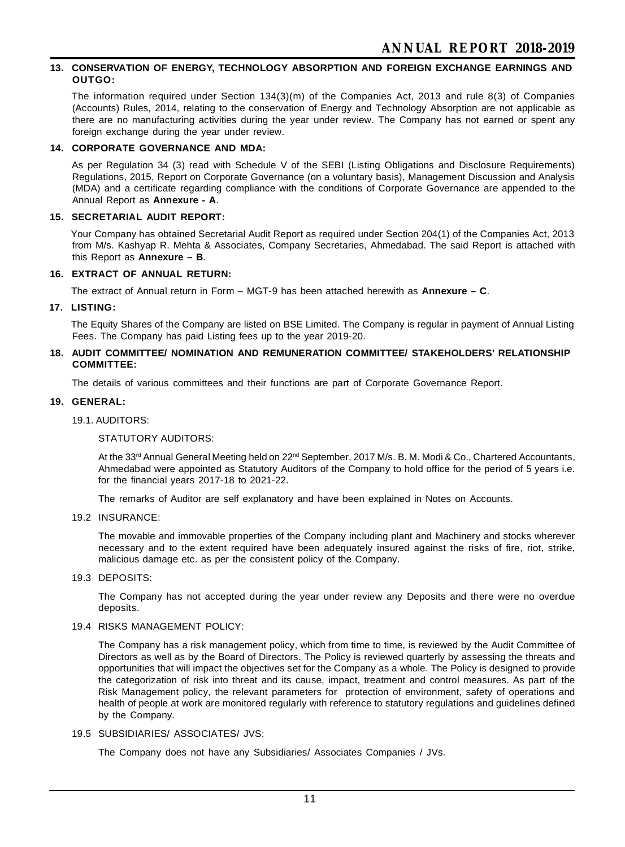#### **13. CONSERVATION OF ENERGY, TECHNOLOGY ABSORPTION AND FOREIGN EXCHANGE EARNINGS AND OUTGO:**

The information required under Section 134(3)(m) of the Companies Act, 2013 and rule 8(3) of Companies (Accounts) Rules, 2014, relating to the conservation of Energy and Technology Absorption are not applicable as there are no manufacturing activities during the year under review. The Company has not earned or spent any foreign exchange during the year under review.

#### **14. CORPORATE GOVERNANCE AND MDA:**

As per Regulation 34 (3) read with Schedule V of the SEBI (Listing Obligations and Disclosure Requirements) Regulations, 2015, Report on Corporate Governance (on a voluntary basis), Management Discussion and Analysis (MDA) and a certificate regarding compliance with the conditions of Corporate Governance are appended to the Annual Report as **Annexure - A**.

#### **15. SECRETARIAL AUDIT REPORT:**

Your Company has obtained Secretarial Audit Report as required under Section 204(1) of the Companies Act, 2013 from M/s. Kashyap R. Mehta & Associates, Company Secretaries, Ahmedabad. The said Report is attached with this Report as **Annexure – B**.

#### **16. EXTRACT OF ANNUAL RETURN:**

The extract of Annual return in Form – MGT-9 has been attached herewith as **Annexure – C**.

#### **17. LISTING:**

The Equity Shares of the Company are listed on BSE Limited. The Company is regular in payment of Annual Listing Fees. The Company has paid Listing fees up to the year 2019-20.

#### **18. AUDIT COMMITTEE/ NOMINATION AND REMUNERATION COMMITTEE/ STAKEHOLDERS' RELATIONSHIP COMMITTEE:**

The details of various committees and their functions are part of Corporate Governance Report.

#### **19. GENERAL:**

#### 19.1. AUDITORS:

STATUTORY AUDITORS:

At the 33<sup>rd</sup> Annual General Meeting held on 22<sup>nd</sup> September, 2017 M/s. B. M. Modi & Co., Chartered Accountants, Ahmedabad were appointed as Statutory Auditors of the Company to hold office for the period of 5 years i.e. for the financial years 2017-18 to 2021-22.

The remarks of Auditor are self explanatory and have been explained in Notes on Accounts.

19.2 INSURANCE:

The movable and immovable properties of the Company including plant and Machinery and stocks wherever necessary and to the extent required have been adequately insured against the risks of fire, riot, strike, malicious damage etc. as per the consistent policy of the Company.

19.3 DEPOSITS:

The Company has not accepted during the year under review any Deposits and there were no overdue deposits.

#### 19.4 RISKS MANAGEMENT POLICY:

The Company has a risk management policy, which from time to time, is reviewed by the Audit Committee of Directors as well as by the Board of Directors. The Policy is reviewed quarterly by assessing the threats and opportunities that will impact the objectives set for the Company as a whole. The Policy is designed to provide the categorization of risk into threat and its cause, impact, treatment and control measures. As part of the Risk Management policy, the relevant parameters for protection of environment, safety of operations and health of people at work are monitored regularly with reference to statutory regulations and guidelines defined by the Company.

19.5 SUBSIDIARIES/ ASSOCIATES/ JVS:

The Company does not have any Subsidiaries/ Associates Companies / JVs.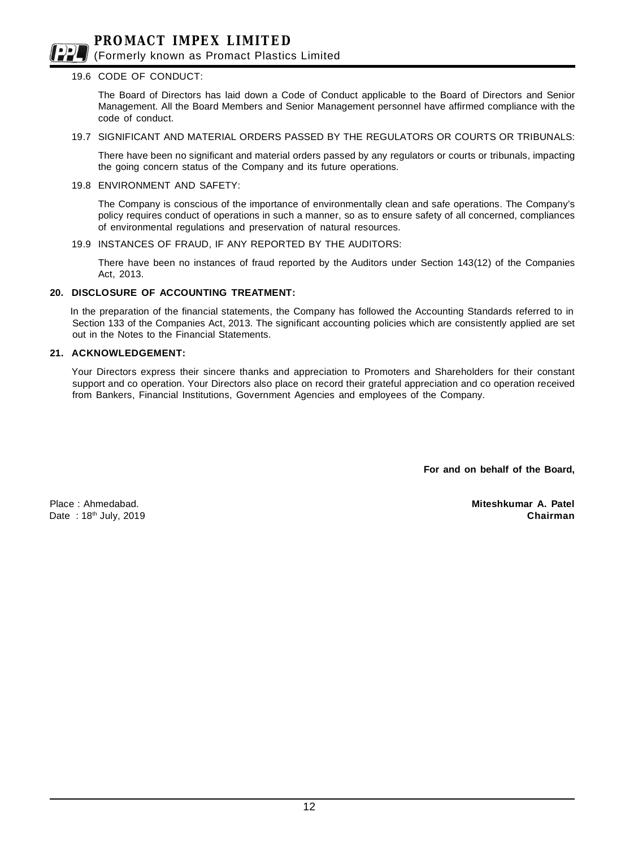# **PROMACT IMPEX LIMITED** (Formerly known as Promact Plastics Limited

#### 19.6 CODE OF CONDUCT:

The Board of Directors has laid down a Code of Conduct applicable to the Board of Directors and Senior Management. All the Board Members and Senior Management personnel have affirmed compliance with the code of conduct.

19.7 SIGNIFICANT AND MATERIAL ORDERS PASSED BY THE REGULATORS OR COURTS OR TRIBUNALS:

There have been no significant and material orders passed by any regulators or courts or tribunals, impacting the going concern status of the Company and its future operations.

#### 19.8 ENVIRONMENT AND SAFETY:

The Company is conscious of the importance of environmentally clean and safe operations. The Company's policy requires conduct of operations in such a manner, so as to ensure safety of all concerned, compliances of environmental regulations and preservation of natural resources.

#### 19.9 INSTANCES OF FRAUD, IF ANY REPORTED BY THE AUDITORS:

There have been no instances of fraud reported by the Auditors under Section 143(12) of the Companies Act, 2013.

#### **20. DISCLOSURE OF ACCOUNTING TREATMENT:**

In the preparation of the financial statements, the Company has followed the Accounting Standards referred to in Section 133 of the Companies Act, 2013. The significant accounting policies which are consistently applied are set out in the Notes to the Financial Statements.

#### **21. ACKNOWLEDGEMENT:**

Your Directors express their sincere thanks and appreciation to Promoters and Shareholders for their constant support and co operation. Your Directors also place on record their grateful appreciation and co operation received from Bankers, Financial Institutions, Government Agencies and employees of the Company.

**For and on behalf of the Board,**

Place : Ahmedabad. **Miteshkumar A. Patel** Date : 18<sup>th</sup> July, 2019 **Chairman**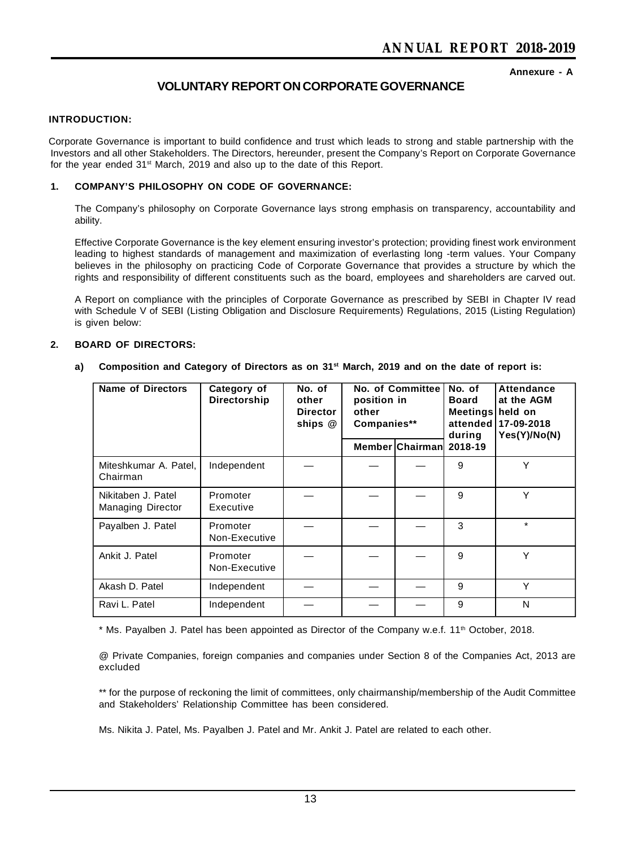**Annexure - A**

# **VOLUNTARY REPORT ON CORPORATE GOVERNANCE**

#### **INTRODUCTION:**

Corporate Governance is important to build confidence and trust which leads to strong and stable partnership with the Investors and all other Stakeholders. The Directors, hereunder, present the Company's Report on Corporate Governance for the year ended  $31<sup>st</sup>$  March, 2019 and also up to the date of this Report.

#### **1. COMPANY'S PHILOSOPHY ON CODE OF GOVERNANCE:**

The Company's philosophy on Corporate Governance lays strong emphasis on transparency, accountability and ability.

Effective Corporate Governance is the key element ensuring investor's protection; providing finest work environment leading to highest standards of management and maximization of everlasting long -term values. Your Company believes in the philosophy on practicing Code of Corporate Governance that provides a structure by which the rights and responsibility of different constituents such as the board, employees and shareholders are carved out.

A Report on compliance with the principles of Corporate Governance as prescribed by SEBI in Chapter IV read with Schedule V of SEBI (Listing Obligation and Disclosure Requirements) Regulations, 2015 (Listing Regulation) is given below:

#### **2. BOARD OF DIRECTORS:**

#### **a) Com st position and Category of Directors as on 31 March, 2019 and on the date of report is:**

| Name of Directors                              | Category of<br>Directorship | No. of<br>other<br><b>Director</b><br>ships @ | No. of Committee<br>position in<br>other<br>Companies** |                         | No. of<br><b>Board</b><br>Meetings held on<br>attended<br>during | Attendance<br>at the AGM<br>17-09-2018<br>Yes(Y)/No(N) |
|------------------------------------------------|-----------------------------|-----------------------------------------------|---------------------------------------------------------|-------------------------|------------------------------------------------------------------|--------------------------------------------------------|
|                                                |                             |                                               |                                                         | Member Chairman 2018-19 |                                                                  |                                                        |
| Miteshkumar A. Patel,<br>Chairman              | Independent                 |                                               |                                                         |                         | 9                                                                | Υ                                                      |
| Nikitaben J. Patel<br><b>Managing Director</b> | Promoter<br>Executive       |                                               |                                                         |                         | 9                                                                | Υ                                                      |
| Payalben J. Patel                              | Promoter<br>Non-Executive   |                                               |                                                         |                         | 3                                                                | $\star$                                                |
| Ankit J. Patel                                 | Promoter<br>Non-Executive   |                                               |                                                         |                         | 9                                                                | Υ                                                      |
| Akash D. Patel                                 | Independent                 |                                               |                                                         |                         | 9                                                                | Υ                                                      |
| Ravi L. Patel                                  | Independent                 |                                               |                                                         |                         | 9                                                                | N                                                      |

 $*$  Ms. Payalben J. Patel has been appointed as Director of the Company w.e.f. 11<sup>th</sup> October, 2018.

@ Private Companies, foreign companies and companies under Section 8 of the Companies Act, 2013 are excluded

\*\* for the purpose of reckoning the limit of committees, only chairmanship/membership of the Audit Committee and Stakeholders' Relationship Committee has been considered.

Ms. Nikita J. Patel, Ms. Payalben J. Patel and Mr. Ankit J. Patel are related to each other.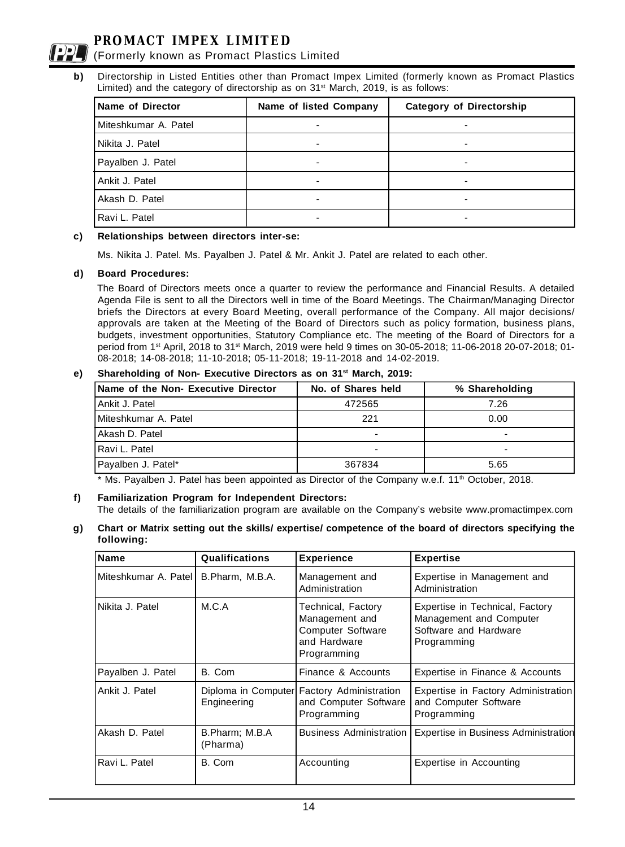## **PROMACT IMPEX LIMITED** Formerly known as Promact Plastics Limited

**b)** Directorship in Listed Entities other than Promact Impex Limited (formerly known as Promact Plastics Limited) and the category of directorship as on  $31<sup>st</sup>$  March, 2019, is as follows:

| Name of Director     | Name of listed Company | Category of Directorship |
|----------------------|------------------------|--------------------------|
| Miteshkumar A. Patel |                        |                          |
| Nikita J. Patel      |                        |                          |
| Payalben J. Patel    |                        |                          |
| Ankit J. Patel       |                        |                          |
| Akash D. Patel       |                        |                          |
| Ravi L. Patel        |                        |                          |

#### **c) Relationships between directors inter-se:**

Ms. Nikita J. Patel. Ms. Payalben J. Patel & Mr. Ankit J. Patel are related to each other.

#### **d) Board Procedures:**

The Board of Directors meets once a quarter to review the performance and Financial Results. A detailed Agenda File is sent to all the Directors well in time of the Board Meetings. The Chairman/Managing Director briefs the Directors at every Board Meeting, overall performance of the Company. All major decisions/ approvals are taken at the Meeting of the Board of Directors such as policy formation, business plans, budgets, investment opportunities, Statutory Compliance etc. The meeting of the Board of Directors for a period from 1<sup>st</sup> April, 2018 to 31<sup>st</sup> March, 2019 were held 9 times on 30-05-2018; 11-06-2018 20-07-2018; 01-08-2018; 14-08-2018; 11-10-2018; 05-11-2018; 19-11-2018 and 14-02-2019.

#### **e) st Shareholding of Non- Executive Directors as on 31 March, 2019:**

| Name of the Non- Executive Director | No. of Shares held | % Shareholding |
|-------------------------------------|--------------------|----------------|
| Ankit J. Patel                      | 472565             | 7.26           |
| Miteshkumar A. Patel                | 221                | 0.00           |
| l Akash D. Patel                    |                    |                |
| Ravi L. Patel                       |                    |                |
| Payalben J. Patel*                  | 367834             | 5.65           |

 $*$  Ms. Payalben J. Patel has been appointed as Director of the Company w.e.f. 11<sup>th</sup> October, 2018.

#### **f) Familiarization Program for Independent Directors:**

- The details of the familiarization program are available on the Company's website www.promactimpex.com
- **g) Chart or Matrix setting out the skills/ expertise/ competence of the board of directors specifying the following:**

| Name                 | Qualifications             | <b>Experience</b>                                                                               | <b>Expertise</b>                                                                                   |
|----------------------|----------------------------|-------------------------------------------------------------------------------------------------|----------------------------------------------------------------------------------------------------|
| Miteshkumar A. Patel | B.Pharm, M.B.A.            | Management and<br>Administration                                                                | Expertise in Management and<br>Administration                                                      |
| Nikita J. Patel      | M.C.A                      | Technical, Factory<br>Management and<br><b>Computer Software</b><br>and Hardware<br>Programming | Expertise in Technical, Factory<br>Management and Computer<br>Software and Hardware<br>Programming |
| Payalben J. Patel    | B. Com                     | Finance & Accounts                                                                              | Expertise in Finance & Accounts                                                                    |
| Ankit J. Patel       | Engineering                | Diploma in Computer Factory Administration<br>and Computer Software<br>Programming              | Expertise in Factory Administration<br>and Computer Software<br>Programming                        |
| Akash D. Patel       | B.Pharm; M.B.A<br>(Pharma) | <b>Business Administration</b>                                                                  | <b>Expertise in Business Administration</b>                                                        |
| Ravi L. Patel        | B. Com                     | Accounting                                                                                      | Expertise in Accounting                                                                            |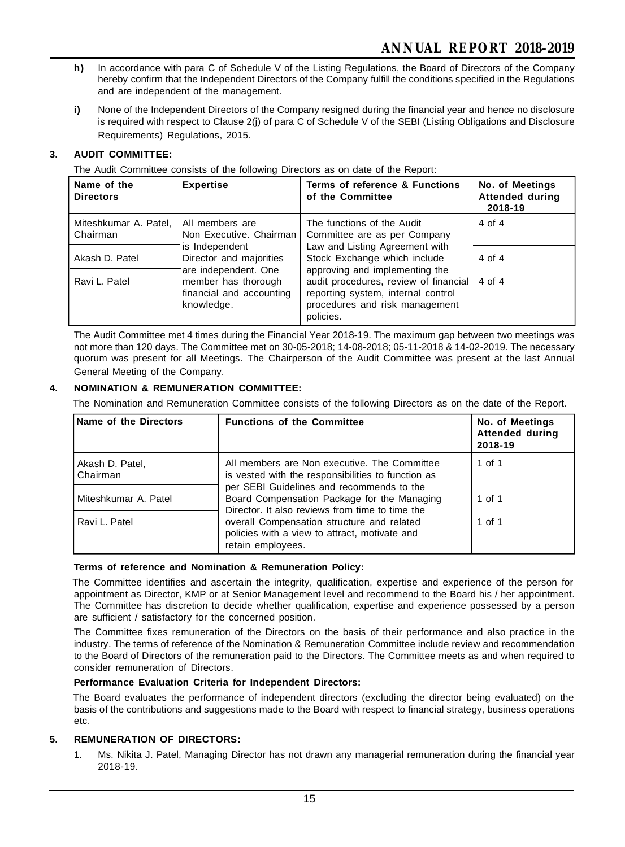- **h)** In accordance with para C of Schedule V of the Listing Regulations, the Board of Directors of the Company hereby confirm that the Independent Directors of the Company fulfill the conditions specified in the Regulations and are independent of the management.
- **i)** None of the Independent Directors of the Company resigned during the financial year and hence no disclosure is required with respect to Clause 2(j) of para C of Schedule V of the SEBI (Listing Obligations and Disclosure Requirements) Regulations, 2015.

#### **3. AUDIT COMMITTEE:**

The Audit Committee consists of the following Directors as on date of the Report:

| Name of the<br><b>Directors</b>   | <b>Expertise</b>                                                                                                                                                                 | Terms of reference & Functions<br>of the Committee                                                                                                                                                                                                                                           | No. of Meetings<br><b>Attended during</b><br>2018-19 |
|-----------------------------------|----------------------------------------------------------------------------------------------------------------------------------------------------------------------------------|----------------------------------------------------------------------------------------------------------------------------------------------------------------------------------------------------------------------------------------------------------------------------------------------|------------------------------------------------------|
| Miteshkumar A. Patel,<br>Chairman | All members are<br>Non Executive. Chairman<br>is Independent<br>Director and majorities<br>are independent. One<br>member has thorough<br>financial and accounting<br>knowledge. | The functions of the Audit<br>Committee are as per Company<br>Law and Listing Agreement with<br>Stock Exchange which include<br>approving and implementing the<br>audit procedures, review of financial<br>reporting system, internal control<br>procedures and risk management<br>policies. | $4$ of $4$                                           |
| Akash D. Patel                    |                                                                                                                                                                                  |                                                                                                                                                                                                                                                                                              | 4 of 4                                               |
| Ravi L. Patel                     |                                                                                                                                                                                  |                                                                                                                                                                                                                                                                                              | 4 of 4                                               |

The Audit Committee met 4 times during the Financial Year 2018-19. The maximum gap between two meetings was not more than 120 days. The Committee met on 30-05-2018; 14-08-2018; 05-11-2018 & 14-02-2019. The necessary quorum was present for all Meetings. The Chairperson of the Audit Committee was present at the last Annual General Meeting of the Company.

#### **4. NOMINATION & REMUNERATION COMMITTEE:**

The Nomination and Remuneration Committee consists of the following Directors as on the date of the Report.

| Name of the Directors       | <b>Functions of the Committee</b>                                                                                                           | No. of Meetings<br><b>Attended during</b><br>2018-19 |
|-----------------------------|---------------------------------------------------------------------------------------------------------------------------------------------|------------------------------------------------------|
| Akash D. Patel,<br>Chairman | All members are Non executive. The Committee<br>is vested with the responsibilities to function as                                          | 1 of 1                                               |
| Miteshkumar A. Patel        | per SEBI Guidelines and recommends to the<br>Board Compensation Package for the Managing<br>Director. It also reviews from time to time the | 1 of 1                                               |
| Ravi L. Patel               | overall Compensation structure and related<br>policies with a view to attract, motivate and<br>retain employees.                            | 1 of 1                                               |

#### **Terms of reference and Nomination & Remuneration Policy:**

The Committee identifies and ascertain the integrity, qualification, expertise and experience of the person for appointment as Director, KMP or at Senior Management level and recommend to the Board his / her appointment. The Committee has discretion to decide whether qualification, expertise and experience possessed by a person are sufficient / satisfactory for the concerned position.

The Committee fixes remuneration of the Directors on the basis of their performance and also practice in the industry. The terms of reference of the Nomination & Remuneration Committee include review and recommendation to the Board of Directors of the remuneration paid to the Directors. The Committee meets as and when required to consider remuneration of Directors.

#### **Performance Evaluation Criteria for Independent Directors:**

The Board evaluates the performance of independent directors (excluding the director being evaluated) on the basis of the contributions and suggestions made to the Board with respect to financial strategy, business operations etc.

#### **5. REMUNERATION OF DIRECTORS:**

1. Ms. Nikita J. Patel, Managing Director has not drawn any managerial remuneration during the financial year 2018-19.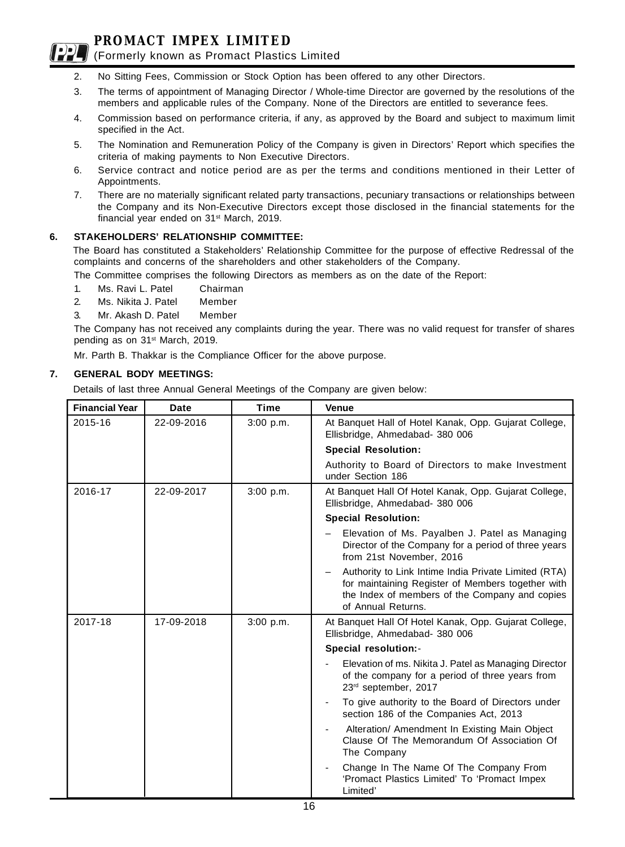# **PROMACT IMPEX LIMITED** (Formerly known as Promact Plastics Limited

- 2. No Sitting Fees, Commission or Stock Option has been offered to any other Directors.
- 3. The terms of appointment of Managing Director / Whole-time Director are governed by the resolutions of the members and applicable rules of the Company. None of the Directors are entitled to severance fees.
- 4. Commission based on performance criteria, if any, as approved by the Board and subject to maximum limit specified in the Act.
- 5. The Nomination and Remuneration Policy of the Company is given in Directors' Report which specifies the criteria of making payments to Non Executive Directors.
- 6. Service contract and notice period are as per the terms and conditions mentioned in their Letter of Appointments.
- 7. There are no materially significant related party transactions, pecuniary transactions or relationships between the Company and its Non-Executive Directors except those disclosed in the financial statements for the financial year ended on 31<sup>st</sup> March, 2019.

#### **6. STAKEHOLDERS' RELATIONSHIP COMMITTEE:**

The Board has constituted a Stakeholders' Relationship Committee for the purpose of effective Redressal of the complaints and concerns of the shareholders and other stakeholders of the Company.

The Committee comprises the following Directors as members as on the date of the Report:

- 1. Ms. Ravi L. Patel Chairman
- 2. Ms. Nikita J. Patel Member
- 3. Mr. Akash D. Patel Member

The Company has not received any complaints during the year. There was no valid request for transfer of shares pending as on 31<sup>st</sup> March, 2019.

Mr. Parth B. Thakkar is the Compliance Officer for the above purpose.

#### **7. GENERAL BODY MEETINGS:**

Details of last three Annual General Meetings of the Company are given below:

| <b>Financial Year</b> | Date       | <b>Time</b> | Venue                                                                                                                                                                                                  |
|-----------------------|------------|-------------|--------------------------------------------------------------------------------------------------------------------------------------------------------------------------------------------------------|
| 2015-16               | 22-09-2016 | $3:00$ p.m. | At Banquet Hall of Hotel Kanak, Opp. Gujarat College,<br>Ellisbridge, Ahmedabad- 380 006                                                                                                               |
|                       |            |             | <b>Special Resolution:</b>                                                                                                                                                                             |
|                       |            |             | Authority to Board of Directors to make Investment<br>under Section 186                                                                                                                                |
| 2016-17               | 22-09-2017 | $3:00$ p.m. | At Banquet Hall Of Hotel Kanak, Opp. Gujarat College,<br>Ellisbridge, Ahmedabad- 380 006                                                                                                               |
|                       |            |             | <b>Special Resolution:</b>                                                                                                                                                                             |
|                       |            |             | Elevation of Ms. Payalben J. Patel as Managing<br>Director of the Company for a period of three years<br>from 21st November, 2016                                                                      |
|                       |            |             | Authority to Link Intime India Private Limited (RTA)<br>$\qquad \qquad -$<br>for maintaining Register of Members together with<br>the Index of members of the Company and copies<br>of Annual Returns. |
| 2017-18               | 17-09-2018 | 3:00 p.m.   | At Banquet Hall Of Hotel Kanak, Opp. Gujarat College,<br>Ellisbridge, Ahmedabad- 380 006                                                                                                               |
|                       |            |             | Special resolution:-                                                                                                                                                                                   |
|                       |            |             | Elevation of ms. Nikita J. Patel as Managing Director<br>of the company for a period of three years from<br>23rd september, 2017                                                                       |
|                       |            |             | To give authority to the Board of Directors under<br>$\overline{\phantom{a}}$<br>section 186 of the Companies Act, 2013                                                                                |
|                       |            |             | Alteration/ Amendment In Existing Main Object<br>$\overline{\phantom{a}}$<br>Clause Of The Memorandum Of Association Of<br>The Company                                                                 |
|                       |            |             | Change In The Name Of The Company From<br>$\blacksquare$<br>'Promact Plastics Limited' To 'Promact Impex<br>Limited'                                                                                   |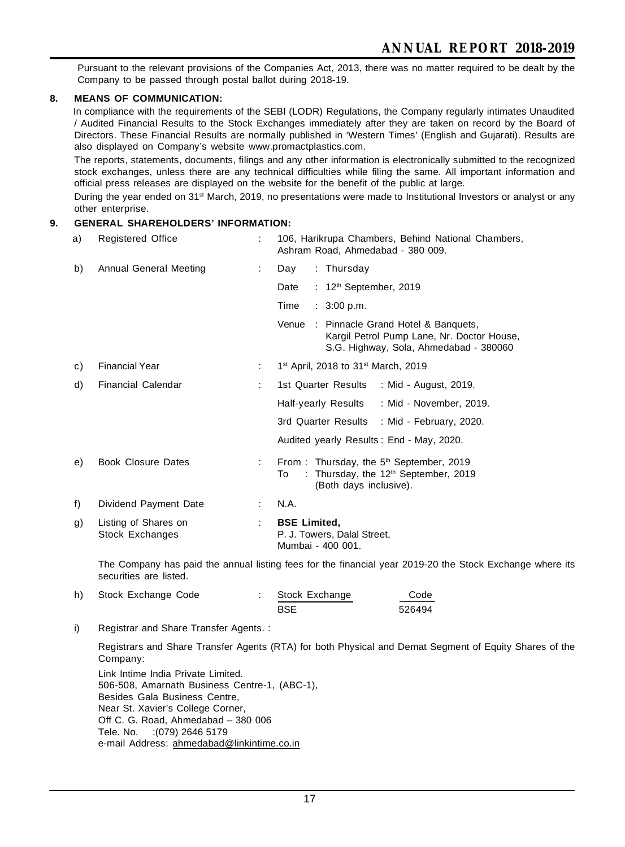Pursuant to the relevant provisions of the Companies Act, 2013, there was no matter required to be dealt by the Company to be passed through postal ballot during 2018-19.

#### **8. MEANS OF COMMUNICATION:**

In compliance with the requirements of the SEBI (LODR) Regulations, the Company regularly intimates Unaudited / Audited Financial Results to the Stock Exchanges immediately after they are taken on record by the Board of Directors. These Financial Results are normally published in 'Western Times' (English and Gujarati). Results are also displayed on Company's website www.promactplastics.com.

The reports, statements, documents, filings and any other information is electronically submitted to the recognized stock exchanges, unless there are any technical difficulties while filing the same. All important information and official press releases are displayed on the website for the benefit of the public at large.

During the year ended on 31<sup>st</sup> March, 2019, no presentations were made to Institutional Investors or analyst or any other enterprise.

#### **9. GENERAL SHAREHOLDERS' INFORMATION:**

| a) | <b>Registered Office</b>                | ÷ | 106, Harikrupa Chambers, Behind National Chambers,<br>Ashram Road, Ahmedabad - 380 009.                                                 |
|----|-----------------------------------------|---|-----------------------------------------------------------------------------------------------------------------------------------------|
| b) | <b>Annual General Meeting</b>           | ÷ | : Thursday<br>Day                                                                                                                       |
|    |                                         |   | : $12th$ September, 2019<br>Date                                                                                                        |
|    |                                         |   | Time<br>: 3:00 p.m.                                                                                                                     |
|    |                                         |   | Venue : Pinnacle Grand Hotel & Banquets,<br>Kargil Petrol Pump Lane, Nr. Doctor House,<br>S.G. Highway, Sola, Ahmedabad - 380060        |
| C) | <b>Financial Year</b>                   | ÷ | $1st$ April, 2018 to 31 <sup>st</sup> March, 2019                                                                                       |
| d) | <b>Financial Calendar</b>               | ÷ | 1st Quarter Results : Mid - August, 2019.                                                                                               |
|    |                                         |   | : Mid - November, 2019.<br>Half-yearly Results                                                                                          |
|    |                                         |   | 3rd Quarter Results : Mid - February, 2020.                                                                                             |
|    |                                         |   | Audited yearly Results: End - May, 2020.                                                                                                |
| e) | <b>Book Closure Dates</b>               |   | From: Thursday, the 5 <sup>th</sup> September, 2019<br>: Thursday, the 12 <sup>th</sup> September, 2019<br>To<br>(Both days inclusive). |
| f) | Dividend Payment Date                   |   | N.A.                                                                                                                                    |
| g) | Listing of Shares on<br>Stock Exchanges | ÷ | <b>BSE Limited,</b><br>P. J. Towers, Dalal Street,<br>Mumbai - 400 001.                                                                 |

The Company has paid the annual listing fees for the financial year 2019-20 the Stock Exchange where its securities are listed.

| h) Stock Exchange Code | Stock Exchange | Code   |
|------------------------|----------------|--------|
|                        | <b>BSE</b>     | 526494 |

i) Registrar and Share Transfer Agents. :

Registrars and Share Transfer Agents (RTA) for both Physical and Demat Segment of Equity Shares of the Company:

Link Intime India Private Limited. 506-508, Amarnath Business Centre-1, (ABC-1), Besides Gala Business Centre, Near St. Xavier's College Corner, Off C. G. Road, Ahmedabad – 380 006 Tele. No. :(079) 2646 5179 e-mail Address: ahmedabad@linkintime.co.in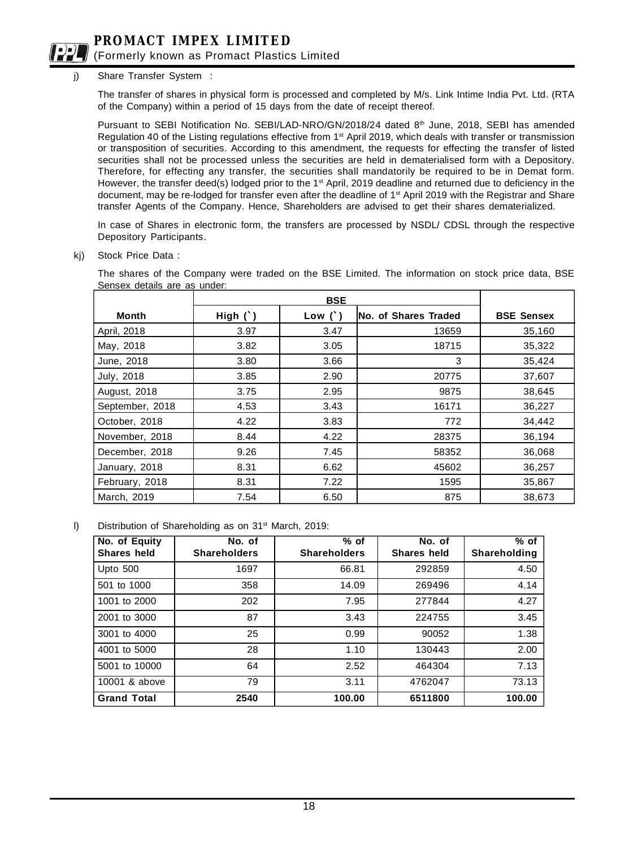#### j) Share Transfer System :

The transfer of shares in physical form is processed and completed by M/s. Link Intime India Pvt. Ltd. (RTA of the Company) within a period of 15 days from the date of receipt thereof.

Pursuant to SEBI Notification No. SEBI/LAD-NRO/GN/2018/24 dated 8<sup>th</sup> June, 2018, SEBI has amended Regulation 40 of the Listing regulations effective from 1<sup>st</sup> April 2019, which deals with transfer or transmission or transposition of securities. According to this amendment, the requests for effecting the transfer of listed securities shall not be processed unless the securities are held in dematerialised form with a Depository. Therefore, for effecting any transfer, the securities shall mandatorily be required to be in Demat form. However, the transfer deed(s) lodged prior to the 1<sup>st</sup> April, 2019 deadline and returned due to deficiency in the document, may be re-lodged for transfer even after the deadline of 1<sup>st</sup> April 2019 with the Registrar and Share transfer Agents of the Company. Hence, Shareholders are advised to get their shares dematerialized.

In case of Shares in electronic form, the transfers are processed by NSDL/ CDSL through the respective Depository Participants.

kj) Stock Price Data :

The shares of the Company were traded on the BSE Limited. The information on stock price data, BSE Sensex details are as under:

| Month           | High $($ ) | Low $( )$ | No. of Shares Traded | <b>BSE Sensex</b> |
|-----------------|------------|-----------|----------------------|-------------------|
| April, 2018     | 3.97       | 3.47      | 13659                | 35,160            |
| May, 2018       | 3.82       | 3.05      | 18715                | 35,322            |
| June, 2018      | 3.80       | 3.66      | 3                    | 35,424            |
| July, 2018      | 3.85       | 2.90      | 20775                | 37,607            |
| August, 2018    | 3.75       | 2.95      | 9875                 | 38,645            |
| September, 2018 | 4.53       | 3.43      | 16171                | 36,227            |
| October, 2018   | 4.22       | 3.83      | 772                  | 34,442            |
| November, 2018  | 8.44       | 4.22      | 28375                | 36,194            |
| December, 2018  | 9.26       | 7.45      | 58352                | 36,068            |
| January, 2018   | 8.31       | 6.62      | 45602                | 36,257            |
| February, 2018  | 8.31       | 7.22      | 1595                 | 35,867            |
| March, 2019     | 7.54       | 6.50      | 875                  | 38.673            |

l) Distribution of Shareholding as on 31<sup>st</sup> March, 2019:

| No. of Equity<br>Shares held | No. of<br><b>Shareholders</b> | $%$ of<br><b>Shareholders</b> | No. of<br><b>Shares held</b> | $%$ of<br>Shareholding |
|------------------------------|-------------------------------|-------------------------------|------------------------------|------------------------|
| Upto 500                     | 1697                          | 66.81                         | 292859                       | 4.50                   |
| 501 to 1000                  | 358                           | 14.09                         | 269496                       | 4.14                   |
| 1001 to 2000                 | 202                           | 7.95                          | 277844                       | 4.27                   |
| 2001 to 3000                 | 87                            | 3.43                          | 224755                       | 3.45                   |
| 3001 to 4000                 | 25                            | 0.99                          | 90052                        | 1.38                   |
| 4001 to 5000                 | 28                            | 1.10                          | 130443                       | 2.00                   |
| 5001 to 10000                | 64                            | 2.52                          | 464304                       | 7.13                   |
| 10001 & above                | 79                            | 3.11                          | 4762047                      | 73.13                  |
| <b>Grand Total</b>           | 2540                          | 100.00                        | 6511800                      | 100.00                 |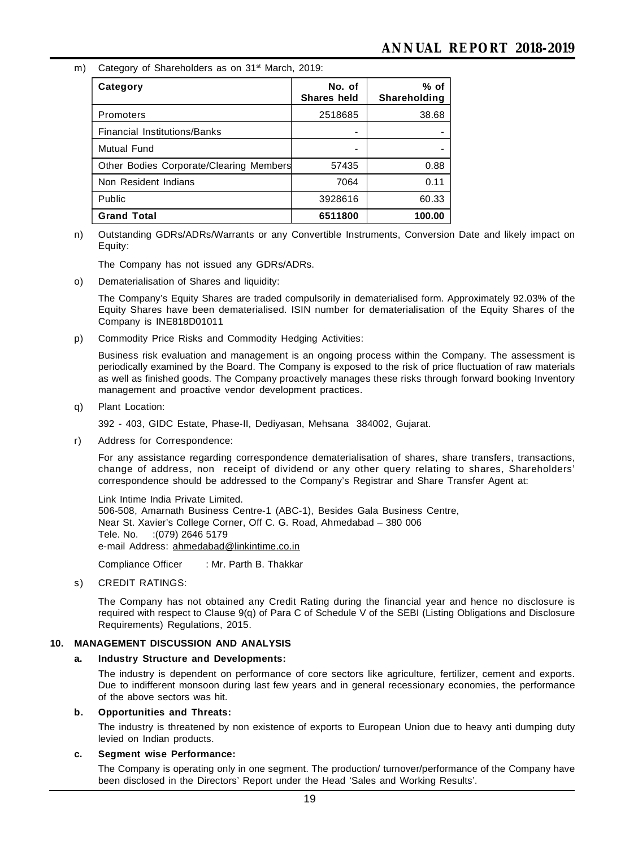m) Category of Shareholders as on 31<sup>st</sup> March, 2019:

| Category                                | No. of<br>Shares held | $%$ of<br>Shareholding |
|-----------------------------------------|-----------------------|------------------------|
| Promoters                               | 2518685               | 38.68                  |
| <b>Financial Institutions/Banks</b>     |                       |                        |
| Mutual Fund                             |                       |                        |
| Other Bodies Corporate/Clearing Members | 57435                 | 0.88                   |
| Non Resident Indians                    | 7064                  | 0.11                   |
| Public                                  | 3928616               | 60.33                  |
| <b>Grand Total</b>                      | 6511800               | 100.00                 |

n) Outstanding GDRs/ADRs/Warrants or any Convertible Instruments, Conversion Date and likely impact on Equity:

The Company has not issued any GDRs/ADRs.

o) Dematerialisation of Shares and liquidity:

The Company's Equity Shares are traded compulsorily in dematerialised form. Approximately 92.03% of the Equity Shares have been dematerialised. ISIN number for dematerialisation of the Equity Shares of the Company is INE818D01011

p) Commodity Price Risks and Commodity Hedging Activities:

Business risk evaluation and management is an ongoing process within the Company. The assessment is periodically examined by the Board. The Company is exposed to the risk of price fluctuation of raw materials as well as finished goods. The Company proactively manages these risks through forward booking Inventory management and proactive vendor development practices.

q) Plant Location:

392 - 403, GIDC Estate, Phase-II, Dediyasan, Mehsana 384002, Gujarat.

r) Address for Correspondence:

For any assistance regarding correspondence dematerialisation of shares, share transfers, transactions, change of address, non receipt of dividend or any other query relating to shares, Shareholders' correspondence should be addressed to the Company's Registrar and Share Transfer Agent at:

Link Intime India Private Limited. 506-508, Amarnath Business Centre-1 (ABC-1), Besides Gala Business Centre, Near St. Xavier's College Corner, Off C. G. Road, Ahmedabad – 380 006 Tele. No. :(079) 2646 5179 e-mail Address: ahmedabad@linkintime.co.in

Compliance Officer : Mr. Parth B. Thakkar

s) CREDIT RATINGS:

The Company has not obtained any Credit Rating during the financial year and hence no disclosure is required with respect to Clause 9(q) of Para C of Schedule V of the SEBI (Listing Obligations and Disclosure Requirements) Regulations, 2015.

#### **10. MANAGEMENT DISCUSSION AND ANALYSIS**

#### **a. Industry Structure and Developments:**

The industry is dependent on performance of core sectors like agriculture, fertilizer, cement and exports. Due to indifferent monsoon during last few years and in general recessionary economies, the performance of the above sectors was hit.

#### **b. Opportunities and Threats:**

The industry is threatened by non existence of exports to European Union due to heavy anti dumping duty levied on Indian products.

#### **c. Segment wise Performance:**

The Company is operating only in one segment. The production/ turnover/performance of the Company have been disclosed in the Directors' Report under the Head 'Sales and Working Results'.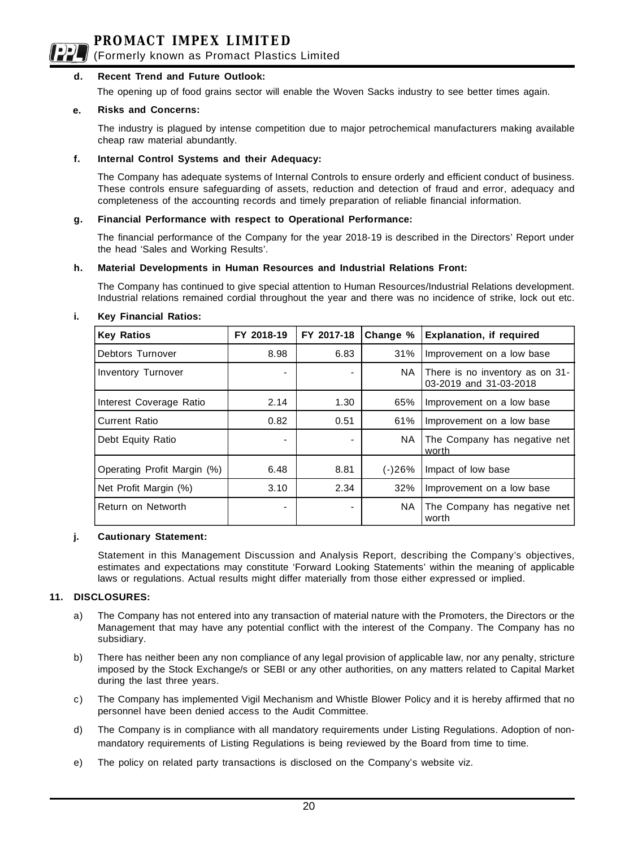

#### **d. Recent Trend and Future Outlook:**

The opening up of food grains sector will enable the Woven Sacks industry to see better times again.

#### **e. Risks and Concerns:**

The industry is plagued by intense competition due to major petrochemical manufacturers making available cheap raw material abundantly.

#### **f. Internal Control Systems and their Adequacy:**

The Company has adequate systems of Internal Controls to ensure orderly and efficient conduct of business. These controls ensure safeguarding of assets, reduction and detection of fraud and error, adequacy and completeness of the accounting records and timely preparation of reliable financial information.

#### **g. Financial Performance with respect to Operational Performance:**

The financial performance of the Company for the year 2018-19 is described in the Directors' Report under the head 'Sales and Working Results'.

#### **h. Material Developments in Human Resources and Industrial Relations Front:**

The Company has continued to give special attention to Human Resources/Industrial Relations development. Industrial relations remained cordial throughout the year and there was no incidence of strike, lock out etc.

#### **i. Key Financial Ratios:**

| <b>Key Ratios</b>           | FY 2018-19 | FY 2017-18 | Change %  | Explanation, if required                                  |
|-----------------------------|------------|------------|-----------|-----------------------------------------------------------|
| Debtors Turnover            | 8.98       | 6.83       | 31%       | Improvement on a low base                                 |
| Inventory Turnover          |            |            | NA.       | There is no inventory as on 31-<br>03-2019 and 31-03-2018 |
| Interest Coverage Ratio     | 2.14       | 1.30       | 65%       | Improvement on a low base                                 |
| l Current Ratio             | 0.82       | 0.51       | 61%       | Improvement on a low base                                 |
| Debt Equity Ratio           | ٠          |            | <b>NA</b> | The Company has negative net<br>worth                     |
| Operating Profit Margin (%) | 6.48       | 8.81       | $(-)26%$  | Impact of low base                                        |
| Net Profit Margin (%)       | 3.10       | 2.34       | 32%       | Improvement on a low base                                 |
| I Return on Networth        | ٠          |            | <b>NA</b> | The Company has negative net<br>worth                     |

#### **j. Cautionary Statement:**

Statement in this Management Discussion and Analysis Report, describing the Company's objectives, estimates and expectations may constitute 'Forward Looking Statements' within the meaning of applicable laws or regulations. Actual results might differ materially from those either expressed or implied.

#### **11. DISCLOSURES:**

- a) The Company has not entered into any transaction of material nature with the Promoters, the Directors or the Management that may have any potential conflict with the interest of the Company. The Company has no subsidiary.
- b) There has neither been any non compliance of any legal provision of applicable law, nor any penalty, stricture imposed by the Stock Exchange/s or SEBI or any other authorities, on any matters related to Capital Market during the last three years.
- c) The Company has implemented Vigil Mechanism and Whistle Blower Policy and it is hereby affirmed that no personnel have been denied access to the Audit Committee.
- d) The Company is in compliance with all mandatory requirements under Listing Regulations. Adoption of nonmandatory requirements of Listing Regulations is being reviewed by the Board from time to time.
- e) The policy on related party transactions is disclosed on the Company's website viz.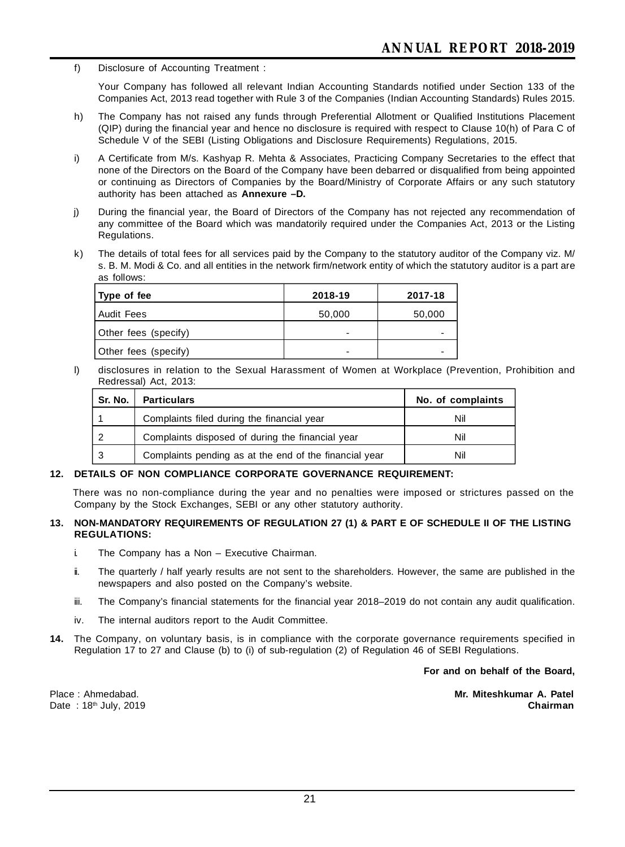f) Disclosure of Accounting Treatment :

Your Company has followed all relevant Indian Accounting Standards notified under Section 133 of the Companies Act, 2013 read together with Rule 3 of the Companies (Indian Accounting Standards) Rules 2015.

- h) The Company has not raised any funds through Preferential Allotment or Qualified Institutions Placement (QIP) during the financial year and hence no disclosure is required with respect to Clause 10(h) of Para C of Schedule V of the SEBI (Listing Obligations and Disclosure Requirements) Regulations, 2015.
- i) A Certificate from M/s. Kashyap R. Mehta & Associates, Practicing Company Secretaries to the effect that none of the Directors on the Board of the Company have been debarred or disqualified from being appointed or continuing as Directors of Companies by the Board/Ministry of Corporate Affairs or any such statutory authority has been attached as **Annexure –D.**
- j) During the financial year, the Board of Directors of the Company has not rejected any recommendation of any committee of the Board which was mandatorily required under the Companies Act, 2013 or the Listing Regulations.
- k) The details of total fees for all services paid by the Company to the statutory auditor of the Company viz. M/ s. B. M. Modi & Co. and all entities in the network firm/network entity of which the statutory auditor is a part are as follows:

| Type of fee          | 2018-19 | 2017-18 |
|----------------------|---------|---------|
| <b>Audit Fees</b>    | 50,000  | 50,000  |
| Other fees (specify) |         |         |
| Other fees (specify) | -       |         |

l) disclosures in relation to the Sexual Harassment of Women at Workplace (Prevention, Prohibition and Redressal) Act, 2013:

| Sr. No. | <b>Particulars</b>                                     | No. of complaints |
|---------|--------------------------------------------------------|-------------------|
|         | Complaints filed during the financial year             | Nil               |
|         | Complaints disposed of during the financial year       | Nil               |
|         | Complaints pending as at the end of the financial year | Nil               |

#### **12. DETAILS OF NON COMPLIANCE CORPORATE GOVERNANCE REQUIREMENT:**

There was no non-compliance during the year and no penalties were imposed or strictures passed on the Company by the Stock Exchanges, SEBI or any other statutory authority.

#### **13. NON-MANDATORY REQUIREMENTS OF REGULATION 27 (1) & PART E OF SCHEDULE II OF THE LISTING REGULATIONS:**

- i. The Company has a Non Executive Chairman.
- ii. The quarterly / half yearly results are not sent to the shareholders. However, the same are published in the newspapers and also posted on the Company's website.
- iii. The Company's financial statements for the financial year 2018–2019 do not contain any audit qualification.
- iv. The internal auditors report to the Audit Committee.
- **14.** The Company, on voluntary basis, is in compliance with the corporate governance requirements specified in Regulation 17 to 27 and Clause (b) to (i) of sub-regulation (2) of Regulation 46 of SEBI Regulations.

**For and on behalf of the Board,**

Place : Ahmedabad. **Mr. Miteshkumar A. Patel** Date : th 18 July, 2019 **Chairman**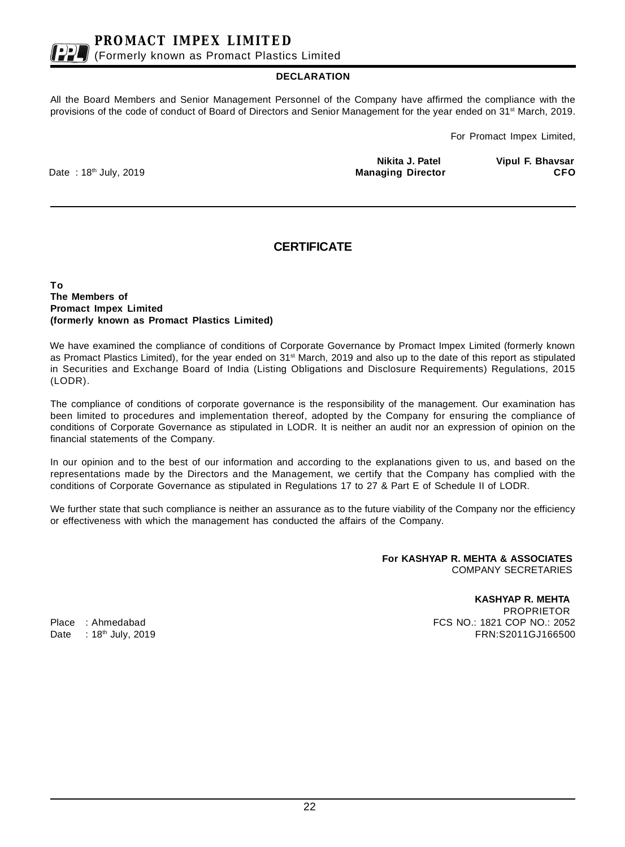#### **DECLARATION**

All the Board Members and Senior Management Personnel of the Company have affirmed the compliance with the provisions of the code of conduct of Board of Directors and Senior Management for the year ended on 31<sup>st</sup> March, 2019.

For Promact Impex Limited,

Date : 18<sup>th</sup> July, 2019 **CFO CHO Managing Director CFO** 

 **Nikita J. Patel Vipul F. Bhavsar**

# **CERTIFICATE**

**To The Members of Promact Impex Limited (formerly known as Promact Plastics Limited)**

We have examined the compliance of conditions of Corporate Governance by Promact Impex Limited (formerly known as Promact Plastics Limited), for the year ended on 31<sup>st</sup> March, 2019 and also up to the date of this report as stipulated in Securities and Exchange Board of India (Listing Obligations and Disclosure Requirements) Regulations, 2015 (LODR).

The compliance of conditions of corporate governance is the responsibility of the management. Our examination has been limited to procedures and implementation thereof, adopted by the Company for ensuring the compliance of conditions of Corporate Governance as stipulated in LODR. It is neither an audit nor an expression of opinion on the financial statements of the Company.

In our opinion and to the best of our information and according to the explanations given to us, and based on the representations made by the Directors and the Management, we certify that the Company has complied with the conditions of Corporate Governance as stipulated in Regulations 17 to 27 & Part E of Schedule II of LODR.

We further state that such compliance is neither an assurance as to the future viability of the Company nor the efficiency or effectiveness with which the management has conducted the affairs of the Company.

> **For KASHYAP R. MEHTA & ASSOCIATES** COMPANY SECRETARIES

**KASHYAP R. MEHTA** PROPRIETOR Place : Ahmedabad FCS NO.: 1821 COP NO.: 2052 FRN:S2011GJ166500

Date :  $18<sup>th</sup>$  July, 2019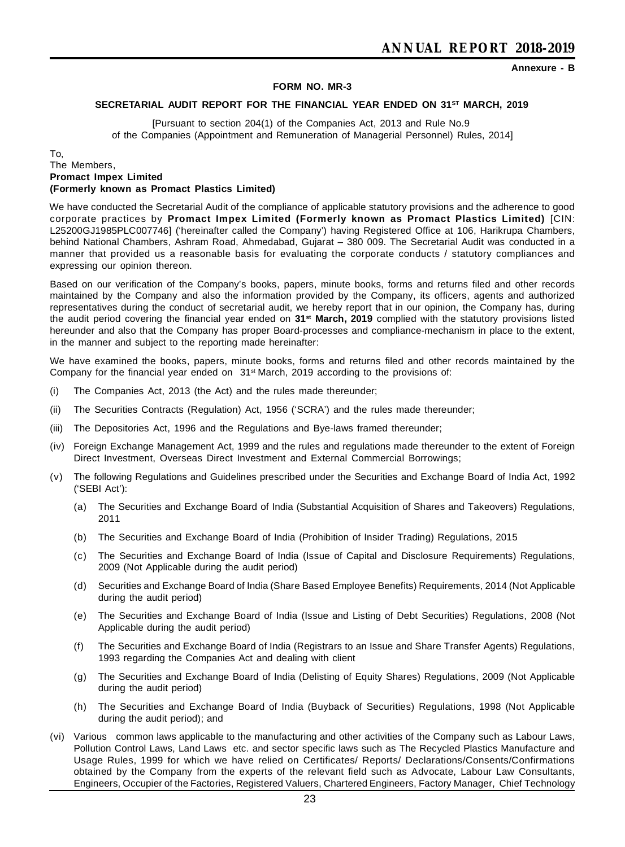**Annexure - B**

#### **FORM NO. MR-3**

#### **ST SECRETARIAL AUDIT REPORT FOR THE FINANCIAL YEAR ENDED ON 31 MARCH, 2019**

[Pursuant to section 204(1) of the Companies Act, 2013 and Rule No.9 of the Companies (Appointment and Remuneration of Managerial Personnel) Rules, 2014]

To, The Members, **Promact Impex Limited (Formerly known as Promact Plastics Limited)**

We have conducted the Secretarial Audit of the compliance of applicable statutory provisions and the adherence to good corporate practices by **Promact Impex Limited (Formerly known as Promact Plastics Limited)** [CIN: L25200GJ1985PLC007746] ('hereinafter called the Company') having Registered Office at 106, Harikrupa Chambers, behind National Chambers, Ashram Road, Ahmedabad, Gujarat – 380 009. The Secretarial Audit was conducted in a manner that provided us a reasonable basis for evaluating the corporate conducts / statutory compliances and expressing our opinion thereon.

Based on our verification of the Company's books, papers, minute books, forms and returns filed and other records maintained by the Company and also the information provided by the Company, its officers, agents and authorized representatives during the conduct of secretarial audit, we hereby report that in our opinion, the Company has, during **st** the audit period covering the financial year ended on **31 March, 2019** complied with the statutory provisions listed hereunder and also that the Company has proper Board-processes and compliance-mechanism in place to the extent, in the manner and subject to the reporting made hereinafter:

We have examined the books, papers, minute books, forms and returns filed and other records maintained by the Company for the financial year ended on  $31<sup>st</sup>$  March, 2019 according to the provisions of:

- (i) The Companies Act, 2013 (the Act) and the rules made thereunder;
- (ii) The Securities Contracts (Regulation) Act, 1956 ('SCRA') and the rules made thereunder;
- (iii) The Depositories Act, 1996 and the Regulations and Bye-laws framed thereunder;
- (iv) Foreign Exchange Management Act, 1999 and the rules and regulations made thereunder to the extent of Foreign Direct Investment, Overseas Direct Investment and External Commercial Borrowings;
- (v) The following Regulations and Guidelines prescribed under the Securities and Exchange Board of India Act, 1992 ('SEBI Act'):
	- (a) The Securities and Exchange Board of India (Substantial Acquisition of Shares and Takeovers) Regulations, 2011
	- (b) The Securities and Exchange Board of India (Prohibition of Insider Trading) Regulations, 2015
	- (c) The Securities and Exchange Board of India (Issue of Capital and Disclosure Requirements) Regulations, 2009 (Not Applicable during the audit period)
	- (d) Securities and Exchange Board of India (Share Based Employee Benefits) Requirements, 2014 (Not Applicable during the audit period)
	- (e) The Securities and Exchange Board of India (Issue and Listing of Debt Securities) Regulations, 2008 (Not Applicable during the audit period)
	- (f) The Securities and Exchange Board of India (Registrars to an Issue and Share Transfer Agents) Regulations, 1993 regarding the Companies Act and dealing with client
	- (g) The Securities and Exchange Board of India (Delisting of Equity Shares) Regulations, 2009 (Not Applicable during the audit period)
	- (h) The Securities and Exchange Board of India (Buyback of Securities) Regulations, 1998 (Not Applicable during the audit period); and
- (vi) Various common laws applicable to the manufacturing and other activities of the Company such as Labour Laws, Pollution Control Laws, Land Laws etc. and sector specific laws such as The Recycled Plastics Manufacture and Usage Rules, 1999 for which we have relied on Certificates/ Reports/ Declarations/Consents/Confirmations obtained by the Company from the experts of the relevant field such as Advocate, Labour Law Consultants, Engineers, Occupier of the Factories, Registered Valuers, Chartered Engineers, Factory Manager, Chief Technology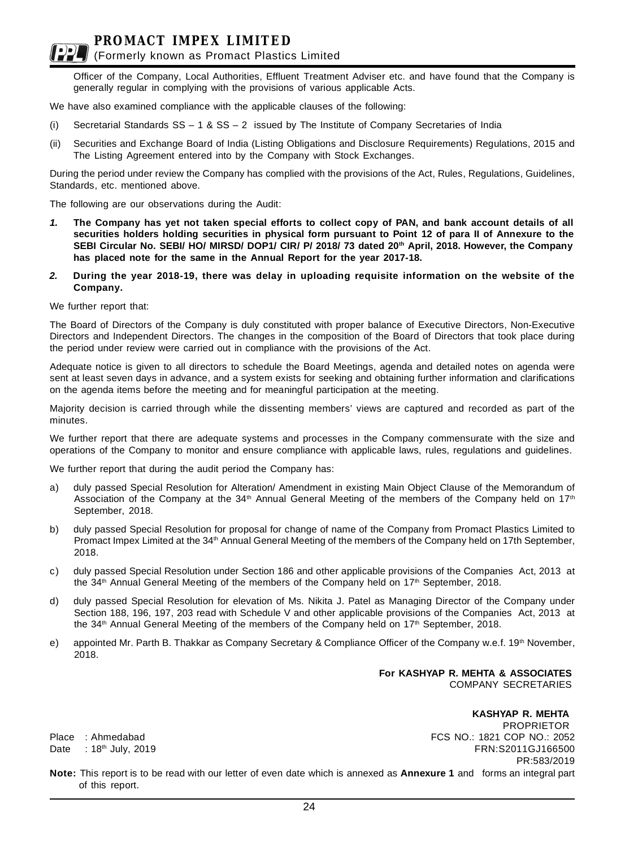# **PROMACT IMPEX LIMITED** (Formerly known as Promact Plastics Limited

Officer of the Company, Local Authorities, Effluent Treatment Adviser etc. and have found that the Company is generally regular in complying with the provisions of various applicable Acts.

We have also examined compliance with the applicable clauses of the following:

- (i) Secretarial Standards  $SS 1$  &  $SS 2$  issued by The Institute of Company Secretaries of India
- (ii) Securities and Exchange Board of India (Listing Obligations and Disclosure Requirements) Regulations, 2015 and The Listing Agreement entered into by the Company with Stock Exchanges.

During the period under review the Company has complied with the provisions of the Act, Rules, Regulations, Guidelines, Standards, etc. mentioned above.

The following are our observations during the Audit:

- **1. The Company has yet not taken special efforts to collect copy of PAN, and bank account details of all securities holders holding securities in physical form pursuant to Point 12 of para II of Annexure to the th SEBI Circular No. SEBI/ HO/ MIRSD/ DOP1/ CIR/ P/ 2018/ 73 dated 20 April, 2018. However, the Company has placed note for the same in the Annual Report for the year 2017-18.**
- **2. During the year 2018-19, there was delay in uploading requisite information on the website of the Company.**

We further report that:

The Board of Directors of the Company is duly constituted with proper balance of Executive Directors, Non-Executive Directors and Independent Directors. The changes in the composition of the Board of Directors that took place during the period under review were carried out in compliance with the provisions of the Act.

Adequate notice is given to all directors to schedule the Board Meetings, agenda and detailed notes on agenda were sent at least seven days in advance, and a system exists for seeking and obtaining further information and clarifications on the agenda items before the meeting and for meaningful participation at the meeting.

Majority decision is carried through while the dissenting members' views are captured and recorded as part of the minutes.

We further report that there are adequate systems and processes in the Company commensurate with the size and operations of the Company to monitor and ensure compliance with applicable laws, rules, regulations and guidelines.

We further report that during the audit period the Company has:

- a) duly passed Special Resolution for Alteration/ Amendment in existing Main Object Clause of the Memorandum of Association of the Company at the 34<sup>th</sup> Annual General Meeting of the members of the Company held on  $17<sup>th</sup>$ September, 2018.
- b) duly passed Special Resolution for proposal for change of name of the Company from Promact Plastics Limited to Promact Impex Limited at the 34<sup>th</sup> Annual General Meeting of the members of the Company held on 17th September, 2018.
- c) duly passed Special Resolution under Section 186 and other applicable provisions of the Companies Act, 2013 at the 34<sup>th</sup> Annual General Meeting of the members of the Company held on  $17<sup>th</sup>$  September, 2018.
- d) duly passed Special Resolution for elevation of Ms. Nikita J. Patel as Managing Director of the Company under Section 188, 196, 197, 203 read with Schedule V and other applicable provisions of the Companies Act, 2013 at the 34<sup>th</sup> Annual General Meeting of the members of the Company held on  $17<sup>th</sup>$  September, 2018.
- e) appointed Mr. Parth B. Thakkar as Company Secretary & Compliance Officer of the Company w.e.f. 19th November, 2018.

**For KASHYAP R. MEHTA & ASSOCIATES** COMPANY SECRETARIES

**KASHYAP R. MEHTA** PROPRIETOR Place : Ahmedabad FCS NO.: 1821 COP NO.: 2052 Date : 18<sup>th</sup> July, 2019 **FRN:S2011GJ166500** PR:583/2019

**Note:** This report is to be read with our letter of even date which is annexed as **Annexure 1** and forms an integral part of this report.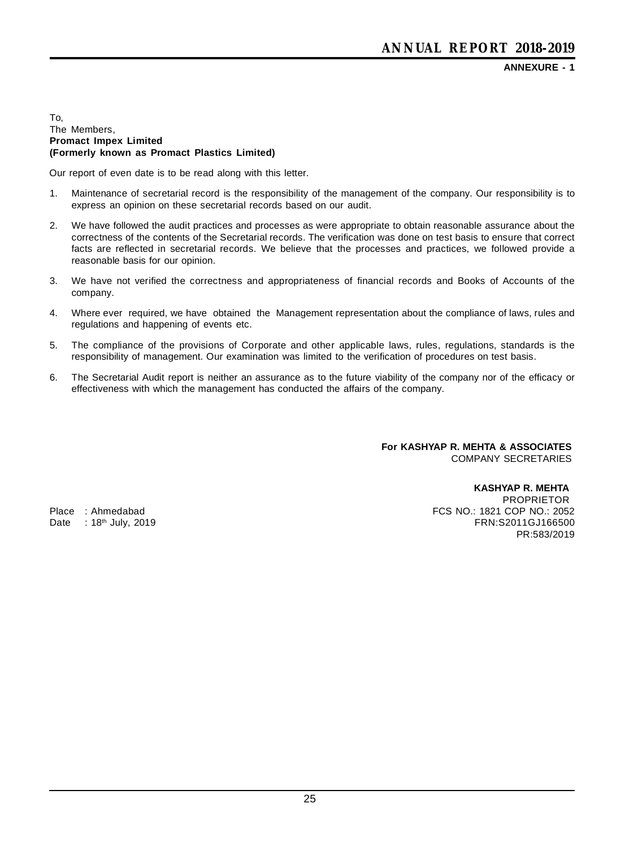**ANNEXURE - 1**

To, The Members, **Promact Impex Limited (Formerly known as Promact Plastics Limited)**

Our report of even date is to be read along with this letter.

- 1. Maintenance of secretarial record is the responsibility of the management of the company. Our responsibility is to express an opinion on these secretarial records based on our audit.
- 2. We have followed the audit practices and processes as were appropriate to obtain reasonable assurance about the correctness of the contents of the Secretarial records. The verification was done on test basis to ensure that correct facts are reflected in secretarial records. We believe that the processes and practices, we followed provide a reasonable basis for our opinion.
- 3. We have not verified the correctness and appropriateness of financial records and Books of Accounts of the company.
- 4. Where ever required, we have obtained the Management representation about the compliance of laws, rules and regulations and happening of events etc.
- 5. The compliance of the provisions of Corporate and other applicable laws, rules, regulations, standards is the responsibility of management. Our examination was limited to the verification of procedures on test basis.
- 6. The Secretarial Audit report is neither an assurance as to the future viability of the company nor of the efficacy or effectiveness with which the management has conducted the affairs of the company.

**For KASHYAP R. MEHTA & ASSOCIATES** COMPANY SECRETARIES

Date :  $18<sup>th</sup>$  July, 2019

**KASHYAP R. MEHTA** PROPRIETOR Place : Ahmedabad FCS NO.: 1821 COP NO.: 2052 PR:583/2019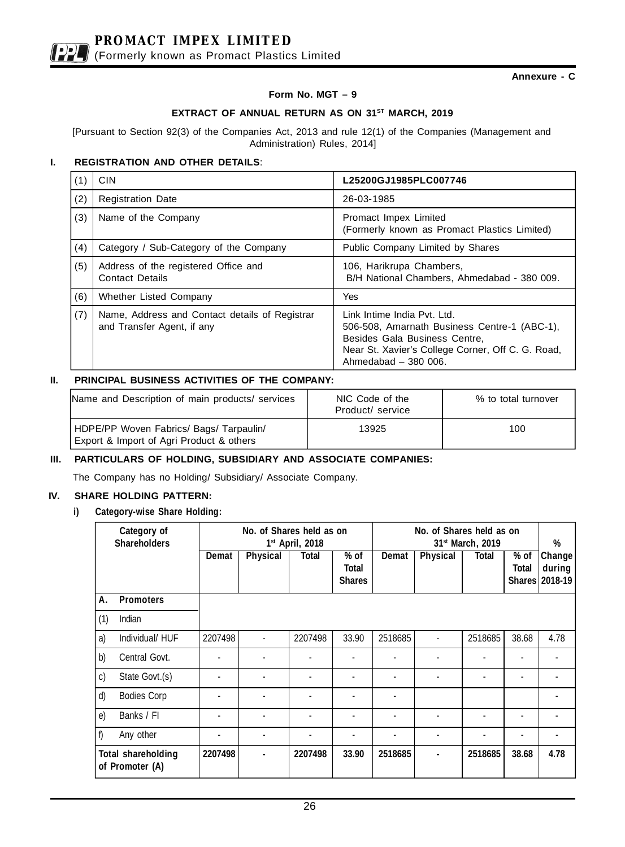#### **Annexure - C**

#### **Form No. MGT – 9**

#### **ST EXTRACT OF ANNUAL RETURN AS ON 31 MARCH, 2019**

[Pursuant to Section 92(3) of the Companies Act, 2013 and rule 12(1) of the Companies (Management and Administration) Rules, 2014]

#### **I. REGISTRATION AND OTHER DETAILS**:

| (1) | <b>CIN</b>                                                                   | L25200GJ1985PLC007746                                                                                                                                                                     |
|-----|------------------------------------------------------------------------------|-------------------------------------------------------------------------------------------------------------------------------------------------------------------------------------------|
| (2) | <b>Registration Date</b>                                                     | 26-03-1985                                                                                                                                                                                |
| (3) | Name of the Company                                                          | Promact Impex Limited<br>(Formerly known as Promact Plastics Limited)                                                                                                                     |
| (4) | Category / Sub-Category of the Company                                       | Public Company Limited by Shares                                                                                                                                                          |
| (5) | Address of the registered Office and<br><b>Contact Details</b>               | 106, Harikrupa Chambers,<br>B/H National Chambers, Ahmedabad - 380 009.                                                                                                                   |
| (6) | Whether Listed Company                                                       | Yes                                                                                                                                                                                       |
| (7) | Name, Address and Contact details of Registrar<br>and Transfer Agent, if any | Link Intime India Pvt. Ltd.<br>506-508, Amarnath Business Centre-1 (ABC-1),<br>Besides Gala Business Centre,<br>Near St. Xavier's College Corner, Off C. G. Road,<br>Ahmedabad - 380 006. |

#### **II. PRINCIPAL BUSINESS ACTIVITIES OF THE COMPANY:**

| Name and Description of main products/ services                                     | NIC Code of the<br>Product/ service | % to total turnover |
|-------------------------------------------------------------------------------------|-------------------------------------|---------------------|
| HDPE/PP Woven Fabrics/ Bags/ Tarpaulin/<br>Export & Import of Agri Product & others | 13925                               | 100                 |

#### **III. PARTICULARS OF HOLDING, SUBSIDIARY AND ASSOCIATE COMPANIES:**

The Company has no Holding/ Subsidiary/ Associate Company.

#### **IV. SHARE HOLDING PATTERN:**

**i) Category-wise Share Holding:**

|            | Category of<br>Shareholders           |         | No. of Shares held as on | $1st$ April, 2018 |                                              | No. of Shares held as on<br>31st March, 2019 |          | %       |                             |                                    |
|------------|---------------------------------------|---------|--------------------------|-------------------|----------------------------------------------|----------------------------------------------|----------|---------|-----------------------------|------------------------------------|
|            |                                       | Demat   | Physical                 | Total             | $\overline{\%}$ of<br>Total<br><b>Shares</b> | Demat                                        | Physical | Total   | $\overline{\%}$ of<br>Total | Change<br>during<br>Shares 2018-19 |
| Α.         | Promoters                             |         |                          |                   |                                              |                                              |          |         |                             |                                    |
| (1)        | Indian                                |         |                          |                   |                                              |                                              |          |         |                             |                                    |
| a)         | Individual/ HUF                       | 2207498 |                          | 2207498           | 33.90                                        | 2518685                                      |          | 2518685 | 38.68                       | 4.78                               |
| b)         | Central Govt.                         |         | $\overline{a}$           |                   |                                              | ٠                                            |          | ٠       |                             |                                    |
| c)         | State Govt.(s)                        |         | ٠                        |                   |                                              |                                              |          | ٠       |                             |                                    |
| d)         | <b>Bodies Corp</b>                    |         | ٠                        |                   |                                              |                                              |          |         |                             |                                    |
| $\epsilon$ | Banks / FI                            |         | ٠                        |                   |                                              |                                              |          |         |                             |                                    |
| f)         | Any other                             |         |                          |                   |                                              |                                              |          |         |                             |                                    |
|            | Total shareholding<br>of Promoter (A) | 2207498 |                          | 2207498           | 33.90                                        | 2518685                                      |          | 2518685 | 38.68                       | 4.78                               |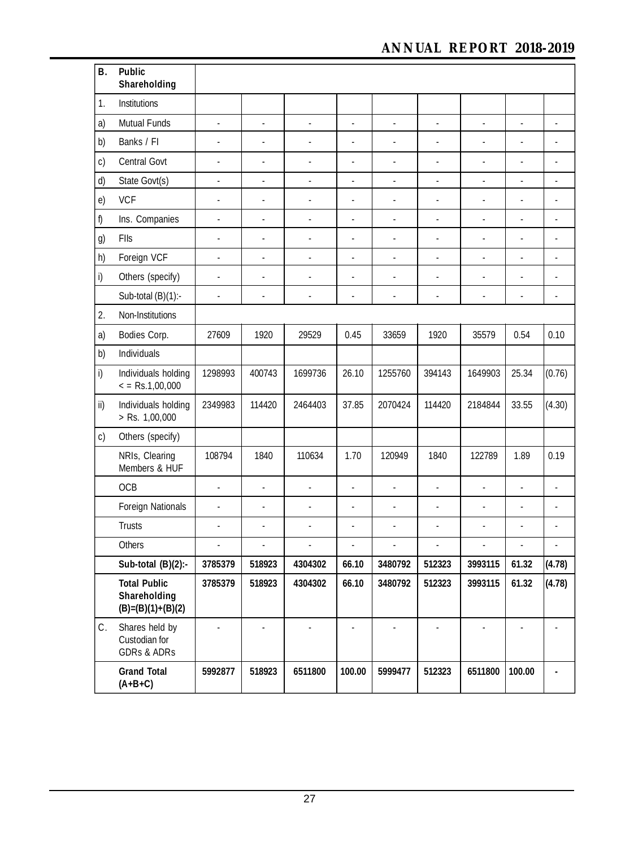| <b>B.</b>     | Public<br>Shareholding                                     |                              |                          |                          |                          |                              |                          |                          |                          |                          |
|---------------|------------------------------------------------------------|------------------------------|--------------------------|--------------------------|--------------------------|------------------------------|--------------------------|--------------------------|--------------------------|--------------------------|
| 1.            | <b>Institutions</b>                                        |                              |                          |                          |                          |                              |                          |                          |                          |                          |
| a)            | Mutual Funds                                               | ÷                            | $\overline{\phantom{a}}$ | $\overline{\phantom{a}}$ | $\overline{\phantom{0}}$ | $\overline{\phantom{a}}$     | $\overline{\phantom{a}}$ | $\overline{\phantom{a}}$ | $\overline{\phantom{a}}$ | $\overline{\phantom{a}}$ |
| b)            | Banks / FI                                                 | $\overline{a}$               | $\overline{a}$           | l,                       |                          | $\overline{a}$               |                          | $\overline{a}$           |                          |                          |
| c)            | Central Govt                                               | $\overline{a}$               | $\overline{a}$           | $\overline{a}$           | $\overline{a}$           | $\overline{a}$               | $\overline{a}$           | $\overline{a}$           |                          |                          |
| d)            | State Govt(s)                                              | $\frac{1}{2}$                | $\frac{1}{2}$            | $\overline{a}$           | $\overline{a}$           | $\overline{\phantom{a}}$     | $\overline{a}$           | $\overline{a}$           | $\frac{1}{2}$            | $\overline{a}$           |
| e)            | <b>VCF</b>                                                 | $\qquad \qquad \blacksquare$ | $\overline{\phantom{a}}$ | $\overline{\phantom{a}}$ | $\overline{\phantom{a}}$ | $\qquad \qquad \blacksquare$ | ÷,                       | -                        | $\overline{a}$           | ÷,                       |
| f)            | Ins. Companies                                             | $\overline{a}$               | $\overline{\phantom{a}}$ | $\overline{a}$           | $\overline{a}$           | $\overline{a}$               | $\overline{a}$           | $\overline{a}$           |                          |                          |
| g)            | Flls                                                       | $\overline{a}$               | $\frac{1}{2}$            | $\frac{1}{2}$            | $\frac{1}{2}$            | $\overline{a}$               | $\overline{a}$           | $\overline{a}$           | $\overline{a}$           |                          |
| h)            | Foreign VCF                                                | ÷,                           | $\overline{\phantom{a}}$ | $\blacksquare$           | $\blacksquare$           | $\overline{\phantom{a}}$     | $\overline{\phantom{a}}$ | ÷,                       | $\overline{\phantom{a}}$ | $\blacksquare$           |
| i)            | Others (specify)                                           | $\overline{a}$               | $\overline{a}$           | $\overline{a}$           | $\overline{a}$           | $\overline{\phantom{a}}$     | L,                       | $\overline{a}$           | Ĭ.                       |                          |
|               | Sub-total (B)(1):-                                         | $\frac{1}{2}$                | $\overline{\phantom{a}}$ | $\overline{\phantom{a}}$ | $\overline{a}$           | $\overline{\phantom{a}}$     | $\overline{a}$           | $\frac{1}{2}$            | $\overline{a}$           | $\overline{a}$           |
| 2.            | Non-Institutions                                           |                              |                          |                          |                          |                              |                          |                          |                          |                          |
| a)            | Bodies Corp.                                               | 27609                        | 1920                     | 29529                    | 0.45                     | 33659                        | 1920                     | 35579                    | 0.54                     | 0.10                     |
| b)            | Individuals                                                |                              |                          |                          |                          |                              |                          |                          |                          |                          |
| i)            | Individuals holding<br>$\epsilon =$ Rs.1,00,000            | 1298993                      | 400743                   | 1699736                  | 26.10                    | 1255760                      | 394143                   | 1649903                  | 25.34                    | (0.76)                   |
| ii)           | Individuals holding<br>$>$ Rs. 1,00,000                    | 2349983                      | 114420                   | 2464403                  | 37.85                    | 2070424                      | 114420                   | 2184844                  | 33.55                    | (4.30)                   |
| c)            | Others (specify)                                           |                              |                          |                          |                          |                              |                          |                          |                          |                          |
|               | NRIs, Clearing<br>Members & HUF                            | 108794                       | 1840                     | 110634                   | 1.70                     | 120949                       | 1840                     | 122789                   | 1.89                     | 0.19                     |
|               | <b>OCB</b>                                                 | ÷,                           | $\blacksquare$           |                          |                          | $\overline{a}$               | $\overline{a}$           | $\overline{a}$           | $\overline{a}$           |                          |
|               | Foreign Nationals                                          | $\overline{a}$               | $\overline{a}$           | L,                       | ÷,                       | ÷,                           | Ĭ.                       | Ĭ.                       | L,                       |                          |
|               | <b>Trusts</b>                                              | $\overline{a}$               | $\overline{a}$           | $\overline{a}$           |                          |                              | $\overline{a}$           |                          | L,                       |                          |
|               | Others                                                     | $\overline{a}$               | $\overline{a}$           | $\overline{a}$           | $\overline{a}$           | $\overline{a}$               | $\overline{a}$           | $\overline{a}$           | $\overline{a}$           | $\overline{a}$           |
|               | Sub-total (B)(2):-                                         | 3785379                      | 518923                   | 4304302                  | 66.10                    | 3480792                      | 512323                   | 3993115                  | 61.32                    | (4.78)                   |
|               | <b>Total Public</b><br>Shareholding<br>$(B)=(B)(1)+(B)(2)$ | 3785379                      | 518923                   | 4304302                  | 66.10                    | 3480792                      | 512323                   | 3993115                  | 61.32                    | (4.78)                   |
| $\mathsf{C}.$ | Shares held by<br>Custodian for<br><b>GDRs &amp; ADRs</b>  | $\frac{1}{2}$                | $\overline{\phantom{a}}$ | $\blacksquare$           | $\overline{\phantom{a}}$ | $\overline{\phantom{a}}$     | $\overline{\phantom{a}}$ | ÷,                       | ÷,                       | ÷,                       |
|               | <b>Grand Total</b><br>$(A+B+C)$                            | 5992877                      | 518923                   | 6511800                  | 100.00                   | 5999477                      | 512323                   | 6511800                  | 100.00                   | $\overline{a}$           |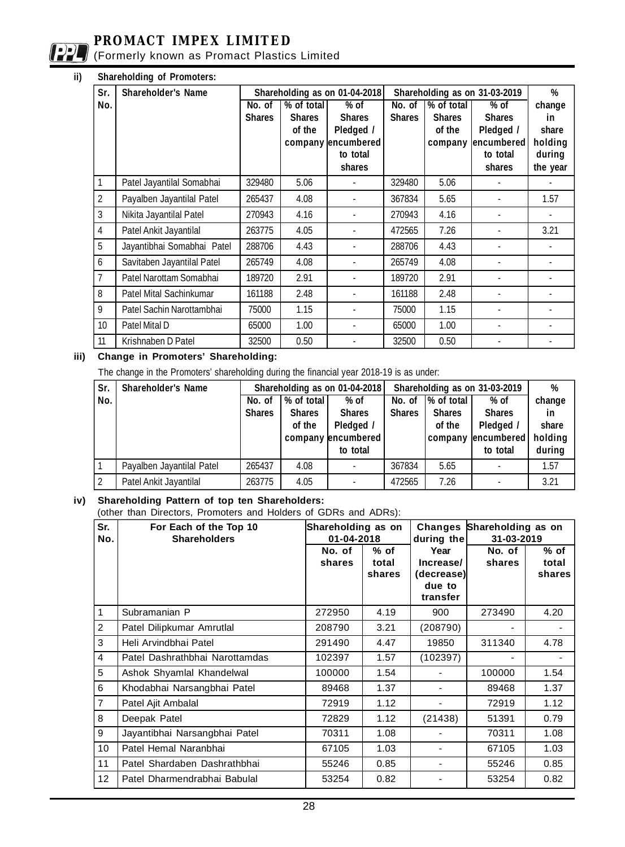# **PROMACT IMPEX LIMITED** (Formerly known as Promact Plastics Limited

# **ii) Shareholding of Promoters: Sr. Shareholder's Name Shareholding as on 01-04-2018 Shareholding as on 31-03-2019 % No. No. of % of total % of No. of % of total % of change Shares Shares Shares Shares Shares Shares in of the Pledged / of the Pledged / share company encumbered company encumbered holding to total to total during shares shares the year** 1 Patel Jayantilal Somabhai 329480 5.06 - 329480 5.06 - - 2 Payalben Jayantilal Patel 265437 4.08 - 367834 5.65 - 1.57 3 Nikita Jayantilal Patel 270943 4.16 - 270943 4.16 -4 Patel Ankit Jayantilal (263775 | 4.05 | - | 472565 | 7.26 | - | 3.21 5 | Jayantibhai Somabhai Patel | 288706 | 4.43 | - | 288706 | 4.43 | - | -6 Savitaben Jayantilal Patel 265749 4.08 - 265749 4.08 - - 7 Patel Narottam Somabhai 189720 2.91 - 189720 2.91 - - 8 Patel Mital Sachinkumar 161188 2.48 - 161188 2.48 - 1 9 | Patel Sachin Narottambhai | 75000 | 1.15 | - | 75000 | 1.15 | - | -10 Patel Mital D 65000 1.00 - 65000 1.00 - - 11 Krishnaben D Patel 32500 0.50 - 32500 0.50 - -

#### **iii) Change in Promoters' Shareholding:**

The change in the Promoters' shareholding during the financial year 2018-19 is as under:

| Sr. | Shareholder's Name        | Shareholding as on 01-04-2018 |            |                    | Shareholding as on 31-03-2019 |               |                    | %       |
|-----|---------------------------|-------------------------------|------------|--------------------|-------------------------------|---------------|--------------------|---------|
| No. |                           | No. of                        | % of total | % of               | No. of                        | % of total    | % of               | change  |
|     |                           | <b>Shares</b>                 | Shares     | <b>Shares</b>      | <b>Shares</b>                 | <b>Shares</b> | <b>Shares</b>      | in      |
|     |                           |                               | of the     | Pledged /          |                               | of the        | Pledged /          | share   |
|     |                           |                               |            | company encumbered |                               |               | company encumbered | holding |
|     |                           |                               |            | to total           |                               |               | to total           | during  |
|     | Payalben Jayantilal Patel | 265437                        | 4.08       |                    | 367834                        | 5.65          |                    | 1.57    |
|     | Patel Ankit Jayantilal    | 263775                        | 4.05       |                    | 472565                        | 7.26          |                    | 3.21    |

#### **iv) Shareholding Pattern of top ten Shareholders:**

(other than Directors, Promoters and Holders of GDRs and ADRs):

| Sr.<br>No.     | For Each of the Top 10<br><b>Shareholders</b> | Shareholding as on<br>01-04-2018 |                           | Changes<br>during the                                 | Shareholding as on<br>31-03-2019 |                         |
|----------------|-----------------------------------------------|----------------------------------|---------------------------|-------------------------------------------------------|----------------------------------|-------------------------|
|                |                                               | No. of<br>shares                 | $%$ of<br>total<br>shares | Year<br>Increase/<br>(decrease)<br>due to<br>transfer | No. of<br>shares                 | % of<br>total<br>shares |
| 1              | Subramanian P                                 | 272950                           | 4.19                      | 900                                                   | 273490                           | 4.20                    |
| 2              | Patel Dilipkumar Amrutlal                     | 208790                           | 3.21                      | (208790)                                              |                                  |                         |
| 3              | Heli Arvindbhai Patel                         | 291490                           | 4.47                      | 19850                                                 | 311340                           | 4.78                    |
| 4              | Patel Dashrathbhai Narottamdas                | 102397                           | 1.57                      | (102397)                                              |                                  |                         |
| 5              | Ashok Shyamlal Khandelwal                     | 100000                           | 1.54                      |                                                       | 100000                           | 1.54                    |
| 6              | Khodabhai Narsangbhai Patel                   | 89468                            | 1.37                      |                                                       | 89468                            | 1.37                    |
| $\overline{7}$ | Patel Ajit Ambalal                            | 72919                            | 1.12                      |                                                       | 72919                            | 1.12                    |
| 8              | Deepak Patel                                  | 72829                            | 1.12                      | (21438)                                               | 51391                            | 0.79                    |
| 9              | Jayantibhai Narsangbhai Patel                 | 70311                            | 1.08                      |                                                       | 70311                            | 1.08                    |
| 10             | Patel Hemal Naranbhai                         | 67105                            | 1.03                      |                                                       | 67105                            | 1.03                    |
| 11             | Patel Shardaben Dashrathbhai                  | 55246                            | 0.85                      |                                                       | 55246                            | 0.85                    |
| 12             | Patel Dharmendrabhai Babulal                  | 53254                            | 0.82                      |                                                       | 53254                            | 0.82                    |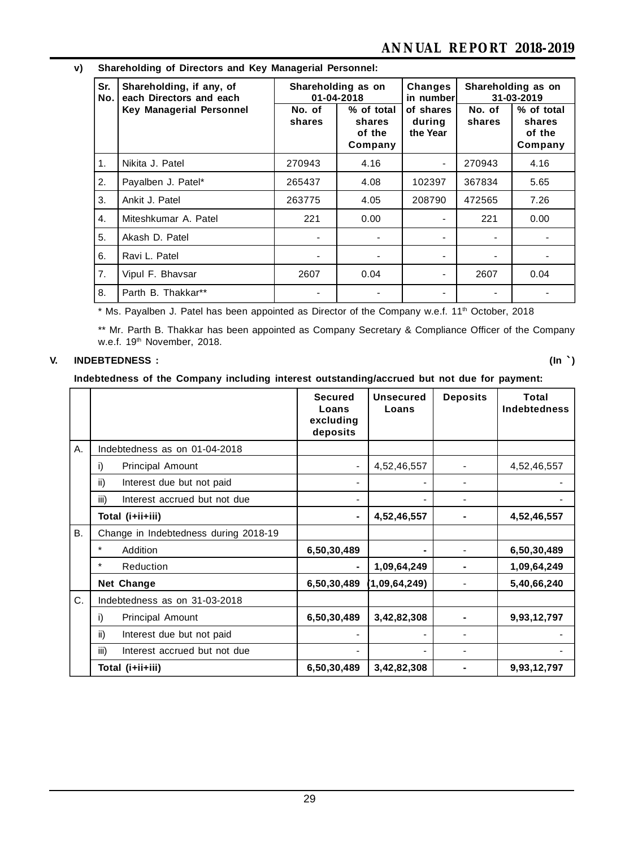#### **v) Shareholding of Directors and Key Managerial Personnel:**

| Sr.<br>No.       | Shareholding, if any, of<br>each Directors and each | Shareholding as on<br>01-04-2018 |                                           | <b>Changes</b><br>in number     |                  | Shareholding as on<br>31-03-2019          |
|------------------|-----------------------------------------------------|----------------------------------|-------------------------------------------|---------------------------------|------------------|-------------------------------------------|
|                  | Key Managerial Personnel                            | No. of<br>shares                 | % of total<br>shares<br>of the<br>Company | of shares<br>during<br>the Year | No. of<br>shares | % of total<br>shares<br>of the<br>Company |
| 1.               | Nikita J. Patel                                     | 270943                           | 4.16                                      | $\overline{\phantom{0}}$        | 270943           | 4.16                                      |
| 2.               | Payalben J. Patel*                                  | 265437                           | 4.08                                      | 102397                          | 367834           | 5.65                                      |
| 3.               | Ankit J. Patel                                      | 263775                           | 4.05                                      | 208790                          | 472565           | 7.26                                      |
| $\overline{4}$ . | Miteshkumar A. Patel                                | 221                              | 0.00                                      |                                 | 221              | 0.00                                      |
| 5.               | Akash D. Patel                                      |                                  |                                           |                                 |                  |                                           |
| 6.               | Ravi L. Patel                                       |                                  |                                           | -                               |                  |                                           |
| 7.               | Vipul F. Bhavsar                                    | 2607                             | 0.04                                      | -                               | 2607             | 0.04                                      |
| 8.               | Parth B. Thakkar**                                  |                                  |                                           | ٠                               |                  |                                           |

\* Ms. Payalben J. Patel has been appointed as Director of the Company w.e.f. 11<sup>th</sup> October, 2018

\*\* Mr. Parth B. Thakkar has been appointed as Company Secretary & Compliance Officer of the Company w.e.f. 19<sup>th</sup> November, 2018.

#### **V. INDEBTEDNESS : (In** `**)**

#### **Indebtedness of the Company including interest outstanding/accrued but not due for payment:**

|           |                                       | Secured<br>Loans<br>excluding<br>deposits | Unsecured<br>Loans | <b>Deposits</b> | Total<br><b>Indebtedness</b> |
|-----------|---------------------------------------|-------------------------------------------|--------------------|-----------------|------------------------------|
| A.        | Indebtedness as on 01-04-2018         |                                           |                    |                 |                              |
|           | i)<br><b>Principal Amount</b>         | $\overline{\phantom{a}}$                  | 4,52,46,557        |                 | 4,52,46,557                  |
|           | ii)<br>Interest due but not paid      | $\overline{\phantom{a}}$                  | ٠                  |                 |                              |
|           | iii)<br>Interest accrued but not due  | ٠                                         | ۰                  |                 |                              |
|           | Total (i+ii+iii)                      | $\overline{\phantom{a}}$                  | 4,52,46,557        |                 | 4,52,46,557                  |
| <b>B.</b> | Change in Indebtedness during 2018-19 |                                           |                    |                 |                              |
|           | $\star$<br>Addition                   | 6,50,30,489                               | $\blacksquare$     |                 | 6,50,30,489                  |
|           | $\star$<br>Reduction                  | $\blacksquare$                            | 1,09,64,249        |                 | 1,09,64,249                  |
|           | Net Change                            | 6,50,30,489                               | 1,09,64,249        |                 | 5,40,66,240                  |
| C.        | Indebtedness as on 31-03-2018         |                                           |                    |                 |                              |
|           | i)<br><b>Principal Amount</b>         | 6,50,30,489                               | 3,42,82,308        |                 | 9,93,12,797                  |
|           | ii)<br>Interest due but not paid      |                                           | -                  |                 |                              |
|           | iii)<br>Interest accrued but not due  | ٠                                         | ٠                  |                 |                              |
|           | Total (i+ii+iii)                      | 6,50,30,489                               | 3,42,82,308        |                 | 9,93,12,797                  |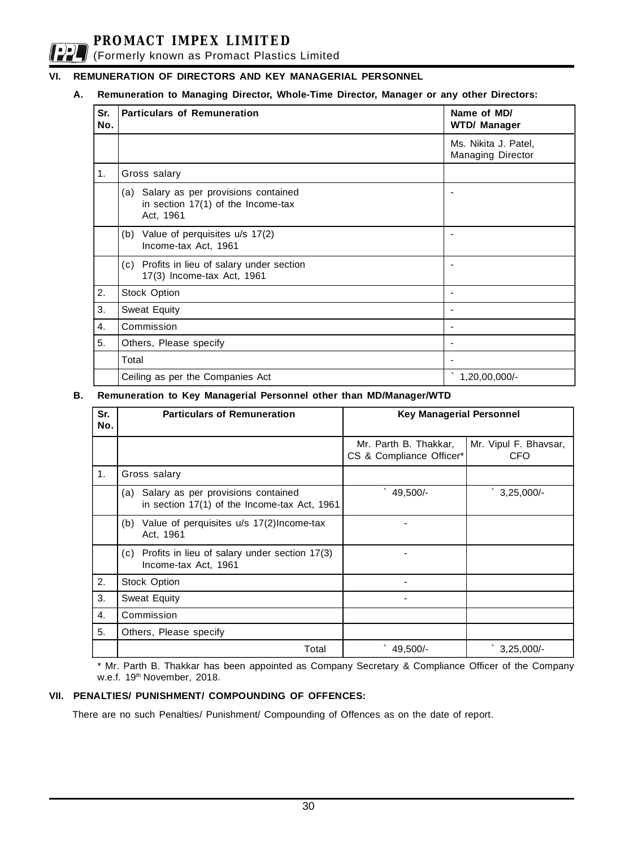

#### **VI. REMUNERATION OF DIRECTORS AND KEY MANAGERIAL PERSONNEL**

#### **A. Remuneration to Managing Director, Whole-Time Director, Manager or any other Directors:**

| Sr.<br>No. | <b>Particulars of Remuneration</b>                                                        | Name of MD/<br>WTD/ Manager               |
|------------|-------------------------------------------------------------------------------------------|-------------------------------------------|
|            |                                                                                           | Ms. Nikita J. Patel,<br>Managing Director |
| 1.         | Gross salary                                                                              |                                           |
|            | (a) Salary as per provisions contained<br>in section 17(1) of the Income-tax<br>Act, 1961 |                                           |
|            | (b) Value of perquisites u/s 17(2)<br>Income-tax Act, 1961                                |                                           |
|            | (c) Profits in lieu of salary under section<br>17(3) Income-tax Act, 1961                 |                                           |
| 2.         | Stock Option                                                                              |                                           |
| 3.         | <b>Sweat Equity</b>                                                                       |                                           |
| 4.         | Commission                                                                                |                                           |
| 5.         | Others, Please specify                                                                    |                                           |
|            | Total                                                                                     |                                           |
|            | Ceiling as per the Companies Act                                                          | $\degree$ 1,20,00,000/-                   |

#### **B. Remuneration to Key Managerial Personnel other than MD/Manager/WTD**

| Sr.            | <b>Particulars of Remuneration</b>                                                        | <b>Key Managerial Personnel</b>                   |                              |
|----------------|-------------------------------------------------------------------------------------------|---------------------------------------------------|------------------------------|
| No.            |                                                                                           |                                                   |                              |
|                |                                                                                           | Mr. Parth B. Thakkar,<br>CS & Compliance Officer* | Mr. Vipul F. Bhavsar,<br>CFO |
| $\mathbf{1}$ . | Gross salary                                                                              |                                                   |                              |
|                | Salary as per provisions contained<br>(a)<br>in section 17(1) of the Income-tax Act, 1961 | 49,500/-                                          | $\degree$ 3,25,000/-         |
|                | Value of perquisites u/s 17(2) Income-tax<br>(b)<br>Act, 1961                             |                                                   |                              |
|                | (c) Profits in lieu of salary under section 17(3)<br>Income-tax Act, 1961                 |                                                   |                              |
| 2.             | Stock Option                                                                              | ٠                                                 |                              |
| 3.             | <b>Sweat Equity</b>                                                                       |                                                   |                              |
| 4.             | Commission                                                                                |                                                   |                              |
| 5.             | Others, Please specify                                                                    |                                                   |                              |
|                | Total                                                                                     | 49,500/-                                          | $3,25,000/-$                 |

\* Mr. Parth B. Thakkar has been appointed as Company Secretary & Compliance Officer of the Company w.e.f. 19<sup>th</sup> November, 2018.

#### **VII. PENALTIES/ PUNISHMENT/ COMPOUNDING OF OFFENCES:**

There are no such Penalties/ Punishment/ Compounding of Offences as on the date of report.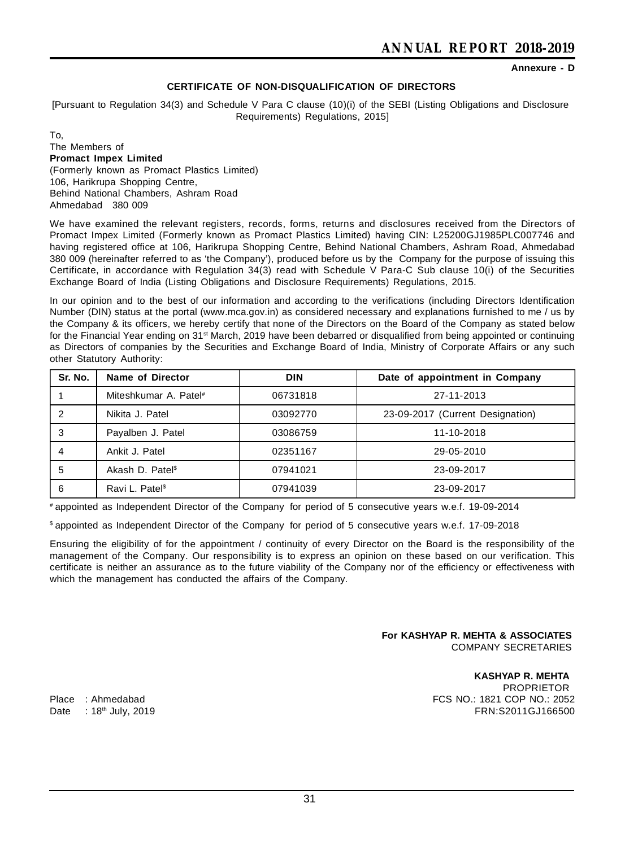**Annexure - D**

#### **CERTIFICATE OF NON-DISQUALIFICATION OF DIRECTORS**

[Pursuant to Regulation 34(3) and Schedule V Para C clause (10)(i) of the SEBI (Listing Obligations and Disclosure Requirements) Regulations, 2015]

To, The Members of **Promact Impex Limited** (Formerly known as Promact Plastics Limited) 106, Harikrupa Shopping Centre, Behind National Chambers, Ashram Road Ahmedabad 380 009

We have examined the relevant registers, records, forms, returns and disclosures received from the Directors of Promact Impex Limited (Formerly known as Promact Plastics Limited) having CIN: L25200GJ1985PLC007746 and having registered office at 106, Harikrupa Shopping Centre, Behind National Chambers, Ashram Road, Ahmedabad 380 009 (hereinafter referred to as 'the Company'), produced before us by the Company for the purpose of issuing this Certificate, in accordance with Regulation 34(3) read with Schedule V Para-C Sub clause 10(i) of the Securities Exchange Board of India (Listing Obligations and Disclosure Requirements) Regulations, 2015.

In our opinion and to the best of our information and according to the verifications (including Directors Identification Number (DIN) status at the portal (www.mca.gov.in) as considered necessary and explanations furnished to me / us by the Company & its officers, we hereby certify that none of the Directors on the Board of the Company as stated below for the Financial Year ending on 31<sup>st</sup> March, 2019 have been debarred or disqualified from being appointed or continuing as Directors of companies by the Securities and Exchange Board of India, Ministry of Corporate Affairs or any such other Statutory Authority:

| Sr. No. | Name of Director             | <b>DIN</b> | Date of appointment in Company   |
|---------|------------------------------|------------|----------------------------------|
|         | Miteshkumar A. Patel#        | 06731818   | 27-11-2013                       |
|         | Nikita J. Patel              | 03092770   | 23-09-2017 (Current Designation) |
|         | Payalben J. Patel            | 03086759   | 11-10-2018                       |
| 4       | Ankit J. Patel               | 02351167   | 29-05-2010                       |
| 5       | Akash D. Patel <sup>\$</sup> | 07941021   | 23-09-2017                       |
| 6       | Ravi L. Patel <sup>\$</sup>  | 07941039   | 23-09-2017                       |

# appointed as Independent Director of the Company for period of 5 consecutive years w.e.f. 19-09-2014

\$ appointed as Independent Director of the Company for period of 5 consecutive years w.e.f. 17-09-2018

Ensuring the eligibility of for the appointment / continuity of every Director on the Board is the responsibility of the management of the Company. Our responsibility is to express an opinion on these based on our verification. This certificate is neither an assurance as to the future viability of the Company nor of the efficiency or effectiveness with which the management has conducted the affairs of the Company.

> **For KASHYAP R. MEHTA & ASSOCIATES** COMPANY SECRETARIES

**KASHYAP R. MEHTA** PROPRIETOR Place : Ahmedabad FCS NO.: 1821 COP NO.: 2052 Date the  $18^{\text{th}}$  July, 2019 FRN:S2011GJ166500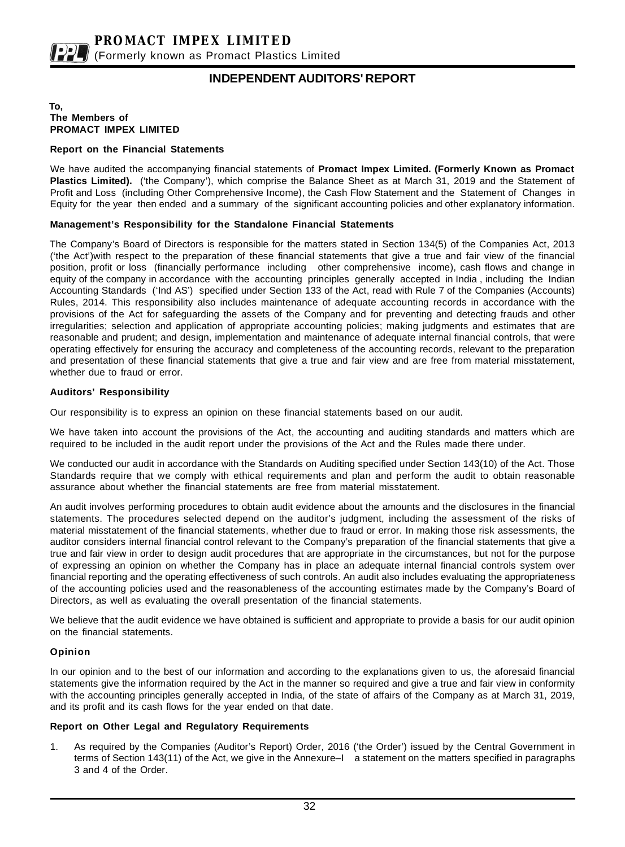

# **INDEPENDENT AUDITORS' REPORT**

#### **To, The Members of PROMACT IMPEX LIMITED**

#### **Report on the Financial Statements**

We have audited the accompanying financial statements of **Promact Impex Limited. (Formerly Known as Promact Plastics Limited).** ('the Company'), which comprise the Balance Sheet as at March 31, 2019 and the Statement of Profit and Loss (including Other Comprehensive Income), the Cash Flow Statement and the Statement of Changes in Equity for the year then ended and a summary of the significant accounting policies and other explanatory information.

#### **Management's Responsibility for the Standalone Financial Statements**

The Company's Board of Directors is responsible for the matters stated in Section 134(5) of the Companies Act, 2013 ('the Act')with respect to the preparation of these financial statements that give a true and fair view of the financial position, profit or loss (financially performance including other comprehensive income), cash flows and change in equity of the company in accordance with the accounting principles generally accepted in India , including the Indian Accounting Standards ('Ind AS') specified under Section 133 of the Act, read with Rule 7 of the Companies (Accounts) Rules, 2014. This responsibility also includes maintenance of adequate accounting records in accordance with the provisions of the Act for safeguarding the assets of the Company and for preventing and detecting frauds and other irregularities; selection and application of appropriate accounting policies; making judgments and estimates that are reasonable and prudent; and design, implementation and maintenance of adequate internal financial controls, that were operating effectively for ensuring the accuracy and completeness of the accounting records, relevant to the preparation and presentation of these financial statements that give a true and fair view and are free from material misstatement, whether due to fraud or error.

#### **Auditors' Responsibility**

Our responsibility is to express an opinion on these financial statements based on our audit.

We have taken into account the provisions of the Act, the accounting and auditing standards and matters which are required to be included in the audit report under the provisions of the Act and the Rules made there under.

We conducted our audit in accordance with the Standards on Auditing specified under Section 143(10) of the Act. Those Standards require that we comply with ethical requirements and plan and perform the audit to obtain reasonable assurance about whether the financial statements are free from material misstatement.

An audit involves performing procedures to obtain audit evidence about the amounts and the disclosures in the financial statements. The procedures selected depend on the auditor's judgment, including the assessment of the risks of material misstatement of the financial statements, whether due to fraud or error. In making those risk assessments, the auditor considers internal financial control relevant to the Company's preparation of the financial statements that give a true and fair view in order to design audit procedures that are appropriate in the circumstances, but not for the purpose of expressing an opinion on whether the Company has in place an adequate internal financial controls system over financial reporting and the operating effectiveness of such controls. An audit also includes evaluating the appropriateness of the accounting policies used and the reasonableness of the accounting estimates made by the Company's Board of Directors, as well as evaluating the overall presentation of the financial statements.

We believe that the audit evidence we have obtained is sufficient and appropriate to provide a basis for our audit opinion on the financial statements.

#### **Opinion**

In our opinion and to the best of our information and according to the explanations given to us, the aforesaid financial statements give the information required by the Act in the manner so required and give a true and fair view in conformity with the accounting principles generally accepted in India, of the state of affairs of the Company as at March 31, 2019, and its profit and its cash flows for the year ended on that date.

#### **Report on Other Legal and Regulatory Requirements**

1. As required by the Companies (Auditor's Report) Order, 2016 ('the Order') issued by the Central Government in terms of Section 143(11) of the Act, we give in the Annexure–I a statement on the matters specified in paragraphs 3 and 4 of the Order.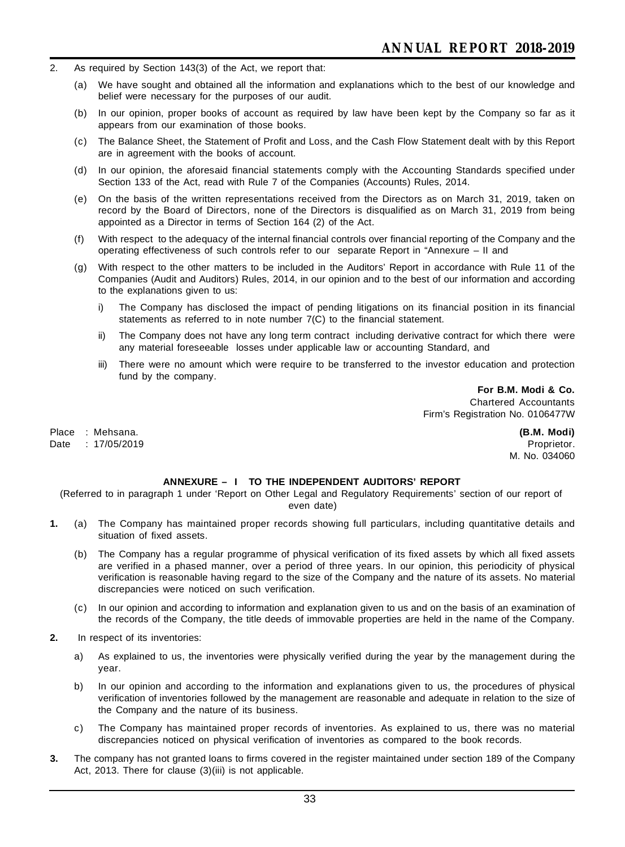- 2. As required by Section 143(3) of the Act, we report that:
	- (a) We have sought and obtained all the information and explanations which to the best of our knowledge and belief were necessary for the purposes of our audit.
	- (b) In our opinion, proper books of account as required by law have been kept by the Company so far as it appears from our examination of those books.
	- (c) The Balance Sheet, the Statement of Profit and Loss, and the Cash Flow Statement dealt with by this Report are in agreement with the books of account.
	- (d) In our opinion, the aforesaid financial statements comply with the Accounting Standards specified under Section 133 of the Act, read with Rule 7 of the Companies (Accounts) Rules, 2014.
	- (e) On the basis of the written representations received from the Directors as on March 31, 2019, taken on record by the Board of Directors, none of the Directors is disqualified as on March 31, 2019 from being appointed as a Director in terms of Section 164 (2) of the Act.
	- (f) With respect to the adequacy of the internal financial controls over financial reporting of the Company and the operating effectiveness of such controls refer to our separate Report in "Annexure – II and
	- (g) With respect to the other matters to be included in the Auditors' Report in accordance with Rule 11 of the Companies (Audit and Auditors) Rules, 2014, in our opinion and to the best of our information and according to the explanations given to us:
		- i) The Company has disclosed the impact of pending litigations on its financial position in its financial statements as referred to in note number 7(C) to the financial statement.
		- ii) The Company does not have any long term contract including derivative contract for which there were any material foreseeable losses under applicable law or accounting Standard, and
		- iii) There were no amount which were require to be transferred to the investor education and protection fund by the company.

**For B.M. Modi & Co.** Chartered Accountants Firm's Registration No. 0106477W

M. No. 034060

Place : Mehsana. **(B.M. Modi)** Date : 17/05/2019 Proprietor.

#### **ANNEXURE – I TO THE INDEPENDENT AUDITORS' REPORT**

(Referred to in paragraph 1 under 'Report on Other Legal and Regulatory Requirements' section of our report of even date)

- **1.** (a) The Company has maintained proper records showing full particulars, including quantitative details and situation of fixed assets.
	- (b) The Company has a regular programme of physical verification of its fixed assets by which all fixed assets are verified in a phased manner, over a period of three years. In our opinion, this periodicity of physical verification is reasonable having regard to the size of the Company and the nature of its assets. No material discrepancies were noticed on such verification.
	- (c) In our opinion and according to information and explanation given to us and on the basis of an examination of the records of the Company, the title deeds of immovable properties are held in the name of the Company.
- **2.** In respect of its inventories:
	- a) As explained to us, the inventories were physically verified during the year by the management during the year.
	- b) In our opinion and according to the information and explanations given to us, the procedures of physical verification of inventories followed by the management are reasonable and adequate in relation to the size of the Company and the nature of its business.
	- c) The Company has maintained proper records of inventories. As explained to us, there was no material discrepancies noticed on physical verification of inventories as compared to the book records.
- **3.** The company has not granted loans to firms covered in the register maintained under section 189 of the Company Act, 2013. There for clause (3)(iii) is not applicable.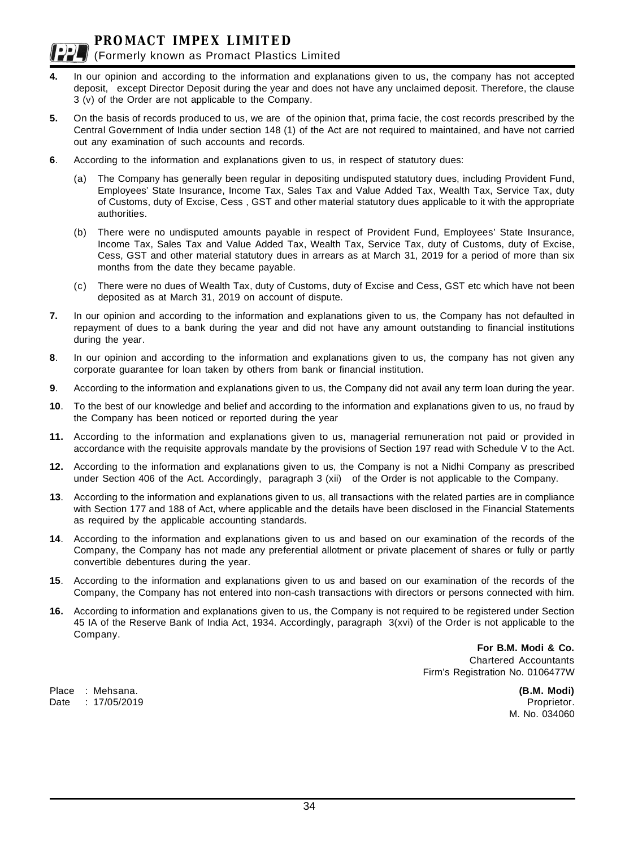- **4.** In our opinion and according to the information and explanations given to us, the company has not accepted deposit, except Director Deposit during the year and does not have any unclaimed deposit. Therefore, the clause 3 (v) of the Order are not applicable to the Company.
- **5.** On the basis of records produced to us, we are of the opinion that, prima facie, the cost records prescribed by the Central Government of India under section 148 (1) of the Act are not required to maintained, and have not carried out any examination of such accounts and records.
- **6**. According to the information and explanations given to us, in respect of statutory dues:
	- (a) The Company has generally been regular in depositing undisputed statutory dues, including Provident Fund, Employees' State Insurance, Income Tax, Sales Tax and Value Added Tax, Wealth Tax, Service Tax, duty of Customs, duty of Excise, Cess , GST and other material statutory dues applicable to it with the appropriate authorities.
	- (b) There were no undisputed amounts payable in respect of Provident Fund, Employees' State Insurance, Income Tax, Sales Tax and Value Added Tax, Wealth Tax, Service Tax, duty of Customs, duty of Excise, Cess, GST and other material statutory dues in arrears as at March 31, 2019 for a period of more than six months from the date they became payable.
	- (c) There were no dues of Wealth Tax, duty of Customs, duty of Excise and Cess, GST etc which have not been deposited as at March 31, 2019 on account of dispute.
- **7.** In our opinion and according to the information and explanations given to us, the Company has not defaulted in repayment of dues to a bank during the year and did not have any amount outstanding to financial institutions during the year.
- **8**. In our opinion and according to the information and explanations given to us, the company has not given any corporate guarantee for loan taken by others from bank or financial institution.
- **9**. According to the information and explanations given to us, the Company did not avail any term loan during the year.
- **10**. To the best of our knowledge and belief and according to the information and explanations given to us, no fraud by the Company has been noticed or reported during the year
- **11.** According to the information and explanations given to us, managerial remuneration not paid or provided in accordance with the requisite approvals mandate by the provisions of Section 197 read with Schedule V to the Act.
- **12.** According to the information and explanations given to us, the Company is not a Nidhi Company as prescribed under Section 406 of the Act. Accordingly, paragraph 3 (xii) of the Order is not applicable to the Company.
- **13**. According to the information and explanations given to us, all transactions with the related parties are in compliance with Section 177 and 188 of Act, where applicable and the details have been disclosed in the Financial Statements as required by the applicable accounting standards.
- **14**. According to the information and explanations given to us and based on our examination of the records of the Company, the Company has not made any preferential allotment or private placement of shares or fully or partly convertible debentures during the year.
- **15**. According to the information and explanations given to us and based on our examination of the records of the Company, the Company has not entered into non-cash transactions with directors or persons connected with him.
- **16.** According to information and explanations given to us, the Company is not required to be registered under Section 45 IA of the Reserve Bank of India Act, 1934. Accordingly, paragraph 3(xvi) of the Order is not applicable to the Company.

**For B.M. Modi & Co.** Chartered Accountants Firm's Registration No. 0106477W

Place : Mehsana. **(B.M. Modi)** Date : 17/05/2019 **Proprietor.** 

M. No. 034060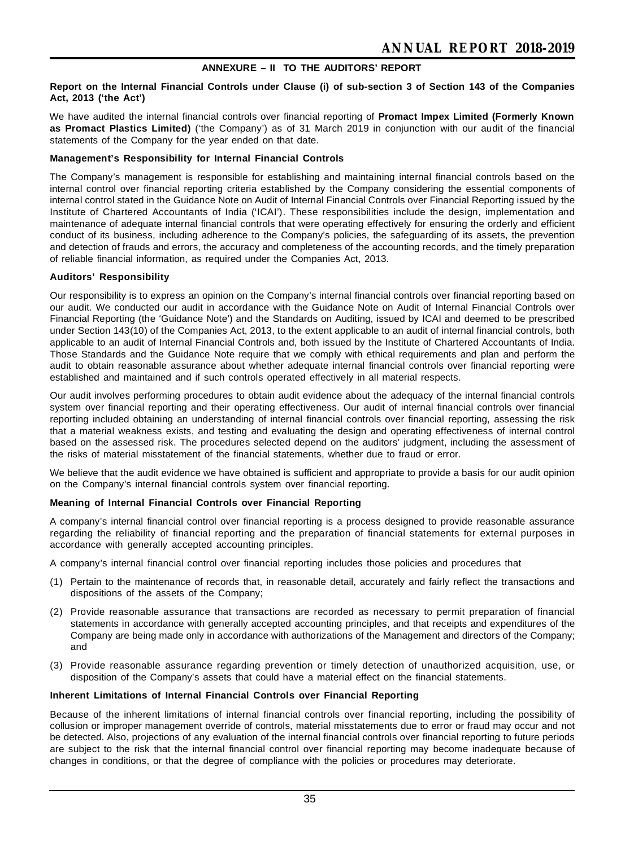#### **ANNEXURE – II TO THE AUDITORS' REPORT**

#### **Report on the Internal Financial Controls under Clause (i) of sub-section 3 of Section 143 of the Companies Act, 2013 ('the Act')**

We have audited the internal financial controls over financial reporting of **Promact Impex Limited (Formerly Known as Promact Plastics Limited)** ('the Company') as of 31 March 2019 in conjunction with our audit of the financial statements of the Company for the year ended on that date.

#### **Management's Responsibility for Internal Financial Controls**

The Company's management is responsible for establishing and maintaining internal financial controls based on the internal control over financial reporting criteria established by the Company considering the essential components of internal control stated in the Guidance Note on Audit of Internal Financial Controls over Financial Reporting issued by the Institute of Chartered Accountants of India ('ICAI'). These responsibilities include the design, implementation and maintenance of adequate internal financial controls that were operating effectively for ensuring the orderly and efficient conduct of its business, including adherence to the Company's policies, the safeguarding of its assets, the prevention and detection of frauds and errors, the accuracy and completeness of the accounting records, and the timely preparation of reliable financial information, as required under the Companies Act, 2013.

#### **Auditors' Responsibility**

Our responsibility is to express an opinion on the Company's internal financial controls over financial reporting based on our audit. We conducted our audit in accordance with the Guidance Note on Audit of Internal Financial Controls over Financial Reporting (the 'Guidance Note') and the Standards on Auditing, issued by ICAI and deemed to be prescribed under Section 143(10) of the Companies Act, 2013, to the extent applicable to an audit of internal financial controls, both applicable to an audit of Internal Financial Controls and, both issued by the Institute of Chartered Accountants of India. Those Standards and the Guidance Note require that we comply with ethical requirements and plan and perform the audit to obtain reasonable assurance about whether adequate internal financial controls over financial reporting were established and maintained and if such controls operated effectively in all material respects.

Our audit involves performing procedures to obtain audit evidence about the adequacy of the internal financial controls system over financial reporting and their operating effectiveness. Our audit of internal financial controls over financial reporting included obtaining an understanding of internal financial controls over financial reporting, assessing the risk that a material weakness exists, and testing and evaluating the design and operating effectiveness of internal control based on the assessed risk. The procedures selected depend on the auditors' judgment, including the assessment of the risks of material misstatement of the financial statements, whether due to fraud or error.

We believe that the audit evidence we have obtained is sufficient and appropriate to provide a basis for our audit opinion on the Company's internal financial controls system over financial reporting.

#### **Meaning of Internal Financial Controls over Financial Reporting**

A company's internal financial control over financial reporting is a process designed to provide reasonable assurance regarding the reliability of financial reporting and the preparation of financial statements for external purposes in accordance with generally accepted accounting principles.

A company's internal financial control over financial reporting includes those policies and procedures that

- (1) Pertain to the maintenance of records that, in reasonable detail, accurately and fairly reflect the transactions and dispositions of the assets of the Company;
- (2) Provide reasonable assurance that transactions are recorded as necessary to permit preparation of financial statements in accordance with generally accepted accounting principles, and that receipts and expenditures of the Company are being made only in accordance with authorizations of the Management and directors of the Company; and
- (3) Provide reasonable assurance regarding prevention or timely detection of unauthorized acquisition, use, or disposition of the Company's assets that could have a material effect on the financial statements.

#### **Inherent Limitations of Internal Financial Controls over Financial Reporting**

Because of the inherent limitations of internal financial controls over financial reporting, including the possibility of collusion or improper management override of controls, material misstatements due to error or fraud may occur and not be detected. Also, projections of any evaluation of the internal financial controls over financial reporting to future periods are subject to the risk that the internal financial control over financial reporting may become inadequate because of changes in conditions, or that the degree of compliance with the policies or procedures may deteriorate.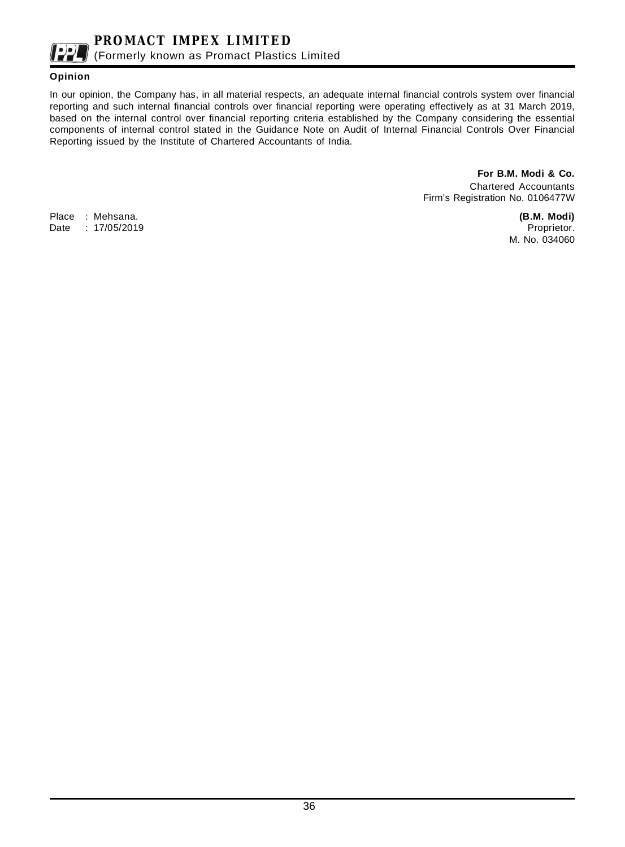

#### **Opinion**

In our opinion, the Company has, in all material respects, an adequate internal financial controls system over financial reporting and such internal financial controls over financial reporting were operating effectively as at 31 March 2019, based on the internal control over financial reporting criteria established by the Company considering the essential components of internal control stated in the Guidance Note on Audit of Internal Financial Controls Over Financial Reporting issued by the Institute of Chartered Accountants of India.

> **For B.M. Modi & Co.** Chartered Accountants Firm's Registration No. 0106477W

Place : Mehsana. **(B.M. Modi)** Date : 17/05/2019 **Proprietor.** 

M. No. 034060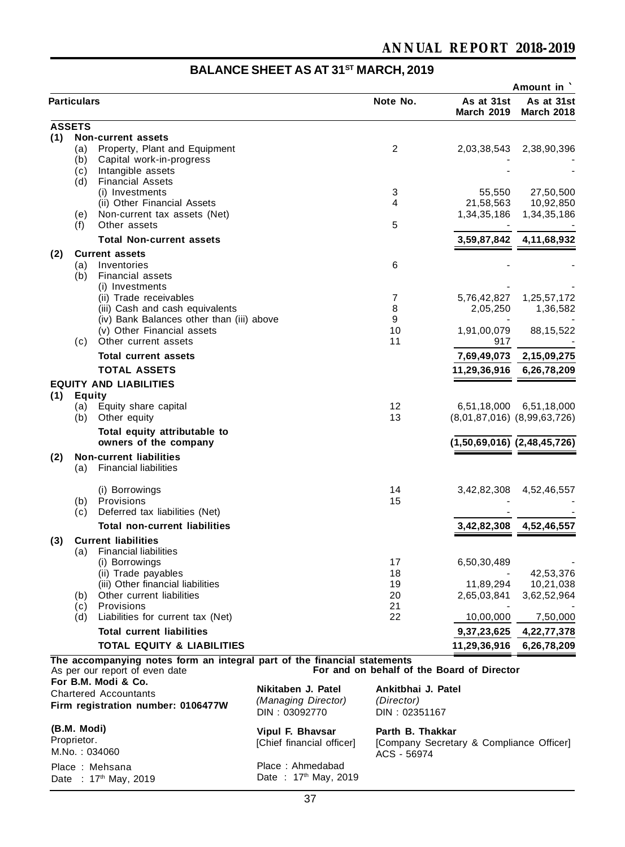# **ANNUAL REPORT 2018-2019**

# **BALANCE SHEET AS AT 31<sup>st</sup> MARCH, 2019**

|     |                    |                                                                                                            |                                      |                             |                                            | Amount in                       |
|-----|--------------------|------------------------------------------------------------------------------------------------------------|--------------------------------------|-----------------------------|--------------------------------------------|---------------------------------|
|     | <b>Particulars</b> |                                                                                                            |                                      | Note No.                    | As at 31st<br><b>March 2019</b>            | As at 31st<br><b>March 2018</b> |
|     | <b>ASSETS</b>      |                                                                                                            |                                      |                             |                                            |                                 |
| (1) |                    | Non-current assets                                                                                         |                                      |                             |                                            |                                 |
|     | (a)                | Property, Plant and Equipment                                                                              |                                      | 2                           | 2,03,38,543                                | 2,38,90,396                     |
|     | (b)                | Capital work-in-progress                                                                                   |                                      |                             |                                            |                                 |
|     | (c)                | Intangible assets                                                                                          |                                      |                             |                                            |                                 |
|     | (d)                | <b>Financial Assets</b><br>(i) Investments                                                                 |                                      | 3                           | 55,550                                     | 27,50,500                       |
|     |                    | (ii) Other Financial Assets                                                                                |                                      | 4                           | 21,58,563                                  | 10,92,850                       |
|     | (e)                | Non-current tax assets (Net)                                                                               |                                      |                             | 1,34,35,186                                | 1,34,35,186                     |
|     | (f)                | Other assets                                                                                               |                                      | 5                           |                                            |                                 |
|     |                    | <b>Total Non-current assets</b>                                                                            |                                      |                             | 3,59,87,842                                | 4,11,68,932                     |
| (2) |                    | <b>Current assets</b>                                                                                      |                                      |                             |                                            |                                 |
|     | (a)                | Inventories                                                                                                |                                      | 6                           |                                            |                                 |
|     | (b)                | <b>Financial assets</b>                                                                                    |                                      |                             |                                            |                                 |
|     |                    | (i) Investments<br>(ii) Trade receivables                                                                  |                                      | 7                           | 5,76,42,827                                | 1,25,57,172                     |
|     |                    | (iii) Cash and cash equivalents                                                                            |                                      | 8                           | 2,05,250                                   | 1,36,582                        |
|     |                    | (iv) Bank Balances other than (iii) above                                                                  |                                      | 9                           |                                            |                                 |
|     |                    | (v) Other Financial assets                                                                                 |                                      | 10                          | 1,91,00,079                                | 88,15,522                       |
|     | (c)                | Other current assets                                                                                       |                                      | 11                          | 917                                        |                                 |
|     |                    | <b>Total current assets</b>                                                                                |                                      |                             | 7,69,49,073                                | 2,15,09,275                     |
|     |                    | <b>TOTAL ASSETS</b>                                                                                        |                                      |                             | 11,29,36,916                               | 6,26,78,209                     |
|     |                    | <b>EQUITY AND LIABILITIES</b>                                                                              |                                      |                             |                                            |                                 |
| (1) | Equity             |                                                                                                            |                                      |                             |                                            |                                 |
|     |                    | (a) Equity share capital                                                                                   |                                      | 12                          |                                            | 6,51,18,000 6,51,18,000         |
|     |                    | (b) Other equity                                                                                           |                                      | 13                          | $(8,01,87,016)$ $(8,99,63,726)$            |                                 |
|     |                    | Total equity attributable to<br>owners of the company                                                      |                                      |                             | (1,50,69,016) (2,48,45,726)                |                                 |
| (2) |                    | <b>Non-current liabilities</b>                                                                             |                                      |                             |                                            |                                 |
|     | (a)                | Financial liabilities                                                                                      |                                      |                             |                                            |                                 |
|     |                    |                                                                                                            |                                      |                             |                                            |                                 |
|     |                    | (i) Borrowings                                                                                             |                                      | 14                          | 3,42,82,308                                | 4,52,46,557                     |
|     | (c)                | (b) Provisions<br>Deferred tax liabilities (Net)                                                           |                                      | 15                          |                                            |                                 |
|     |                    |                                                                                                            |                                      |                             |                                            |                                 |
|     |                    | <b>Total non-current liabilities</b>                                                                       |                                      |                             | 3,42,82,308                                | 4,52,46,557                     |
| (3) |                    | <b>Current liabilities</b>                                                                                 |                                      |                             |                                            |                                 |
|     | (a)                | <b>Financial liabilities</b><br>(i) Borrowings                                                             |                                      | 17                          | 6,50,30,489                                |                                 |
|     |                    | (ii) Trade payables                                                                                        |                                      | 18                          |                                            | 42,53,376                       |
|     |                    | (iii) Other financial liabilities                                                                          |                                      | 19                          | 11,89,294                                  | 10,21,038                       |
|     | (b)                | Other current liabilities                                                                                  |                                      | 20                          | 2,65,03,841                                | 3,62,52,964                     |
|     | (c)                | Provisions                                                                                                 |                                      | 21                          |                                            |                                 |
|     | (d)                | Liabilities for current tax (Net)                                                                          |                                      | 22                          | 10,00,000                                  | 7,50,000                        |
|     |                    | <b>Total current liabilities</b>                                                                           |                                      |                             | 9, 37, 23, 625                             | 4,22,77,378                     |
|     |                    | <b>TOTAL EQUITY &amp; LIABILITIES</b>                                                                      |                                      |                             | 11,29,36,916                               | 6,26,78,209                     |
|     |                    | The accompanying notes form an integral part of the financial statements<br>As per our report of even date |                                      |                             | For and on behalf of the Board of Director |                                 |
|     |                    | For B.M. Modi & Co.                                                                                        |                                      |                             |                                            |                                 |
|     |                    | <b>Chartered Accountants</b>                                                                               | Nikitaben J. Patel                   | Ankitbhai J. Patel          |                                            |                                 |
|     |                    | Firm registration number: 0106477W                                                                         | (Managing Director)<br>DIN: 03092770 | (Director)<br>DIN: 02351167 |                                            |                                 |
|     | (B.M. Modi)        |                                                                                                            | Vipul F. Bhavsar                     | Parth B. Thakkar            |                                            |                                 |
|     | Proprietor.        |                                                                                                            | [Chief financial officer]            |                             | [Company Secretary & Compliance Officer]   |                                 |
|     |                    | M.No.: 034060                                                                                              |                                      | ACS - 56974                 |                                            |                                 |
|     |                    | Place: Mehsana                                                                                             | Place: Ahmedabad                     |                             |                                            |                                 |
|     |                    | Date: 17th May, 2019                                                                                       | Date: 17th May, 2019                 |                             |                                            |                                 |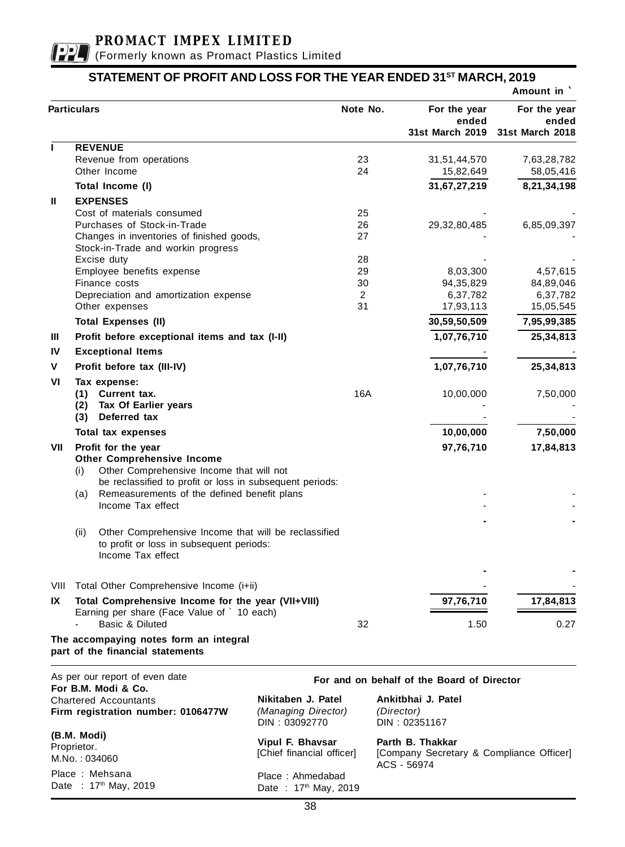

#### **STA ST TEMENT OF PROFIT AND LOSS FOR THE YEAR ENDED 31 MARCH, 2019**

|              |                                                                            |                                           |                                            | Amount in                                |
|--------------|----------------------------------------------------------------------------|-------------------------------------------|--------------------------------------------|------------------------------------------|
|              | Particulars                                                                | Note No.                                  | For the year<br>ended<br>31st March 2019   | For the year<br>ended<br>31st March 2018 |
| $\mathbf{I}$ | <b>REVENUE</b>                                                             |                                           |                                            |                                          |
|              | Revenue from operations                                                    | 23                                        | 31,51,44,570                               | 7,63,28,782                              |
|              | Other Income                                                               | 24                                        | 15,82,649                                  | 58,05,416                                |
|              | Total Income (I)                                                           |                                           | 31,67,27,219                               | 8,21,34,198                              |
| Ш            | <b>EXPENSES</b>                                                            |                                           |                                            |                                          |
|              | Cost of materials consumed                                                 | 25                                        |                                            |                                          |
|              | Purchases of Stock-in-Trade                                                | 26                                        | 29,32,80,485                               | 6,85,09,397                              |
|              | Changes in inventories of finished goods,                                  | 27                                        |                                            |                                          |
|              | Stock-in-Trade and workin progress                                         |                                           |                                            |                                          |
|              | Excise duty                                                                | 28<br>29                                  | 8,03,300                                   |                                          |
|              | Employee benefits expense<br>Finance costs                                 | 30                                        | 94,35,829                                  | 4,57,615<br>84,89,046                    |
|              | Depreciation and amortization expense                                      | $\overline{2}$                            | 6,37,782                                   | 6,37,782                                 |
|              | Other expenses                                                             | 31                                        | 17,93,113                                  | 15,05,545                                |
|              | <b>Total Expenses (II)</b>                                                 |                                           | 30,59,50,509                               | 7,95,99,385                              |
| Ш            | Profit before exceptional items and tax (I-II)                             |                                           | 1,07,76,710                                | 25,34,813                                |
| IV           | <b>Exceptional Items</b>                                                   |                                           |                                            |                                          |
| ٧            | Profit before tax (III-IV)                                                 |                                           | 1,07,76,710                                | 25,34,813                                |
|              |                                                                            |                                           |                                            |                                          |
| ٧I           | Tax expense:<br>(1) Current tax.                                           | 16A                                       | 10,00,000                                  | 7,50,000                                 |
|              | Tax Of Earlier years<br>(2)                                                |                                           |                                            |                                          |
|              | Deferred tax<br>(3)                                                        |                                           |                                            |                                          |
|              | Total tax expenses                                                         |                                           | 10,00,000                                  | 7,50,000                                 |
| VII          | Profit for the year                                                        |                                           | 97,76,710                                  | 17,84,813                                |
|              | <b>Other Comprehensive Income</b>                                          |                                           |                                            |                                          |
|              | Other Comprehensive Income that will not<br>(i)                            |                                           |                                            |                                          |
|              | be reclassified to profit or loss in subsequent periods:                   |                                           |                                            |                                          |
|              | Remeasurements of the defined benefit plans<br>(a)                         |                                           |                                            |                                          |
|              | Income Tax effect                                                          |                                           |                                            |                                          |
|              |                                                                            |                                           |                                            |                                          |
|              | (ii)<br>Other Comprehensive Income that will be reclassified               |                                           |                                            |                                          |
|              | to profit or loss in subsequent periods:<br>Income Tax effect              |                                           |                                            |                                          |
|              |                                                                            |                                           |                                            |                                          |
|              |                                                                            |                                           |                                            |                                          |
|              | VIII Total Other Comprehensive Income (i+ii)                               |                                           |                                            |                                          |
| IX           | Total Comprehensive Income for the year (VII+VIII)                         |                                           | 97,76,710                                  | 17,84,813                                |
|              | Earning per share (Face Value of 10 each)                                  |                                           |                                            | 0.27                                     |
|              | Basic & Diluted                                                            | 32                                        | 1.50                                       |                                          |
|              | The accompaying notes form an integral<br>part of the financial statements |                                           |                                            |                                          |
|              | As per our report of even date                                             |                                           | For and on behalf of the Board of Director |                                          |
|              | For B.M. Modi & Co.                                                        |                                           |                                            |                                          |
|              | <b>Chartered Accountants</b>                                               | Nikitaben J. Patel<br>(Managing Director) | Ankitbhai J. Patel<br>(Director)           |                                          |
|              | Firm registration number: 0106477W                                         | DIN : 03092770                            | DIN: 02351167                              |                                          |

**(B.M. Modi)** Proprietor.

M.No. : 034060 Place : Mehsana

Date : 17<sup>th</sup> May, 2019

# 03092770 DIN : 02351

**Vipul F. Bhavsar Parth B. Thakkar**

Place : Ahmedabad Date: 17th May, 2019

[Chief financial officer] [Company Secretary & Compliance Officer] ACS - 56974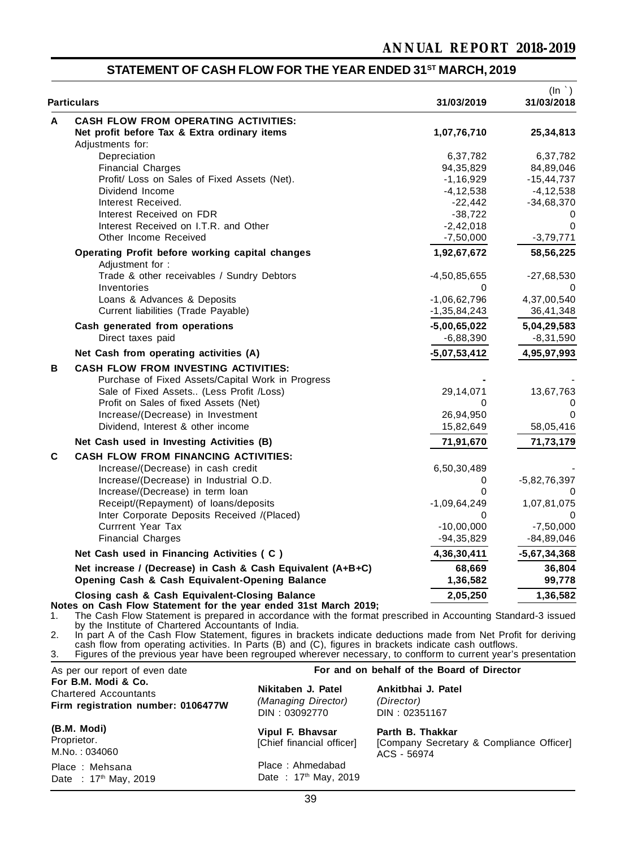# **ANNUAL REPORT 2018-2019**

# **STA ST TEMENT OF CASH FLOW FOR THE YEAR ENDED 31 MARCH, 2019**

|    | <b>Particulars</b>                                                                                                                                                                                   | 31/03/2019        | $(\ln \cdot)$<br>31/03/2018 |
|----|------------------------------------------------------------------------------------------------------------------------------------------------------------------------------------------------------|-------------------|-----------------------------|
| A  | <b>CASH FLOW FROM OPERATING ACTIVITIES:</b>                                                                                                                                                          |                   |                             |
|    | Net profit before Tax & Extra ordinary items<br>Adjustments for:                                                                                                                                     | 1,07,76,710       | 25,34,813                   |
|    | Depreciation                                                                                                                                                                                         | 6,37,782          | 6,37,782                    |
|    | <b>Financial Charges</b>                                                                                                                                                                             | 94,35,829         | 84,89,046                   |
|    | Profit/ Loss on Sales of Fixed Assets (Net).                                                                                                                                                         | $-1,16,929$       | $-15,44,737$                |
|    | Dividend Income                                                                                                                                                                                      | $-4, 12, 538$     | $-4, 12, 538$               |
|    | Interest Received.                                                                                                                                                                                   | $-22,442$         | $-34,68,370$                |
|    | Interest Received on FDR                                                                                                                                                                             | $-38,722$         | 0                           |
|    | Interest Received on I.T.R. and Other                                                                                                                                                                | $-2,42,018$       | $\Omega$                    |
|    | Other Income Received                                                                                                                                                                                | $-7,50,000$       | $-3,79,771$                 |
|    | Operating Profit before working capital changes                                                                                                                                                      | 1,92,67,672       | 58,56,225                   |
|    | Adjustment for:<br>Trade & other receivables / Sundry Debtors                                                                                                                                        | $-4,50,85,655$    | $-27,68,530$                |
|    | Inventories                                                                                                                                                                                          | 0                 |                             |
|    | Loans & Advances & Deposits                                                                                                                                                                          | $-1,06,62,796$    | 4,37,00,540                 |
|    | Current liabilities (Trade Payable)                                                                                                                                                                  | $-1, 35, 84, 243$ | 36,41,348                   |
|    | Cash generated from operations                                                                                                                                                                       | $-5,00,65,022$    | 5,04,29,583                 |
|    | Direct taxes paid                                                                                                                                                                                    | $-6,88,390$       | -8,31,590                   |
|    | Net Cash from operating activities (A)                                                                                                                                                               | $-5,07,53,412$    | 4,95,97,993                 |
| в  | <b>CASH FLOW FROM INVESTING ACTIVITIES:</b>                                                                                                                                                          |                   |                             |
|    | Purchase of Fixed Assets/Capital Work in Progress                                                                                                                                                    |                   |                             |
|    | Sale of Fixed Assets (Less Profit /Loss)                                                                                                                                                             | 29,14,071         | 13,67,763                   |
|    | Profit on Sales of fixed Assets (Net)                                                                                                                                                                | 0                 | 0                           |
|    | Increase/(Decrease) in Investment                                                                                                                                                                    | 26,94,950         | $\Omega$                    |
|    | Dividend, Interest & other income                                                                                                                                                                    | 15,82,649         | 58,05,416                   |
|    | Net Cash used in Investing Activities (B)                                                                                                                                                            | 71,91,670         | 71,73,179                   |
| C  | <b>CASH FLOW FROM FINANCING ACTIVITIES:</b>                                                                                                                                                          |                   |                             |
|    | Increase/(Decrease) in cash credit                                                                                                                                                                   | 6,50,30,489       |                             |
|    | Increase/(Decrease) in Industrial O.D.                                                                                                                                                               | 0                 | $-5,82,76,397$              |
|    | Increase/(Decrease) in term loan                                                                                                                                                                     | $\Omega$          |                             |
|    | Receipt/(Repayment) of loans/deposits                                                                                                                                                                | $-1,09,64,249$    | 1,07,81,075                 |
|    | Inter Corporate Deposits Received /(Placed)                                                                                                                                                          | 0                 |                             |
|    | <b>Currrent Year Tax</b>                                                                                                                                                                             | $-10,00,000$      | $-7,50,000$                 |
|    | <b>Financial Charges</b>                                                                                                                                                                             | $-94, 35, 829$    | -84,89,046                  |
|    | Net Cash used in Financing Activities (C)                                                                                                                                                            | 4,36,30,411       | $-5,67,34,368$              |
|    | Net increase / (Decrease) in Cash & Cash Equivalent (A+B+C)                                                                                                                                          | 68,669            | 36,804                      |
|    | Opening Cash & Cash Equivalent-Opening Balance                                                                                                                                                       | 1,36,582          | 99,778                      |
|    | Closing cash & Cash Equivalent-Closing Balance                                                                                                                                                       | 2,05,250          | 1,36,582                    |
| 1. | Notes on Cash Flow Statement for the year ended 31st March 2019;<br>The Cash Flow Statement is prepared in accordance with the format prescribed in Accounting Standard-3 issued<br>نامما كمامسمهمين |                   |                             |

by the Institute of Chartered Accountants of India. 2. In part A of the Cash Flow Statement, figures in brackets indicate deductions made from Net Profit for deriving cash flow from operating activities. In Parts (B) and (C), figures in brackets indicate cash outflows. 3. Figures of the previous year have been regrouped wherever necessary, to confform to current year's presentation

As per our report of even date **For and on behalf of the Board of Director**

| As per our report or even date                                                            | ו טו מווט טו וטטט מונה טו גווס ומאט וט וט ו                |                                                                             |  |  |
|-------------------------------------------------------------------------------------------|------------------------------------------------------------|-----------------------------------------------------------------------------|--|--|
| For B.M. Modi & Co.<br><b>Chartered Accountants</b><br>Firm registration number: 0106477W | Nikitaben J. Patel<br>(Managing Director)<br>DIN: 03092770 | Ankitbhai J. Patel<br>(Director)<br>DIN: 02351167                           |  |  |
| (B.M. Modi)<br>Proprietor.<br>M.No.: 034060                                               | Vipul F. Bhavsar<br>[Chief financial officer]              | Parth B. Thakkar<br>[Company Secretary & Compliance Officer]<br>ACS - 56974 |  |  |
| Place: Mehsana<br>Date: $17th$ May, 2019                                                  | Place: Ahmedabad<br>Date: 17 <sup>th</sup> May, 2019       |                                                                             |  |  |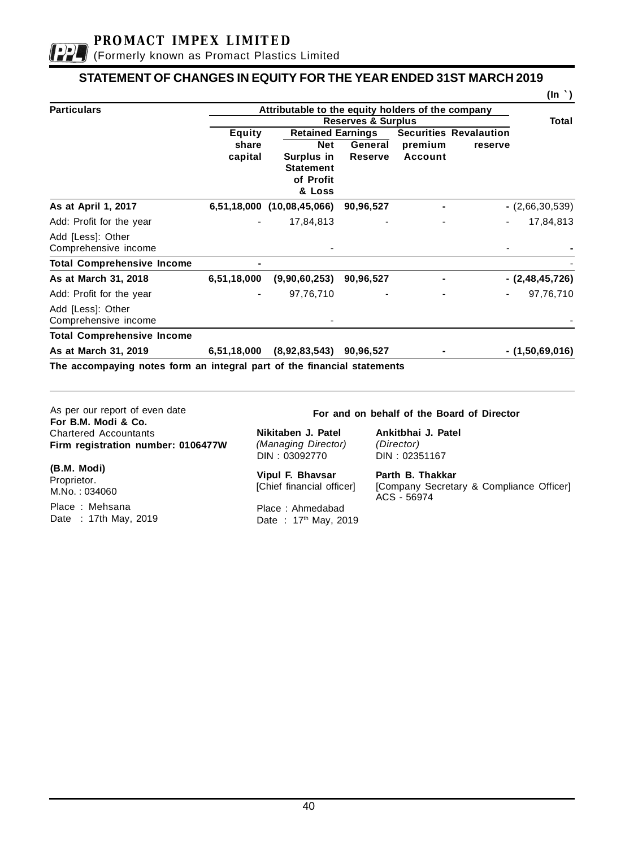

#### **STATEMENT OF CHANGES IN EQUITY FOR THE YEAR ENDED 31ST MARCH 2019**

| <b>Particulars</b>                                                      |               | Attributable to the equity holders of the company |                               |         |                               | ,<br>$\overline{\phantom{a}}$ |
|-------------------------------------------------------------------------|---------------|---------------------------------------------------|-------------------------------|---------|-------------------------------|-------------------------------|
|                                                                         |               |                                                   | <b>Reserves &amp; Surplus</b> |         |                               | Total                         |
|                                                                         | <b>Equity</b> | <b>Retained Earnings</b>                          |                               |         | <b>Securities Revalaution</b> |                               |
|                                                                         | share         | <b>Net</b>                                        | General                       | premium | reserve                       |                               |
|                                                                         | capital       | Surplus in                                        | Reserve                       | Account |                               |                               |
|                                                                         |               | <b>Statement</b>                                  |                               |         |                               |                               |
|                                                                         |               | of Profit                                         |                               |         |                               |                               |
|                                                                         |               | & Loss                                            |                               |         |                               |                               |
| As at April 1, 2017                                                     |               | 6,51,18,000 (10,08,45,066)                        | 90,96,527                     |         |                               | $-(2,66,30,539)$              |
| Add: Profit for the year                                                |               | 17,84,813                                         |                               |         |                               | 17,84,813                     |
| Add [Less]: Other                                                       |               |                                                   |                               |         |                               |                               |
| Comprehensive income                                                    |               |                                                   |                               |         |                               |                               |
| <b>Total Comprehensive Income</b>                                       |               |                                                   |                               |         |                               |                               |
| As at March 31, 2018                                                    | 6,51,18,000   | (9,90,60,253)                                     | 90,96,527                     |         |                               | $-(2,48,45,726)$              |
| Add: Profit for the year                                                |               | 97,76,710                                         |                               |         |                               | 97,76,710                     |
| Add [Less]: Other                                                       |               |                                                   |                               |         |                               |                               |
| Comprehensive income                                                    |               |                                                   |                               |         |                               |                               |
| <b>Total Comprehensive Income</b>                                       |               |                                                   |                               |         |                               |                               |
| As at March 31, 2019                                                    | 6,51,18,000   | (8,92,83,543)                                     | 90,96,527                     |         |                               | $-(1,50,69,016)$              |
| The accompaying notes form an integral part of the financial statements |               |                                                   |                               |         |                               |                               |

As per our report of even date **For B.M. Modi & Co.** Chartered Accountants **Firm registration number: 0106477W**

**(B.M. Modi)** Proprietor.

M.No. : 034060 Place : Mehsana Date : 17th May, 2019 **For and on behalf of the Board of Director**

(Managing Director) (Director)<br>
DIN: 03092770 DIN: 02351167 DIN : 03092770

**Vipul F. Bhavsar Parth B. Thakkar**

Place : Ahmedabad Date: 17<sup>th</sup> May, 2019

**Nikitaben J. Patel Ankitbhai J. Patel**

[Company Secretary & Compliance Officer] ACS - 56974

**(In** `**)**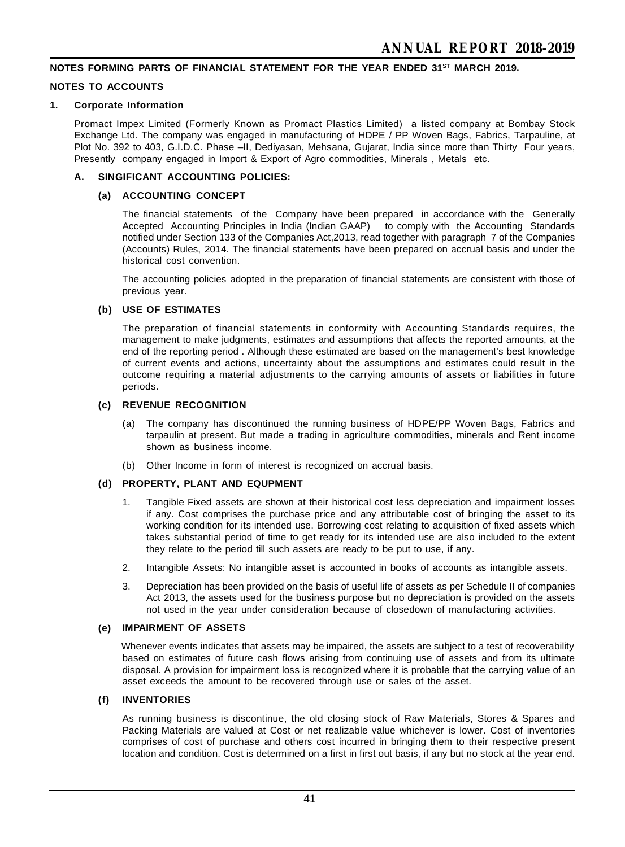## **NO ST TES FORMING PARTS OF FINANCIAL STATEMENT FOR THE YEAR ENDED 31 MARCH 2019.**

#### **NOTES TO ACCOUNTS**

#### **1. Corporate Information**

Promact Impex Limited (Formerly Known as Promact Plastics Limited) a listed company at Bombay Stock Exchange Ltd. The company was engaged in manufacturing of HDPE / PP Woven Bags, Fabrics, Tarpauline, at Plot No. 392 to 403, G.I.D.C. Phase –II, Dediyasan, Mehsana, Gujarat, India since more than Thirty Four years, Presently company engaged in Import & Export of Agro commodities, Minerals , Metals etc.

#### **A. SINGIFICANT ACCOUNTING POLICIES:**

#### **(a) ACCOUNTING CONCEPT**

The financial statements of the Company have been prepared in accordance with the Generally Accepted Accounting Principles in India (Indian GAAP) to comply with the Accounting Standards notified under Section 133 of the Companies Act,2013, read together with paragraph 7 of the Companies (Accounts) Rules, 2014. The financial statements have been prepared on accrual basis and under the historical cost convention.

The accounting policies adopted in the preparation of financial statements are consistent with those of previous year.

#### **(b) USE OF ESTIMATES**

The preparation of financial statements in conformity with Accounting Standards requires, the management to make judgments, estimates and assumptions that affects the reported amounts, at the end of the reporting period . Although these estimated are based on the management's best knowledge of current events and actions, uncertainty about the assumptions and estimates could result in the outcome requiring a material adjustments to the carrying amounts of assets or liabilities in future periods.

#### **(c) REVENUE RECOGNITION**

- (a) The company has discontinued the running business of HDPE/PP Woven Bags, Fabrics and tarpaulin at present. But made a trading in agriculture commodities, minerals and Rent income shown as business income.
- (b) Other Income in form of interest is recognized on accrual basis.

#### **(d) PROPERTY, PLANT AND EQUPMENT**

- 1. Tangible Fixed assets are shown at their historical cost less depreciation and impairment losses if any. Cost comprises the purchase price and any attributable cost of bringing the asset to its working condition for its intended use. Borrowing cost relating to acquisition of fixed assets which takes substantial period of time to get ready for its intended use are also included to the extent they relate to the period till such assets are ready to be put to use, if any.
- 2. Intangible Assets: No intangible asset is accounted in books of accounts as intangible assets.
- 3. Depreciation has been provided on the basis of useful life of assets as per Schedule II of companies Act 2013, the assets used for the business purpose but no depreciation is provided on the assets not used in the year under consideration because of closedown of manufacturing activities.

#### **(e) IMPAIRMENT OF ASSETS**

Whenever events indicates that assets may be impaired, the assets are subject to a test of recoverability based on estimates of future cash flows arising from continuing use of assets and from its ultimate disposal. A provision for impairment loss is recognized where it is probable that the carrying value of an asset exceeds the amount to be recovered through use or sales of the asset.

#### **(f) INVENTORIES**

As running business is discontinue, the old closing stock of Raw Materials, Stores & Spares and Packing Materials are valued at Cost or net realizable value whichever is lower. Cost of inventories comprises of cost of purchase and others cost incurred in bringing them to their respective present location and condition. Cost is determined on a first in first out basis, if any but no stock at the year end.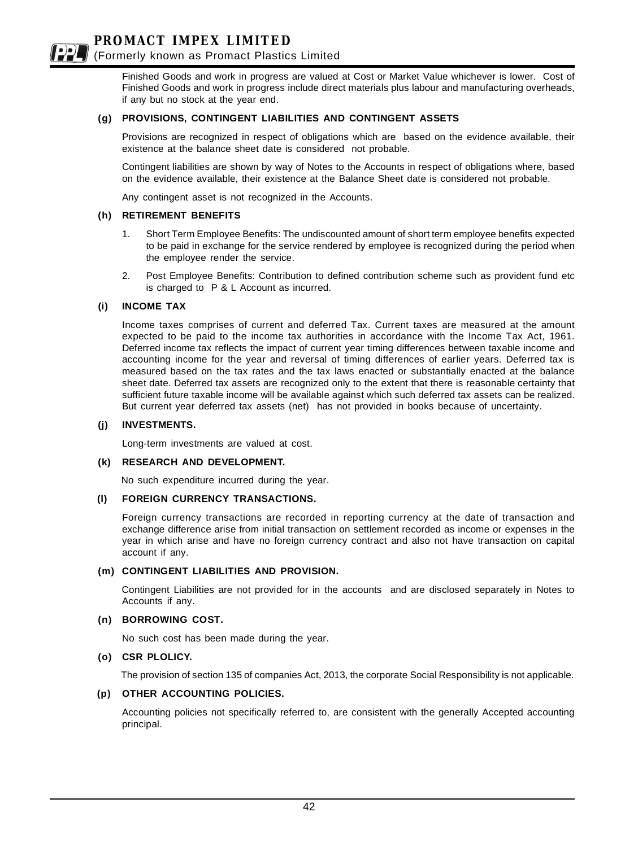Finished Goods and work in progress are valued at Cost or Market Value whichever is lower. Cost of Finished Goods and work in progress include direct materials plus labour and manufacturing overheads, if any but no stock at the year end.

#### **(g) PROVISIONS, CONTINGENT LIABILITIES AND CONTINGENT ASSETS**

Provisions are recognized in respect of obligations which are based on the evidence available, their existence at the balance sheet date is considered not probable.

Contingent liabilities are shown by way of Notes to the Accounts in respect of obligations where, based on the evidence available, their existence at the Balance Sheet date is considered not probable.

Any contingent asset is not recognized in the Accounts.

#### **(h) RETIREMENT BENEFITS**

- 1. Short Term Employee Benefits: The undiscounted amount of short term employee benefits expected to be paid in exchange for the service rendered by employee is recognized during the period when the employee render the service.
- 2. Post Employee Benefits: Contribution to defined contribution scheme such as provident fund etc is charged to P & L Account as incurred.

#### **(i) INCOME TAX**

Income taxes comprises of current and deferred Tax. Current taxes are measured at the amount expected to be paid to the income tax authorities in accordance with the Income Tax Act, 1961. Deferred income tax reflects the impact of current year timing differences between taxable income and accounting income for the year and reversal of timing differences of earlier years. Deferred tax is measured based on the tax rates and the tax laws enacted or substantially enacted at the balance sheet date. Deferred tax assets are recognized only to the extent that there is reasonable certainty that sufficient future taxable income will be available against which such deferred tax assets can be realized. But current year deferred tax assets (net) has not provided in books because of uncertainty.

#### **(j) INVESTMENTS.**

Long-term investments are valued at cost.

#### **(k) RESEARCH AND DEVELOPMENT.**

No such expenditure incurred during the year.

#### **(l) FOREIGN CURRENCY TRANSACTIONS.**

Foreign currency transactions are recorded in reporting currency at the date of transaction and exchange difference arise from initial transaction on settlement recorded as income or expenses in the year in which arise and have no foreign currency contract and also not have transaction on capital account if any.

#### **(m) CONTINGENT LIABILITIES AND PROVISION.**

Contingent Liabilities are not provided for in the accounts and are disclosed separately in Notes to Accounts if any.

#### **(n) BORROWING COST.**

No such cost has been made during the year.

#### **(o) CSR PLOLICY.**

The provision of section 135 of companies Act, 2013, the corporate Social Responsibility is not applicable.

#### **(p) OTHER ACCOUNTING POLICIES.**

Accounting policies not specifically referred to, are consistent with the generally Accepted accounting principal.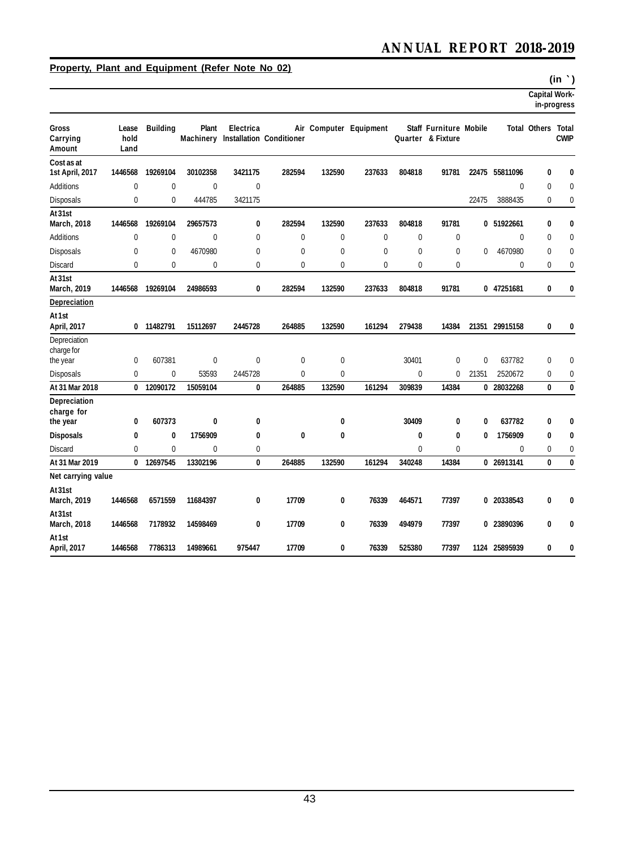# **ANNUAL REPORT 2018-2019**

# **Property, Plant and Equipment (Refer Note No 02)**

**(in )** `

|                                        |                       |          |             |             |                                    |              |                        |        |                                             |       |                |              | in progress          |
|----------------------------------------|-----------------------|----------|-------------|-------------|------------------------------------|--------------|------------------------|--------|---------------------------------------------|-------|----------------|--------------|----------------------|
| Gross<br>Carrying<br>Amount            | Lease<br>hold<br>Land | Building | Plant       | Electrica   | Machinery Installation Conditioner |              | Air Computer Equipment |        | Staff Furniture Mobile<br>Quarter & Fixture |       |                | Total Others | Total<br><b>CWIP</b> |
| Cost as at<br>1st April, 2017          | 1446568               | 19269104 | 30102358    | 3421175     | 282594                             | 132590       | 237633                 | 804818 | 91781                                       | 22475 | 55811096       | 0            | $\mathbf{0}$         |
| Additions                              | 0                     | 0        | $\mathbf 0$ | 0           |                                    |              |                        |        |                                             |       | 0              | 0            | 0                    |
| Disposals                              | 0                     | 0        | 444785      | 3421175     |                                    |              |                        |        |                                             | 22475 | 3888435        | 0            | 0                    |
| At 31st<br>March, 2018                 | 1446568               | 19269104 | 29657573    | $\mathbf 0$ | 282594                             | 132590       | 237633                 | 804818 | 91781                                       |       | 0 51922661     | $\Omega$     | 0                    |
| Additions                              | $\mathbf 0$           | 0        | $\bf{0}$    | $\mathbf 0$ | $\mathbf 0$                        | $\mathbf 0$  | $\mathbf 0$            | 0      | 0                                           |       | $\mathbf{0}$   | 0            | $\mathbf 0$          |
| Disposals                              | 0                     | 0        | 4670980     | 0           | 0                                  | $\mathbf{0}$ | 0                      | 0      | 0                                           | 0     | 4670980        | 0            | 0                    |
| Discard                                | 0                     | 0        | 0           | 0           | 0                                  | 0            | 0                      | 0      | 0                                           |       | 0              | 0            | 0                    |
| At 31st<br>March, 2019                 | 1446568               | 19269104 | 24986593    | 0           | 282594                             | 132590       | 237633                 | 804818 | 91781                                       |       | 0 47251681     | 0            | 0                    |
| Depreciation                           |                       |          |             |             |                                    |              |                        |        |                                             |       |                |              |                      |
| At 1st<br>April, 2017                  | 0                     | 11482791 | 15112697    | 2445728     | 264885                             | 132590       | 161294                 | 279438 | 14384                                       |       | 21351 29915158 | 0            | 0                    |
| Depreciation<br>charge for<br>the year | 0                     | 607381   | 0           | 0           | 0                                  | $\mathbf 0$  |                        | 30401  | 0                                           | 0     | 637782         | 0            | $\mathbf 0$          |
| Disposals                              | 0                     | $\Omega$ | 53593       | 2445728     | 0                                  | 0            |                        | 0      | 0                                           | 21351 | 2520672        | 0            | 0                    |
| At 31 Mar 2018                         | 0                     | 12090172 | 15059104    | 0           | 264885                             | 132590       | 161294                 | 309839 | 14384                                       |       | 0 28032268     | $\mathbf 0$  | $\mathbf 0$          |
| Depreciation<br>charge for             | 0                     | 607373   | $\Omega$    | 0           |                                    | $\mathbf{0}$ |                        | 30409  | 0                                           | 0     | 637782         | 0            | $\mathbf{0}$         |
| the year<br>Disposals                  | 0                     | 0        | 1756909     | $\mathbf 0$ | 0                                  | $\mathbf{0}$ |                        | 0      | 0                                           | 0     | 1756909        | 0            | $\mathbf{0}$         |
| <b>Discard</b>                         | 0                     | $\Omega$ | $\Omega$    | 0           |                                    |              |                        | 0      | 0                                           |       | $\mathbf{0}$   | 0            | 0                    |
| At 31 Mar 2019                         | 0                     | 12697545 | 13302196    | 0           | 264885                             | 132590       | 161294                 | 340248 | 14384                                       |       | 0 26913141     | $\mathbf 0$  | $\pmb{0}$            |
| Net carrying value                     |                       |          |             |             |                                    |              |                        |        |                                             |       |                |              |                      |
| At 31st<br>March, 2019                 | 1446568               | 6571559  | 11684397    | 0           | 17709                              | 0            | 76339                  | 464571 | 77397                                       |       | 0 20338543     | 0            | $\mathbf 0$          |
| At 31st<br>March, 2018                 | 1446568               | 7178932  | 14598469    | 0           | 17709                              | $\mathbf 0$  | 76339                  | 494979 | 77397                                       |       | 0 23890396     | 0            | $\mathbf 0$          |
| At 1st<br>April, 2017                  | 1446568               | 7786313  | 14989661    | 975447      | 17709                              | $\Omega$     | 76339                  | 525380 | 77397                                       |       | 1124 25895939  | 0            | $\mathbf 0$          |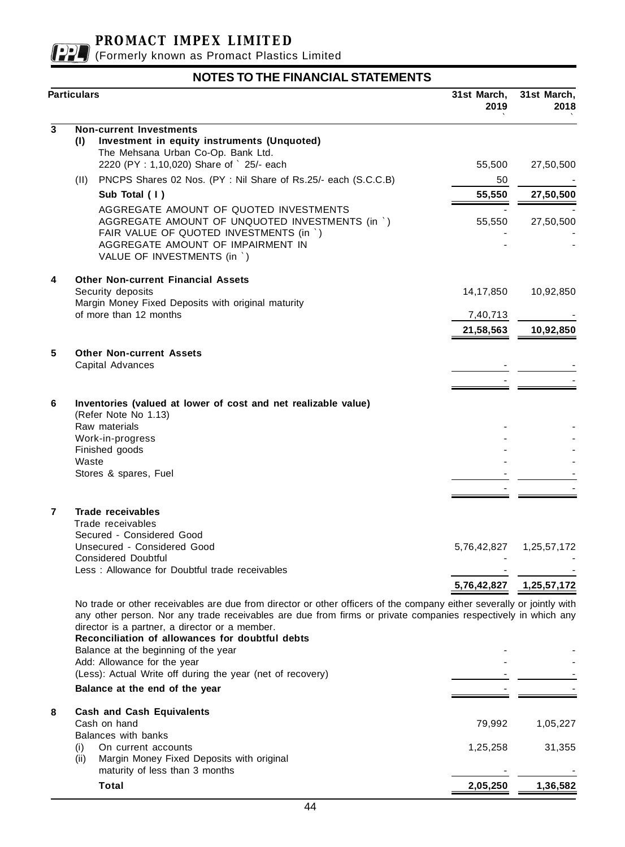יכיו

**PROMACT IMPEX LIMITED** (Formerly known as Promact Plastics Limited

# **NOTES TO THE FINANCIAL STATEMENTS**

|                | Particulars |                                                                                                                                                                                                                                                                                          | 31st March,<br>2019 | 31st March,<br>2018 |
|----------------|-------------|------------------------------------------------------------------------------------------------------------------------------------------------------------------------------------------------------------------------------------------------------------------------------------------|---------------------|---------------------|
| 3              |             | <b>Non-current Investments</b>                                                                                                                                                                                                                                                           |                     |                     |
|                | (1)         | Investment in equity instruments (Unquoted)                                                                                                                                                                                                                                              |                     |                     |
|                |             | The Mehsana Urban Co-Op. Bank Ltd.                                                                                                                                                                                                                                                       |                     |                     |
|                |             | 2220 (PY: 1,10,020) Share of ` 25/- each                                                                                                                                                                                                                                                 | 55,500              | 27,50,500           |
|                |             | (II) PNCPS Shares 02 Nos. (PY: Nil Share of Rs.25/- each (S.C.C.B)                                                                                                                                                                                                                       | 50                  |                     |
|                |             | Sub Total (1)                                                                                                                                                                                                                                                                            | 55,550              | 27,50,500           |
|                |             | AGGREGATE AMOUNT OF QUOTED INVESTMENTS<br>AGGREGATE AMOUNT OF UNQUOTED INVESTMENTS (in `)<br>FAIR VALUE OF QUOTED INVESTMENTS (in `)                                                                                                                                                     | 55,550              | 27,50,500           |
|                |             | AGGREGATE AMOUNT OF IMPAIRMENT IN<br>VALUE OF INVESTMENTS (in `)                                                                                                                                                                                                                         |                     |                     |
| 4              |             | <b>Other Non-current Financial Assets</b>                                                                                                                                                                                                                                                |                     |                     |
|                |             | Security deposits                                                                                                                                                                                                                                                                        | 14,17,850           | 10,92,850           |
|                |             | Margin Money Fixed Deposits with original maturity                                                                                                                                                                                                                                       |                     |                     |
|                |             | of more than 12 months                                                                                                                                                                                                                                                                   | 7,40,713            |                     |
|                |             |                                                                                                                                                                                                                                                                                          | 21,58,563           | 10,92,850           |
| 5              |             | <b>Other Non-current Assets</b>                                                                                                                                                                                                                                                          |                     |                     |
|                |             | Capital Advances                                                                                                                                                                                                                                                                         |                     |                     |
|                |             |                                                                                                                                                                                                                                                                                          |                     |                     |
| 6              |             | Inventories (valued at lower of cost and net realizable value)<br>(Refer Note No 1.13)<br>Raw materials                                                                                                                                                                                  |                     |                     |
|                |             | Work-in-progress                                                                                                                                                                                                                                                                         |                     |                     |
|                | Waste       | Finished goods                                                                                                                                                                                                                                                                           |                     |                     |
|                |             | Stores & spares, Fuel                                                                                                                                                                                                                                                                    |                     |                     |
|                |             |                                                                                                                                                                                                                                                                                          |                     |                     |
|                |             |                                                                                                                                                                                                                                                                                          |                     |                     |
| $\overline{7}$ |             | Trade receivables                                                                                                                                                                                                                                                                        |                     |                     |
|                |             | Trade receivables<br>Secured - Considered Good                                                                                                                                                                                                                                           |                     |                     |
|                |             | Unsecured - Considered Good                                                                                                                                                                                                                                                              | 5,76,42,827         | 1,25,57,172         |
|                |             | <b>Considered Doubtful</b>                                                                                                                                                                                                                                                               |                     |                     |
|                |             | Less: Allowance for Doubtful trade receivables                                                                                                                                                                                                                                           |                     |                     |
|                |             |                                                                                                                                                                                                                                                                                          | 5,76,42,827         | 1,25,57,172         |
|                |             | No trade or other receivables are due from director or other officers of the company either severally or jointly with<br>any other person. Nor any trade receivables are due from firms or private companies respectively in which any<br>director is a partner, a director or a member. |                     |                     |
|                |             | Reconciliation of allowances for doubtful debts                                                                                                                                                                                                                                          |                     |                     |
|                |             | Balance at the beginning of the year                                                                                                                                                                                                                                                     |                     |                     |
|                |             | Add: Allowance for the year<br>(Less): Actual Write off during the year (net of recovery)                                                                                                                                                                                                |                     |                     |
|                |             |                                                                                                                                                                                                                                                                                          |                     |                     |
|                |             | Balance at the end of the year                                                                                                                                                                                                                                                           |                     |                     |
| 8              |             | Cash and Cash Equivalents                                                                                                                                                                                                                                                                |                     |                     |
|                |             | Cash on hand                                                                                                                                                                                                                                                                             | 79,992              | 1,05,227            |
|                |             | Balances with banks                                                                                                                                                                                                                                                                      | 1,25,258            |                     |
|                | (i)         | On current accounts                                                                                                                                                                                                                                                                      |                     | 31,355              |

(ii) Margin Money Fixed Deposits with original maturity of less than 3 months **and the set of the set of the set of the set of the set of the set of the set of the set of the set of the set of the set of the set of the set of the set of the set of the set of the set of**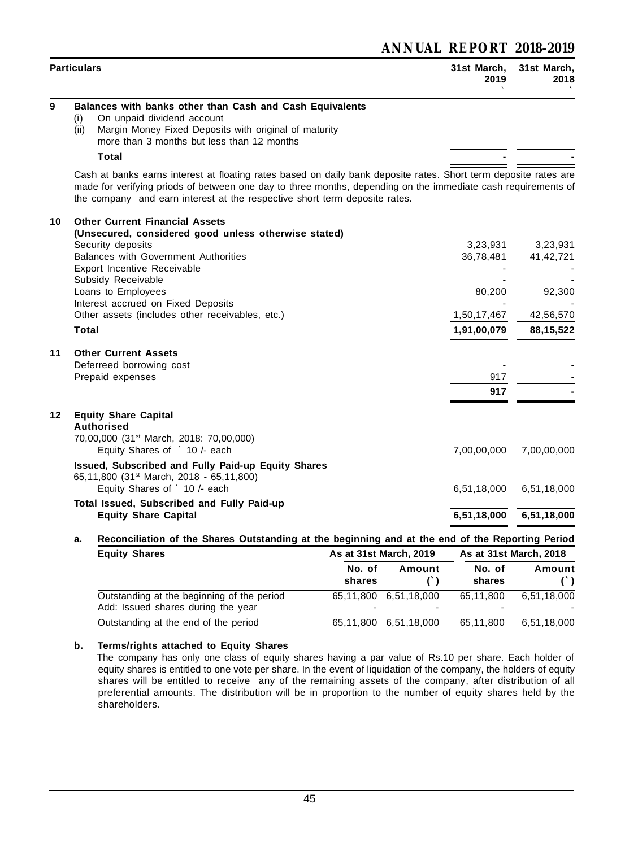|    | <b>Particulars</b> |                                                                                                                                                                                                                                                                                                                 |                  |                                                             | 31st March,<br>2019 | 31st March,<br>2018    |
|----|--------------------|-----------------------------------------------------------------------------------------------------------------------------------------------------------------------------------------------------------------------------------------------------------------------------------------------------------------|------------------|-------------------------------------------------------------|---------------------|------------------------|
| 9  |                    | Balances with banks other than Cash and Cash Equivalents                                                                                                                                                                                                                                                        |                  |                                                             |                     |                        |
|    | (i)                | On unpaid dividend account                                                                                                                                                                                                                                                                                      |                  |                                                             |                     |                        |
|    | (ii)               | Margin Money Fixed Deposits with original of maturity                                                                                                                                                                                                                                                           |                  |                                                             |                     |                        |
|    |                    | more than 3 months but less than 12 months                                                                                                                                                                                                                                                                      |                  |                                                             |                     |                        |
|    |                    | Total                                                                                                                                                                                                                                                                                                           |                  |                                                             |                     |                        |
|    |                    |                                                                                                                                                                                                                                                                                                                 |                  |                                                             |                     |                        |
|    |                    | Cash at banks earns interest at floating rates based on daily bank deposite rates. Short term deposite rates are<br>made for verifying priods of between one day to three months, depending on the immediate cash requirements of<br>the company and earn interest at the respective short term deposite rates. |                  |                                                             |                     |                        |
| 10 |                    | <b>Other Current Financial Assets</b>                                                                                                                                                                                                                                                                           |                  |                                                             |                     |                        |
|    |                    | (Unsecured, considered good unless otherwise stated)                                                                                                                                                                                                                                                            |                  |                                                             |                     |                        |
|    |                    | Security deposits                                                                                                                                                                                                                                                                                               |                  |                                                             | 3,23,931            | 3,23,931               |
|    |                    | Balances with Government Authorities                                                                                                                                                                                                                                                                            |                  |                                                             | 36,78,481           | 41,42,721              |
|    |                    | <b>Export Incentive Receivable</b>                                                                                                                                                                                                                                                                              |                  |                                                             |                     |                        |
|    |                    | Subsidy Receivable                                                                                                                                                                                                                                                                                              |                  |                                                             |                     |                        |
|    |                    | Loans to Employees                                                                                                                                                                                                                                                                                              |                  |                                                             | 80,200              | 92,300                 |
|    |                    | Interest accrued on Fixed Deposits                                                                                                                                                                                                                                                                              |                  |                                                             |                     |                        |
|    |                    | Other assets (includes other receivables, etc.)                                                                                                                                                                                                                                                                 |                  |                                                             | 1,50,17,467         | 42,56,570              |
|    | Total              |                                                                                                                                                                                                                                                                                                                 |                  |                                                             | 1,91,00,079         | 88,15,522              |
| 11 |                    | <b>Other Current Assets</b>                                                                                                                                                                                                                                                                                     |                  |                                                             |                     |                        |
|    |                    | Deferreed borrowing cost                                                                                                                                                                                                                                                                                        |                  |                                                             |                     |                        |
|    |                    | Prepaid expenses                                                                                                                                                                                                                                                                                                |                  |                                                             | 917                 |                        |
|    |                    |                                                                                                                                                                                                                                                                                                                 |                  |                                                             | 917                 |                        |
| 12 |                    | <b>Equity Share Capital</b>                                                                                                                                                                                                                                                                                     |                  |                                                             |                     |                        |
|    |                    | <b>Authorised</b>                                                                                                                                                                                                                                                                                               |                  |                                                             |                     |                        |
|    |                    | 70,00,000 (31 <sup>st</sup> March, 2018: 70,00,000)                                                                                                                                                                                                                                                             |                  |                                                             |                     |                        |
|    |                    | Equity Shares of 10 /- each                                                                                                                                                                                                                                                                                     |                  |                                                             | 7,00,00,000         | 7,00,00,000            |
|    |                    | Issued, Subscribed and Fully Paid-up Equity Shares<br>65,11,800 (31 <sup>st</sup> March, 2018 - 65,11,800)                                                                                                                                                                                                      |                  |                                                             |                     |                        |
|    |                    | Equity Shares of ` 10 /- each                                                                                                                                                                                                                                                                                   |                  |                                                             | 6,51,18,000         | 6,51,18,000            |
|    |                    | Total Issued, Subscribed and Fully Paid-up<br><b>Equity Share Capital</b>                                                                                                                                                                                                                                       |                  |                                                             | 6,51,18,000         | 6,51,18,000            |
|    |                    |                                                                                                                                                                                                                                                                                                                 |                  |                                                             |                     |                        |
|    | a.                 | Reconciliation of the Shares Outstanding at the beginning and at the end of the Reporting Period                                                                                                                                                                                                                |                  |                                                             |                     |                        |
|    |                    | <b>Equity Shares</b>                                                                                                                                                                                                                                                                                            |                  | As at 31st March, 2019                                      |                     | As at 31st March, 2018 |
|    |                    |                                                                                                                                                                                                                                                                                                                 | No. of<br>shares | Amount<br>$\left(\begin{matrix} 1 \\ 2 \end{matrix}\right)$ | No. of<br>shares    | Amount<br>$($ )        |
|    |                    | Outstanding at the beginning of the period<br>Add: Issued shares during the year                                                                                                                                                                                                                                | 65,11,800        | 6,51,18,000                                                 | 65,11,800           | 6,51,18,000            |
|    |                    | Outstanding at the end of the period                                                                                                                                                                                                                                                                            |                  | 65,11,800 6,51,18,000                                       | 65,11,800           | 6,51,18,000            |

#### **b. Terms/rights attached to Equity Shares**

The company has only one class of equity shares having a par value of Rs.10 per share. Each holder of equity shares is entitled to one vote per share. In the event of liquidation of the company, the holders of equity shares will be entitled to receive any of the remaining assets of the company, after distribution of all preferential amounts. The distribution will be in proportion to the number of equity shares held by the shareholders.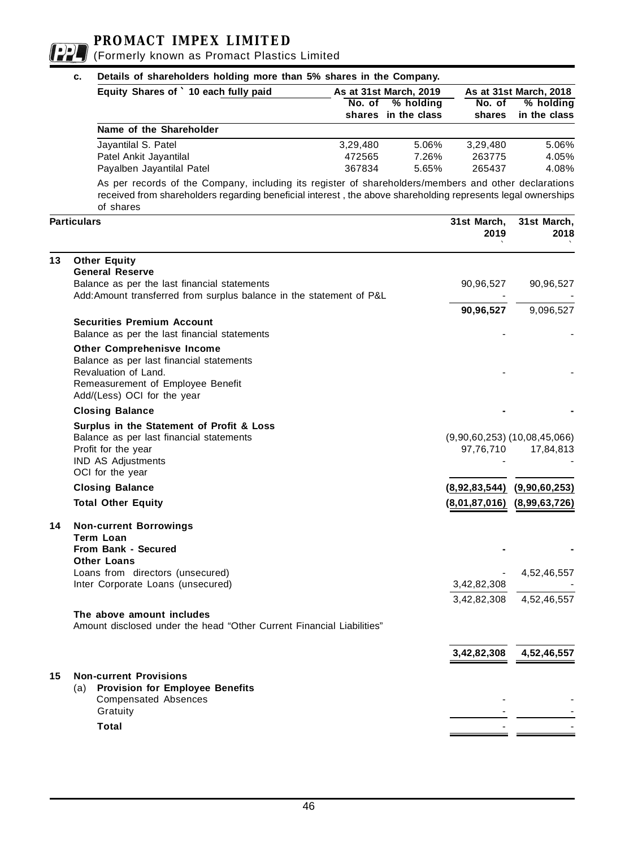# **---**

#### **c. Details of shareholders holding more than 5% shares in the Company.**

| Equity Shares of 10 each fully paid |          | As at 31st March, 2019                  | As at 31st March, 2018 |                             |  |
|-------------------------------------|----------|-----------------------------------------|------------------------|-----------------------------|--|
|                                     |          | No. of % holding<br>shares in the class | No. of<br>shares       | $%$ holding<br>in the class |  |
| Name of the Shareholder             |          |                                         |                        |                             |  |
| Jayantilal S. Patel                 | 3,29,480 | 5.06%                                   | 3.29.480               | 5.06%                       |  |
| Patel Ankit Jayantilal              | 472565   | 7.26%                                   | 263775                 | 4.05%                       |  |
| Payalben Jayantilal Patel           | 367834   | 5.65%                                   | 265437                 | 4.08%                       |  |

As per records of the Company, including its register of shareholders/members and other declarations received from shareholders regarding beneficial interest , the above shareholding represents legal ownerships of shares

|    | <b>Particulars</b>                                                                                                                                                        | 31st March,<br>2019        | 31st March,<br>2018                           |
|----|---------------------------------------------------------------------------------------------------------------------------------------------------------------------------|----------------------------|-----------------------------------------------|
| 13 | <b>Other Equity</b><br><b>General Reserve</b><br>Balance as per the last financial statements                                                                             | 90,96,527                  | 90,96,527                                     |
|    | Add: Amount transferred from surplus balance in the statement of P&L                                                                                                      | 90,96,527                  | 9,096,527                                     |
|    | <b>Securities Premium Account</b><br>Balance as per the last financial statements                                                                                         |                            |                                               |
|    | <b>Other Comprehenisve Income</b><br>Balance as per last financial statements<br>Revaluation of Land.<br>Remeasurement of Employee Benefit<br>Add/(Less) OCI for the year |                            |                                               |
|    | <b>Closing Balance</b>                                                                                                                                                    |                            |                                               |
|    | Surplus in the Statement of Profit & Loss<br>Balance as per last financial statements<br>Profit for the year<br><b>IND AS Adjustments</b><br>OCI for the year             | 97,76,710                  | $(9,90,60,253)$ $(10,08,45,066)$<br>17,84,813 |
|    | <b>Closing Balance</b>                                                                                                                                                    |                            | $(8,92,83,544)$ $(9,90,60,253)$               |
|    | <b>Total Other Equity</b>                                                                                                                                                 |                            | $(8,01,87,016)$ $(8,99,63,726)$               |
| 14 | <b>Non-current Borrowings</b><br>Term Loan<br>From Bank - Secured                                                                                                         |                            |                                               |
|    | <b>Other Loans</b><br>Loans from directors (unsecured)                                                                                                                    |                            | 4,52,46,557                                   |
|    | Inter Corporate Loans (unsecured)                                                                                                                                         | 3,42,82,308<br>3,42,82,308 | 4,52,46,557                                   |
|    | The above amount includes<br>Amount disclosed under the head "Other Current Financial Liabilities"                                                                        |                            |                                               |
|    |                                                                                                                                                                           | 3,42,82,308                | 4,52,46,557                                   |
| 15 | <b>Non-current Provisions</b><br><b>Provision for Employee Benefits</b><br>(a)<br><b>Compensated Absences</b><br>Gratuity                                                 |                            |                                               |
|    | Total                                                                                                                                                                     |                            |                                               |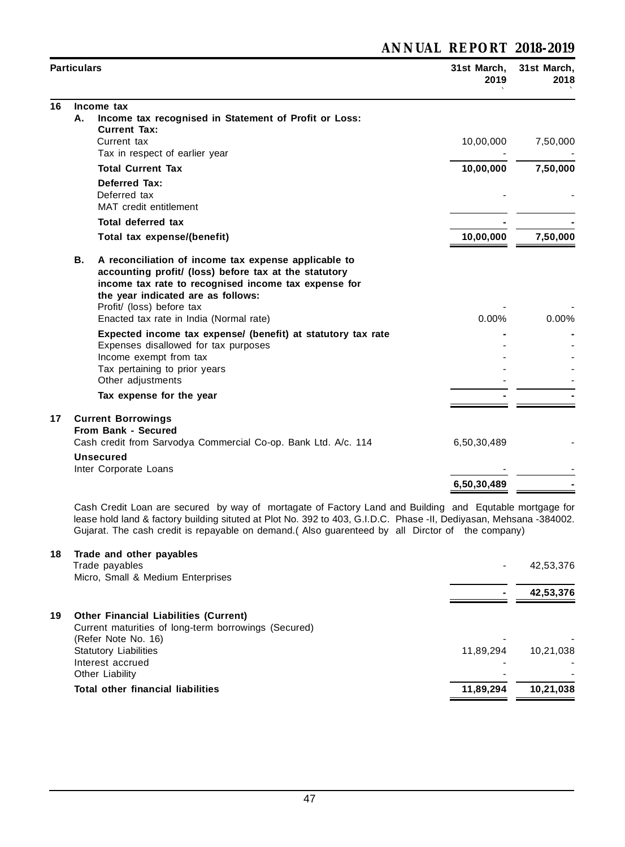|    | <b>Particulars</b> |                                                                                                                                                                                                                                                                                                                                   | 31st March,<br>2019 | 31st March,<br>2018 |
|----|--------------------|-----------------------------------------------------------------------------------------------------------------------------------------------------------------------------------------------------------------------------------------------------------------------------------------------------------------------------------|---------------------|---------------------|
| 16 |                    | Income tax                                                                                                                                                                                                                                                                                                                        |                     |                     |
|    | А.                 | Income tax recognised in Statement of Profit or Loss:                                                                                                                                                                                                                                                                             |                     |                     |
|    |                    | Current Tax:<br>Current tax                                                                                                                                                                                                                                                                                                       | 10,00,000           | 7,50,000            |
|    |                    | Tax in respect of earlier year                                                                                                                                                                                                                                                                                                    |                     |                     |
|    |                    | <b>Total Current Tax</b>                                                                                                                                                                                                                                                                                                          | 10,00,000           | 7,50,000            |
|    |                    | Deferred Tax:                                                                                                                                                                                                                                                                                                                     |                     |                     |
|    |                    | Deferred tax                                                                                                                                                                                                                                                                                                                      |                     |                     |
|    |                    | MAT credit entitlement                                                                                                                                                                                                                                                                                                            |                     |                     |
|    |                    | <b>Total deferred tax</b>                                                                                                                                                                                                                                                                                                         |                     |                     |
|    |                    | Total tax expense/(benefit)                                                                                                                                                                                                                                                                                                       | 10,00,000           | 7,50,000            |
|    | В.                 | A reconciliation of income tax expense applicable to<br>accounting profit/ (loss) before tax at the statutory<br>income tax rate to recognised income tax expense for<br>the year indicated are as follows:<br>Profit/ (loss) before tax<br>Enacted tax rate in India (Normal rate)                                               | 0.00%               | 0.00%               |
|    |                    | Expected income tax expense/ (benefit) at statutory tax rate                                                                                                                                                                                                                                                                      |                     |                     |
|    |                    | Expenses disallowed for tax purposes                                                                                                                                                                                                                                                                                              |                     |                     |
|    |                    | Income exempt from tax                                                                                                                                                                                                                                                                                                            |                     |                     |
|    |                    | Tax pertaining to prior years<br>Other adjustments                                                                                                                                                                                                                                                                                |                     |                     |
|    |                    | Tax expense for the year                                                                                                                                                                                                                                                                                                          |                     |                     |
| 17 |                    | <b>Current Borrowings</b><br>From Bank - Secured                                                                                                                                                                                                                                                                                  |                     |                     |
|    |                    | Cash credit from Sarvodya Commercial Co-op. Bank Ltd. A/c. 114                                                                                                                                                                                                                                                                    | 6,50,30,489         |                     |
|    |                    | <b>Unsecured</b><br>Inter Corporate Loans                                                                                                                                                                                                                                                                                         |                     |                     |
|    |                    |                                                                                                                                                                                                                                                                                                                                   | 6,50,30,489         |                     |
|    |                    |                                                                                                                                                                                                                                                                                                                                   |                     |                     |
|    |                    | Cash Credit Loan are secured by way of mortagate of Factory Land and Building and Equtable mortgage for<br>lease hold land & factory building situted at Plot No. 392 to 403, G.I.D.C. Phase -II, Dediyasan, Mehsana -384002.<br>Gujarat. The cash credit is repayable on demand. (Also quarenteed by all Dirctor of the company) |                     |                     |

**ANNUAL REPORT 2018-2019**

# **18 Trade and other payables** Trade payables and the set of the set of the set of the set of the set of the set of the set of the set of the set of the set of the set of the set of the set of the set of the set of the set of the set of the set of the s Micro, Small & Medium Enterprises **- 42,53,376 19 Other Financial Liabilities (Current)** Current maturities of long-term borrowings (Secured) (Refer Note No. 16)<br>
Statutory Liabilities (10.21.038)<br>
Statutory Liabilities Statutory Liabilities Interest accrued Other Liability - - **Total other financial liabilities 11,89,294 10,21,038**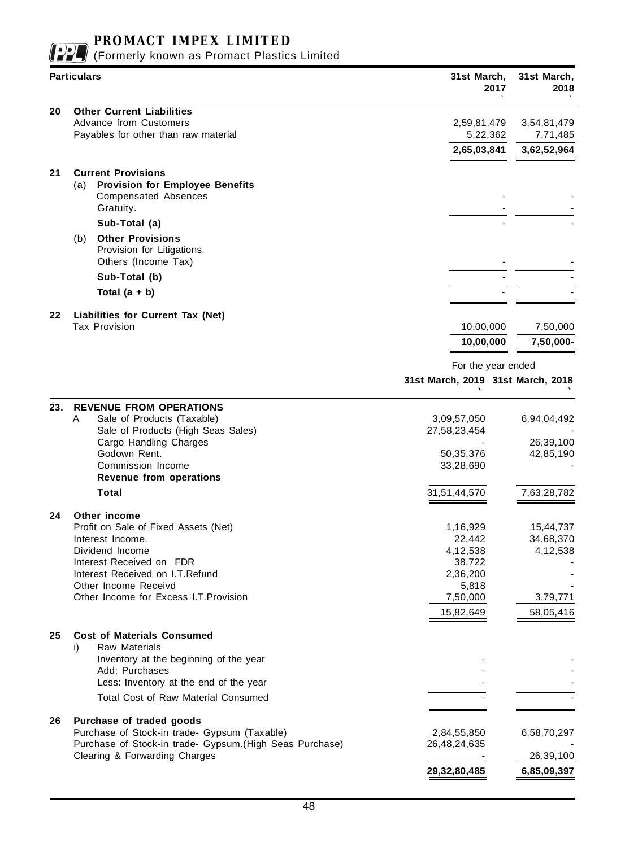**PROMACT IMPEX LIMITED**

**(224)** FIGUREAN LIVE AND LIVE CONTROL LIBRARY (Formerly known as Promact Plastics Limited

|     | <b>Particulars</b>                                                                       | 31st March,<br>2017               | 31st March,<br>2018      |
|-----|------------------------------------------------------------------------------------------|-----------------------------------|--------------------------|
| 20  | <b>Other Current Liabilities</b>                                                         |                                   |                          |
|     | <b>Advance from Customers</b>                                                            | 2,59,81,479                       | 3,54,81,479              |
|     | Payables for other than raw material                                                     | 5,22,362                          | 7,71,485                 |
|     |                                                                                          | 2,65,03,841                       | 3,62,52,964              |
| 21  | <b>Current Provisions</b>                                                                |                                   |                          |
|     | <b>Provision for Employee Benefits</b><br>(a)                                            |                                   |                          |
|     | <b>Compensated Absences</b>                                                              |                                   |                          |
|     | Gratuity.                                                                                |                                   |                          |
|     | Sub-Total (a)                                                                            |                                   |                          |
|     | <b>Other Provisions</b><br>(b)<br>Provision for Litigations.                             |                                   |                          |
|     | Others (Income Tax)                                                                      |                                   |                          |
|     | Sub-Total (b)                                                                            |                                   |                          |
|     | Total $(a + b)$                                                                          |                                   |                          |
| 22  | Liabilities for Current Tax (Net)                                                        |                                   |                          |
|     | <b>Tax Provision</b>                                                                     | 10,00,000                         | 7,50,000                 |
|     |                                                                                          | 10,00,000                         | 7,50,000-                |
|     |                                                                                          | For the year ended                |                          |
|     |                                                                                          | 31st March, 2019 31st March, 2018 |                          |
|     |                                                                                          |                                   |                          |
| 23. | <b>REVENUE FROM OPERATIONS</b><br>Sale of Products (Taxable)<br>A                        | 3,09,57,050                       | 6,94,04,492              |
|     | Sale of Products (High Seas Sales)                                                       | 27,58,23,454                      |                          |
|     | Cargo Handling Charges                                                                   |                                   | 26,39,100                |
|     | Godown Rent.                                                                             | 50,35,376                         | 42,85,190                |
|     | Commission Income                                                                        | 33,28,690                         |                          |
|     | Revenue from operations                                                                  |                                   |                          |
|     | Total                                                                                    | 31,51,44,570                      | 7,63,28,782              |
| 24  | Other income                                                                             |                                   |                          |
|     | Profit on Sale of Fixed Assets (Net)                                                     | 1,16,929                          | 15,44,737                |
|     | Interest Income.                                                                         | 22,442                            | 34,68,370                |
|     | Dividend Income<br>Interest Received on FDR                                              | 4,12,538<br>38,722                | 4,12,538                 |
|     | Interest Received on I.T. Refund                                                         | 2,36,200                          |                          |
|     | Other Income Receivd                                                                     | 5,818                             |                          |
|     | Other Income for Excess I.T. Provision                                                   | 7,50,000                          | 3,79,771                 |
|     |                                                                                          | 15,82,649                         | 58,05,416                |
| 25  | <b>Cost of Materials Consumed</b>                                                        |                                   |                          |
|     | <b>Raw Materials</b><br>i)                                                               |                                   |                          |
|     | Inventory at the beginning of the year                                                   |                                   |                          |
|     | Add: Purchases                                                                           |                                   |                          |
|     | Less: Inventory at the end of the year                                                   |                                   |                          |
|     | Total Cost of Raw Material Consumed                                                      |                                   |                          |
| 26  | Purchase of traded goods                                                                 |                                   |                          |
|     | Purchase of Stock-in trade- Gypsum (Taxable)                                             | 2,84,55,850                       | 6,58,70,297              |
|     | Purchase of Stock-in trade- Gypsum.(High Seas Purchase)<br>Clearing & Forwarding Charges | 26,48,24,635                      |                          |
|     |                                                                                          | 29,32,80,485                      | 26,39,100<br>6,85,09,397 |
|     |                                                                                          |                                   |                          |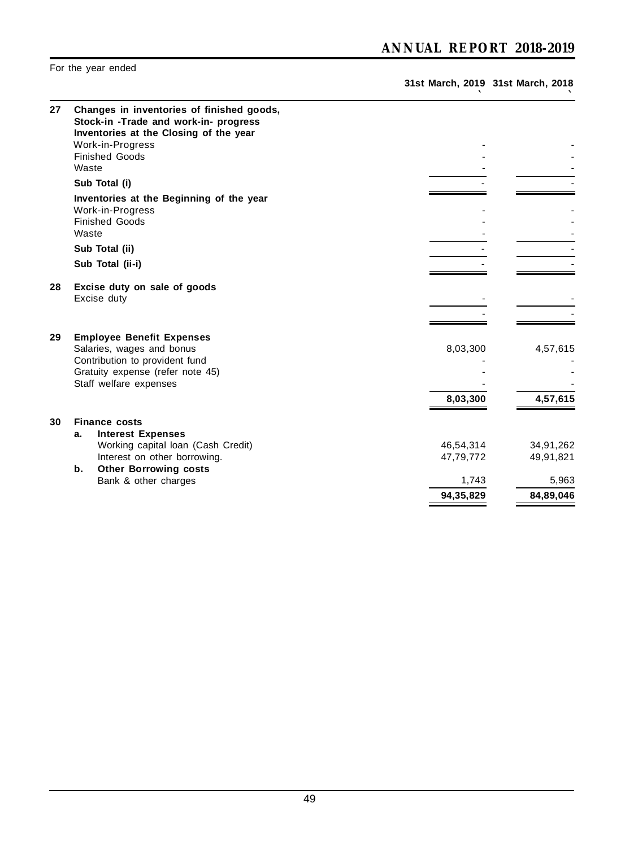For the year ended

**31st March, 2019 31st March, 2018**

| 27 | Changes in inventories of finished goods,<br>Stock-in -Trade and work-in- progress<br>Inventories at the Closing of the year<br>Work-in-Progress<br><b>Finished Goods</b><br>Waste |                        |                        |
|----|------------------------------------------------------------------------------------------------------------------------------------------------------------------------------------|------------------------|------------------------|
|    | Sub Total (i)                                                                                                                                                                      |                        |                        |
|    | Inventories at the Beginning of the year<br>Work-in-Progress<br><b>Finished Goods</b><br>Waste<br>Sub Total (ii)                                                                   |                        |                        |
|    | Sub Total (ii-i)                                                                                                                                                                   |                        |                        |
| 28 | Excise duty on sale of goods<br>Excise duty                                                                                                                                        |                        |                        |
| 29 | <b>Employee Benefit Expenses</b><br>Salaries, wages and bonus<br>Contribution to provident fund<br>Gratuity expense (refer note 45)<br>Staff welfare expenses                      | 8,03,300<br>8,03,300   | 4,57,615<br>4,57,615   |
| 30 | <b>Finance costs</b><br><b>Interest Expenses</b><br>а.<br>Working capital loan (Cash Credit)<br>Interest on other borrowing.                                                       | 46,54,314<br>47,79,772 | 34,91,262<br>49,91,821 |
|    | <b>Other Borrowing costs</b><br>b.<br>Bank & other charges                                                                                                                         | 1,743                  | 5,963                  |
|    |                                                                                                                                                                                    | 94,35,829              | 84.89.046              |
|    |                                                                                                                                                                                    |                        |                        |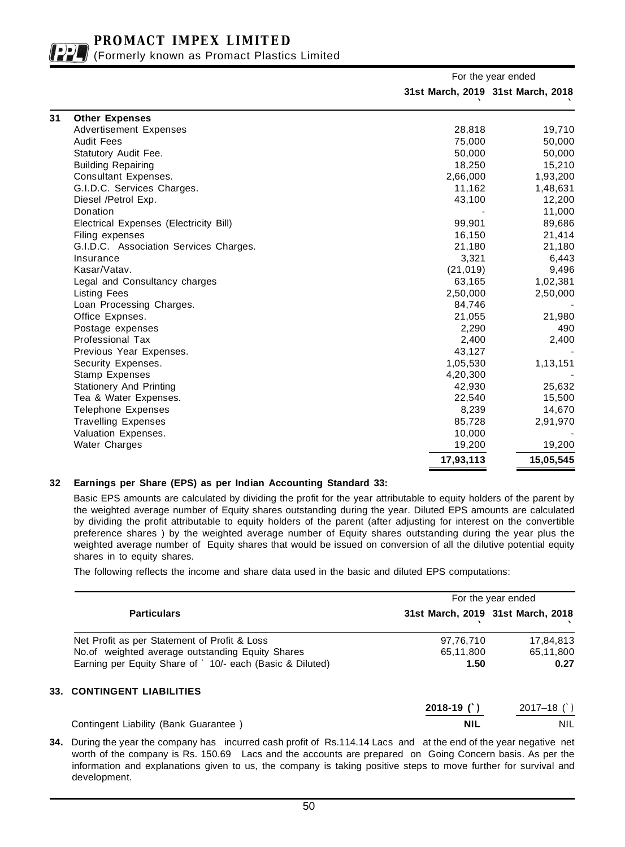

|    |                                        | For the year ended |                                   |  |
|----|----------------------------------------|--------------------|-----------------------------------|--|
|    |                                        |                    | 31st March, 2019 31st March, 2018 |  |
| 31 | <b>Other Expenses</b>                  |                    |                                   |  |
|    | <b>Advertisement Expenses</b>          | 28,818             | 19,710                            |  |
|    | <b>Audit Fees</b>                      | 75,000             | 50,000                            |  |
|    | Statutory Audit Fee.                   | 50,000             | 50,000                            |  |
|    | <b>Building Repairing</b>              | 18,250             | 15,210                            |  |
|    | Consultant Expenses.                   | 2,66,000           | 1,93,200                          |  |
|    | G.I.D.C. Services Charges.             | 11,162             | 1,48,631                          |  |
|    | Diesel /Petrol Exp.                    | 43,100             | 12,200                            |  |
|    | Donation                               |                    | 11,000                            |  |
|    | Electrical Expenses (Electricity Bill) | 99,901             | 89,686                            |  |
|    | Filing expenses                        | 16,150             | 21,414                            |  |
|    | G.I.D.C. Association Services Charges. | 21,180             | 21,180                            |  |
|    | Insurance                              | 3,321              | 6,443                             |  |
|    | Kasar/Vatav.                           | (21, 019)          | 9,496                             |  |
|    | Legal and Consultancy charges          | 63,165             | 1,02,381                          |  |
|    | Listing Fees                           | 2,50,000           | 2,50,000                          |  |
|    | Loan Processing Charges.               | 84,746             |                                   |  |
|    | Office Expnses.                        | 21,055             | 21,980                            |  |
|    | Postage expenses                       | 2,290              | 490                               |  |
|    | <b>Professional Tax</b>                | 2,400              | 2,400                             |  |
|    | Previous Year Expenses.                | 43,127             |                                   |  |
|    | Security Expenses.                     | 1,05,530           | 1,13,151                          |  |
|    | Stamp Expenses                         | 4,20,300           |                                   |  |
|    | <b>Stationery And Printing</b>         | 42,930             | 25,632                            |  |
|    | Tea & Water Expenses.                  | 22,540             | 15,500                            |  |
|    | <b>Telephone Expenses</b>              | 8,239              | 14,670                            |  |
|    | <b>Travelling Expenses</b>             | 85,728             | 2,91,970                          |  |
|    | Valuation Expenses.                    | 10,000             |                                   |  |
|    | Water Charges                          | 19,200             | 19,200                            |  |
|    |                                        | 17,93,113          | 15,05,545                         |  |

#### **32 Earnings per Share (EPS) as per Indian Accounting Standard 33:**

Basic EPS amounts are calculated by dividing the profit for the year attributable to equity holders of the parent by the weighted average number of Equity shares outstanding during the year. Diluted EPS amounts are calculated by dividing the profit attributable to equity holders of the parent (after adjusting for interest on the convertible preference shares ) by the weighted average number of Equity shares outstanding during the year plus the weighted average number of Equity shares that would be issued on conversion of all the dilutive potential equity shares in to equity shares.

The following reflects the income and share data used in the basic and diluted EPS computations:

|                                                         |                 | For the year ended                |
|---------------------------------------------------------|-----------------|-----------------------------------|
| <b>Particulars</b>                                      |                 | 31st March, 2019 31st March, 2018 |
| Net Profit as per Statement of Profit & Loss            | 97,76,710       | 17,84,813                         |
| No.of weighted average outstanding Equity Shares        | 65,11,800       | 65,11,800                         |
| Earning per Equity Share of 10/- each (Basic & Diluted) | 1.50            | 0.27                              |
| 33. CONTINGENT LIABILITIES                              |                 |                                   |
|                                                         | $2018 - 19$ ( ) | $2017 - 18$ (1)                   |
| Contingent Liability (Bank Guarantee)                   | <b>NIL</b>      | <b>NIL</b>                        |

**34.** During the year the company has incurred cash profit of Rs.114.14 Lacs and at the end of the year negative net worth of the company is Rs. 150.69 Lacs and the accounts are prepared on Going Concern basis. As per the information and explanations given to us, the company is taking positive steps to move further for survival and development.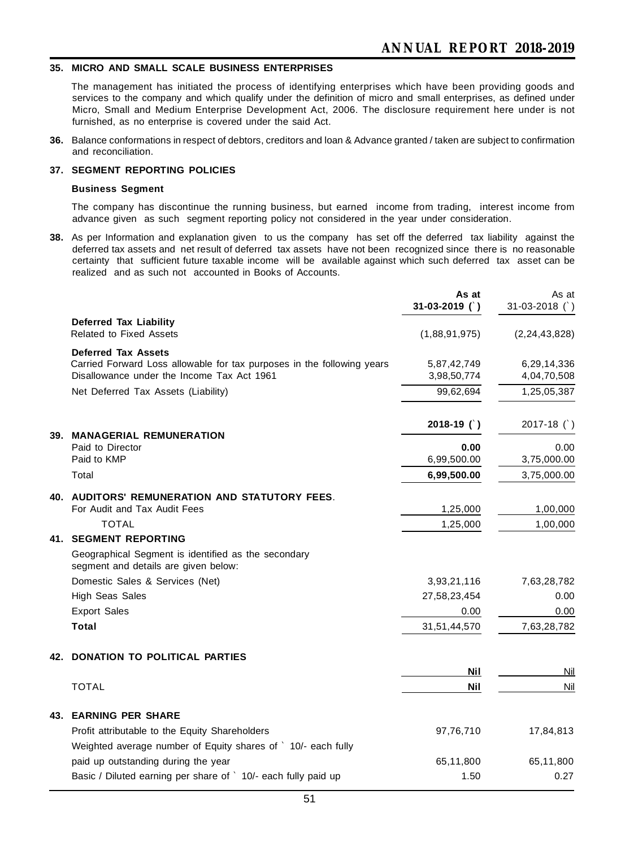#### **35. MICRO AND SMALL SCALE BUSINESS ENTERPRISES**

The management has initiated the process of identifying enterprises which have been providing goods and services to the company and which qualify under the definition of micro and small enterprises, as defined under Micro, Small and Medium Enterprise Development Act, 2006. The disclosure requirement here under is not furnished, as no enterprise is covered under the said Act.

**36.** Balance conformations in respect of debtors, creditors and loan & Advance granted / taken are subject to confirmation and reconciliation.

#### **37. SEGMENT REPORTING POLICIES**

#### **Business Segment**

The company has discontinue the running business, but earned income from trading, interest income from advance given as such segment reporting policy not considered in the year under consideration.

**38.** As per Information and explanation given to us the company has set off the deferred tax liability against the deferred tax assets and net result of deferred tax assets have not been recognized since there is no reasonable certainty that sufficient future taxable income will be available against which such deferred tax asset can be realized and as such not accounted in Books of Accounts.

|                                                                                                                      | As at<br>$31 - 03 - 2019$ (1) | As at<br>$31 - 03 - 2018$ (1) |
|----------------------------------------------------------------------------------------------------------------------|-------------------------------|-------------------------------|
| <b>Deferred Tax Liability</b>                                                                                        |                               |                               |
| Related to Fixed Assets                                                                                              | (1,88,91,975)                 | (2, 24, 43, 828)              |
| <b>Deferred Tax Assets</b>                                                                                           |                               |                               |
| Carried Forward Loss allowable for tax purposes in the following years<br>Disallowance under the Income Tax Act 1961 | 5,87,42,749<br>3,98,50,774    | 6,29,14,336<br>4,04,70,508    |
|                                                                                                                      |                               |                               |
| Net Deferred Tax Assets (Liability)                                                                                  | 99,62,694                     | 1,25,05,387                   |
|                                                                                                                      | $2018-19$ ()                  | 2017-18 (`)                   |
| <b>39. MANAGERIAL REMUNERATION</b><br>Paid to Director                                                               | 0.00                          | 0.00                          |
| Paid to KMP                                                                                                          | 6,99,500.00                   | 3,75,000.00                   |
| Total                                                                                                                | 6,99,500.00                   | 3,75,000.00                   |
| 40. AUDITORS' REMUNERATION AND STATUTORY FEES.                                                                       |                               |                               |
| For Audit and Tax Audit Fees                                                                                         | 1,25,000                      | 1,00,000                      |
| <b>TOTAL</b>                                                                                                         | 1,25,000                      | 1,00,000                      |
| <b>41. SEGMENT REPORTING</b>                                                                                         |                               |                               |
| Geographical Segment is identified as the secondary<br>segment and details are given below:                          |                               |                               |
| Domestic Sales & Services (Net)                                                                                      | 3,93,21,116                   | 7,63,28,782                   |
| <b>High Seas Sales</b>                                                                                               | 27,58,23,454                  | 0.00                          |
| <b>Export Sales</b>                                                                                                  | 0.00                          | 0.00                          |
| <b>Total</b>                                                                                                         | 31,51,44,570                  | 7,63,28,782                   |
| <b>42. DONATION TO POLITICAL PARTIES</b>                                                                             |                               |                               |
|                                                                                                                      | Nil                           | Nil                           |
| <b>TOTAL</b>                                                                                                         | Nil                           | Nil                           |
| 43. EARNING PER SHARE                                                                                                |                               |                               |
| Profit attributable to the Equity Shareholders                                                                       | 97,76,710                     | 17,84,813                     |
| Weighted average number of Equity shares of ` 10/- each fully                                                        |                               |                               |
| paid up outstanding during the year                                                                                  | 65,11,800                     | 65,11,800                     |
| Basic / Diluted earning per share of ` 10/- each fully paid up                                                       | 1.50                          | 0.27                          |
|                                                                                                                      |                               |                               |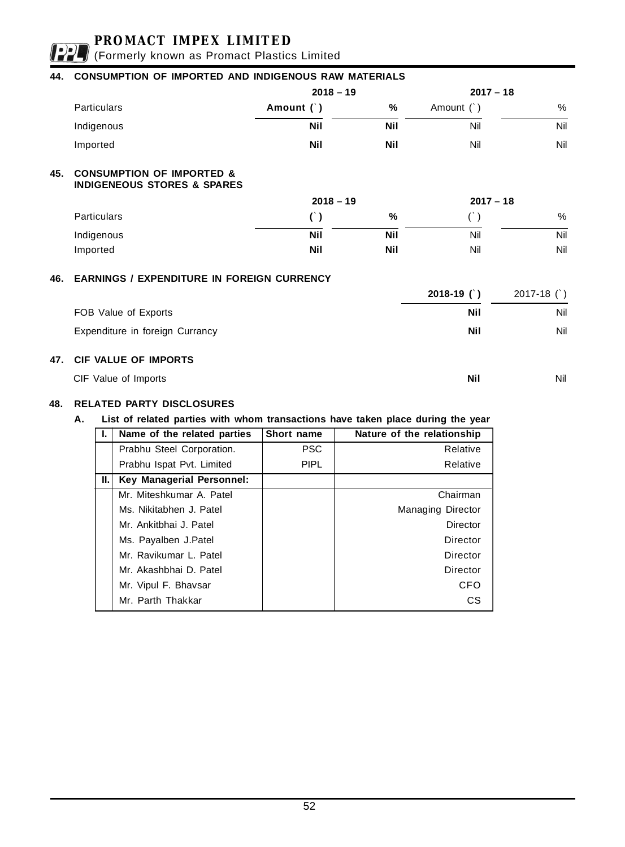**PROMACT IMPEX LIMITED** (Formerly known as Promact Plastics Limited

# **44. CONSUMPTION OF IMPORTED AND INDIGENOUS RAW MATERIALS**

|     |                                      |            | $2018 - 19$ |     | $2017 - 18$ |     |
|-----|--------------------------------------|------------|-------------|-----|-------------|-----|
|     | Particulars                          | Amount (`) |             | %   | Amount (`)  | %   |
|     | Indigenous                           |            | Nil         | Nil | Nil         | Nil |
|     | Imported                             |            | Nil         | Nil | Nil         | Nil |
| 45. | <b>CONSUMPTION OF IMPORTED &amp;</b> |            |             |     |             |     |

# **INDIGENEOUS STORES & SPARES**

|                    | $2018 - 19$ |     | $2017 - 18$ |     |
|--------------------|-------------|-----|-------------|-----|
| <b>Particulars</b> |             | %   |             | %   |
| Indigenous         | Nil         | Nil | Nil         | Nil |
| Imported           | Nil         | Nil | Nil         | Nil |

# **46. EARNINGS / EXPENDITURE IN FOREIGN CURRENCY**

|                                 | $2018 - 19$ (1) | $2017 - 18$ (1) |
|---------------------------------|-----------------|-----------------|
| FOB Value of Exports            | Nil             | Nil             |
| Expenditure in foreign Currancy | Nil             | Nil             |

# **47. CIF VALUE OF IMPORTS**

CIF Value of Imports **Nil** Nil

# **48. RELATED PARTY DISCLOSURES**

# **A. List of related parties with whom transactions have taken place during the year**

| ь. | Name of the related parties | Short name  | Nature of the relationship |
|----|-----------------------------|-------------|----------------------------|
|    | Prabhu Steel Corporation.   | <b>PSC</b>  | Relative                   |
|    | Prabhu Ispat Pvt. Limited   | <b>PIPL</b> | Relative                   |
| Н. | Key Managerial Personnel:   |             |                            |
|    | Mr. Miteshkumar A. Patel    |             | Chairman                   |
|    | Ms. Nikitabhen J. Patel     |             | <b>Managing Director</b>   |
|    | Mr. Ankitbhai J. Patel      |             | Director                   |
|    | Ms. Payalben J.Patel        |             | Director                   |
|    | Mr. Ravikumar L. Patel      |             | Director                   |
|    | Mr. Akashbhai D. Patel      |             | Director                   |
|    | Mr. Vipul F. Bhavsar        |             | CFO                        |
|    | Mr. Parth Thakkar           |             | СS                         |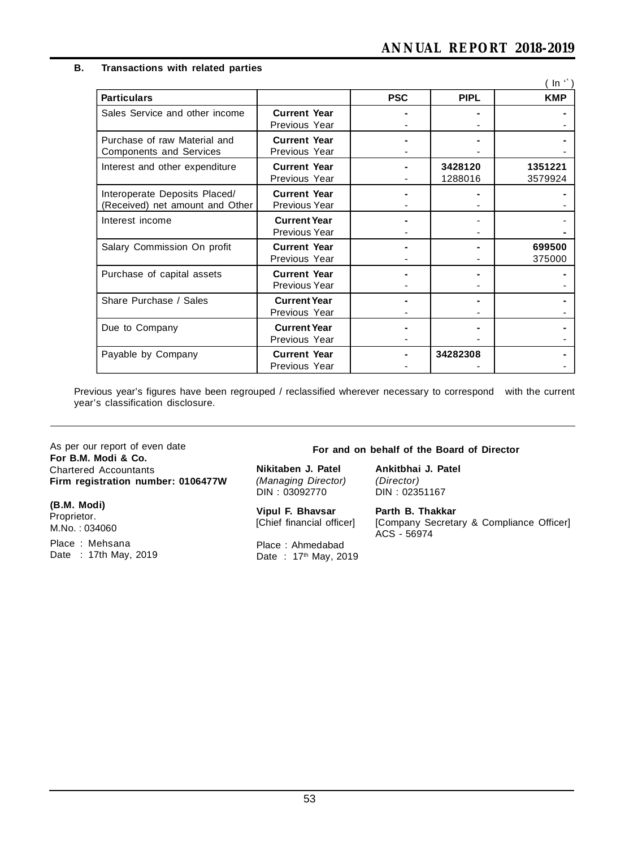#### **B. Transactions with related parties**

|                                 |                     |            |             | $\ln$ $\degree$ |
|---------------------------------|---------------------|------------|-------------|-----------------|
| <b>Particulars</b>              |                     | <b>PSC</b> | <b>PIPL</b> | <b>KMP</b>      |
| Sales Service and other income  | <b>Current Year</b> |            |             |                 |
|                                 | Previous Year       |            |             |                 |
| Purchase of raw Material and    | <b>Current Year</b> |            |             |                 |
| Components and Services         | Previous Year       |            |             |                 |
| Interest and other expenditure  | <b>Current Year</b> |            | 3428120     | 1351221         |
|                                 | Previous Year       |            | 1288016     | 3579924         |
| Interoperate Deposits Placed/   | <b>Current Year</b> |            |             |                 |
| (Received) net amount and Other | Previous Year       |            |             |                 |
| Interest income                 | <b>Current Year</b> |            |             |                 |
|                                 | Previous Year       |            |             |                 |
| Salary Commission On profit     | <b>Current Year</b> |            |             | 699500          |
|                                 | Previous Year       |            |             | 375000          |
| Purchase of capital assets      | <b>Current Year</b> |            |             |                 |
|                                 | Previous Year       |            |             |                 |
| Share Purchase / Sales          | <b>Current Year</b> |            |             |                 |
|                                 | Previous Year       |            |             |                 |
| Due to Company                  | <b>Current Year</b> |            |             |                 |
|                                 | Previous Year       |            |             |                 |
| Payable by Company              | <b>Current Year</b> |            | 34282308    |                 |
|                                 | Previous Year       |            |             |                 |

Previous year's figures have been regrouped / reclassified wherever necessary to correspond with the current year's classification disclosure.

As per our report of even date **For B.M. Modi & Co.** Chartered Accountants **Firm registration number: 0106477W**

**(B.M. Modi)**

Proprietor. M.No. : 034060

Place : Mehsana Date : 17th May, 2019 **For and on behalf of the Board of Director**

**Nikitaben J. Patel Ankitbhai J. Patel** (Managing Director) (Director)<br>DIN: 03092770 DIN: 0235

**Vipul F. Bhavsar Parth B. Thakkar**

Place : Ahmedabad Date:  $17<sup>th</sup>$  May, 2019 DIN : 02351167

[Company Secretary & Compliance Officer] ACS - 56974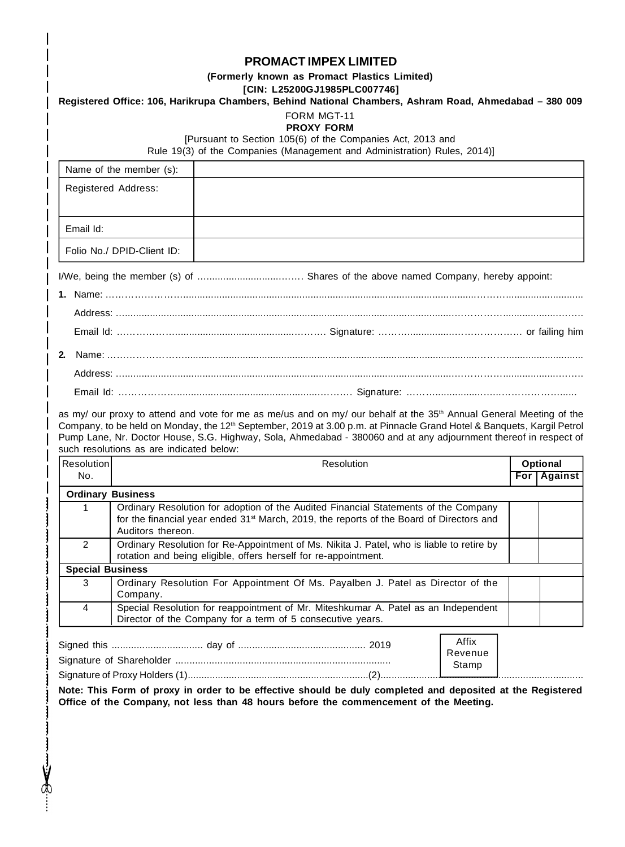| Name of the member (s): |                                          |                                                                                                                                                                                                                                                                                                                                                                                           |       |          |
|-------------------------|------------------------------------------|-------------------------------------------------------------------------------------------------------------------------------------------------------------------------------------------------------------------------------------------------------------------------------------------------------------------------------------------------------------------------------------------|-------|----------|
|                         | Registered Address:                      |                                                                                                                                                                                                                                                                                                                                                                                           |       |          |
|                         |                                          |                                                                                                                                                                                                                                                                                                                                                                                           |       |          |
| Email Id:               |                                          |                                                                                                                                                                                                                                                                                                                                                                                           |       |          |
|                         | Folio No./ DPID-Client ID:               |                                                                                                                                                                                                                                                                                                                                                                                           |       |          |
|                         |                                          |                                                                                                                                                                                                                                                                                                                                                                                           |       |          |
|                         |                                          |                                                                                                                                                                                                                                                                                                                                                                                           |       |          |
|                         |                                          |                                                                                                                                                                                                                                                                                                                                                                                           |       |          |
|                         |                                          |                                                                                                                                                                                                                                                                                                                                                                                           |       |          |
|                         |                                          |                                                                                                                                                                                                                                                                                                                                                                                           |       |          |
|                         |                                          |                                                                                                                                                                                                                                                                                                                                                                                           |       |          |
|                         |                                          |                                                                                                                                                                                                                                                                                                                                                                                           |       |          |
|                         | such resolutions as are indicated below: | as my/ our proxy to attend and vote for me as me/us and on my/ our behalf at the 35 <sup>th</sup> Annual General Meeting of the<br>Company, to be held on Monday, the 12 <sup>th</sup> September, 2019 at 3.00 p.m. at Pinnacle Grand Hotel & Banquets, Kargil Petrol<br>Pump Lane, Nr. Doctor House, S.G. Highway, Sola, Ahmedabad - 380060 and at any adjournment thereof in respect of |       |          |
| Resolution              |                                          | Resolution                                                                                                                                                                                                                                                                                                                                                                                |       | Optional |
| No.                     |                                          |                                                                                                                                                                                                                                                                                                                                                                                           | For I |          |
| 1                       | <b>Ordinary Business</b>                 |                                                                                                                                                                                                                                                                                                                                                                                           |       |          |
|                         | Auditors thereon.                        | Ordinary Resolution for adoption of the Audited Financial Statements of the Company<br>for the financial year ended 31 <sup>st</sup> March, 2019, the reports of the Board of Directors and                                                                                                                                                                                               |       | Against  |
| 2                       |                                          | Ordinary Resolution for Re-Appointment of Ms. Nikita J. Patel, who is liable to retire by<br>rotation and being eligible, offers herself for re-appointment.                                                                                                                                                                                                                              |       |          |
| <b>Special Business</b> |                                          |                                                                                                                                                                                                                                                                                                                                                                                           |       |          |
| 3                       | Company.                                 | Ordinary Resolution For Appointment Of Ms. Payalben J. Patel as Director of the                                                                                                                                                                                                                                                                                                           |       |          |
| 4                       |                                          | Special Resolution for reappointment of Mr. Miteshkumar A. Patel as an Independent<br>Director of the Company for a term of 5 consecutive years.                                                                                                                                                                                                                                          |       |          |
|                         |                                          | Affix                                                                                                                                                                                                                                                                                                                                                                                     |       |          |
|                         |                                          | Revenue<br>Stamp                                                                                                                                                                                                                                                                                                                                                                          |       |          |

I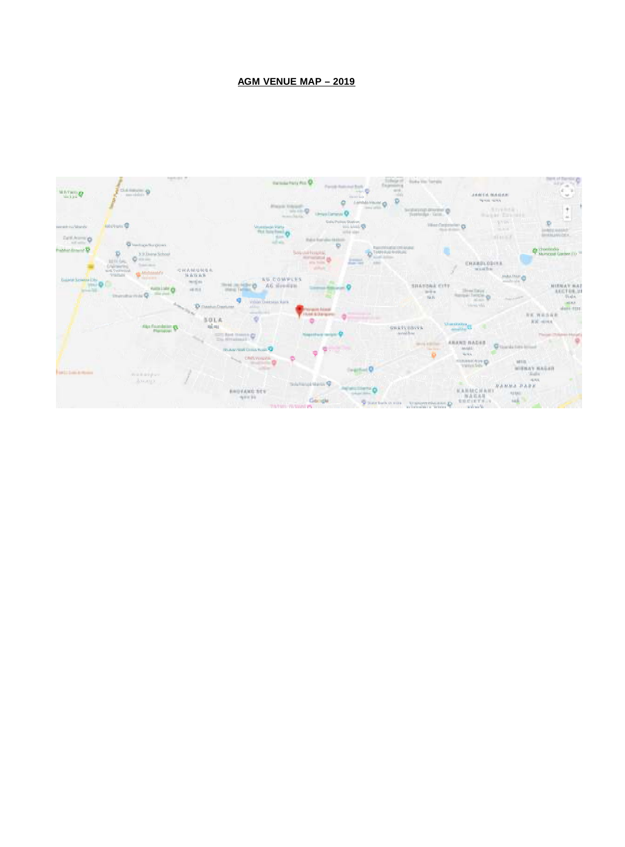#### **AGM VENUE MAP – 2019**

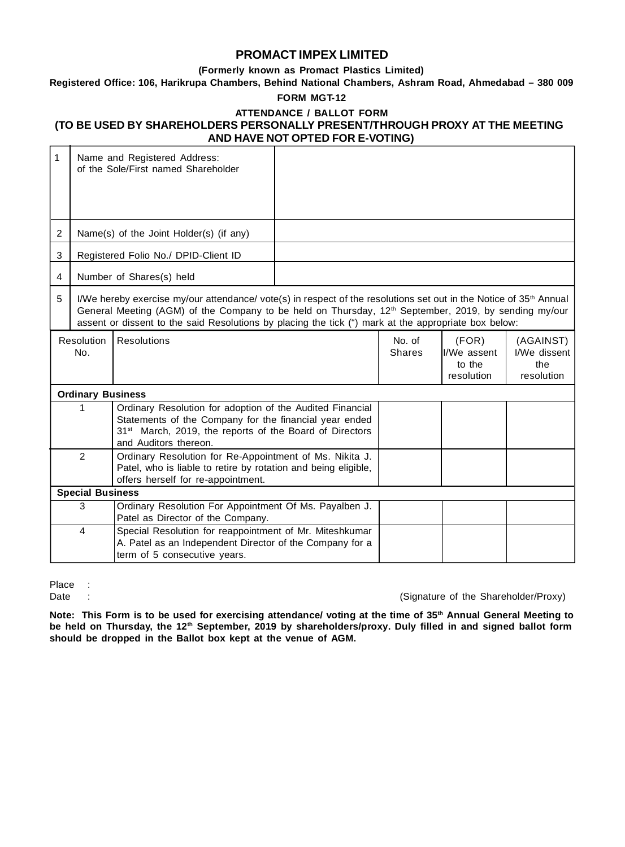# **PROMACT IMPEX LIMITED**

#### **(Formerly known as Promact Plastics Limited)**

**Registered Office: 106, Harikrupa Chambers, Behind National Chambers, Ashram Road, Ahmedabad – 380 009**

#### **FORM MGT-12**

#### **ATTENDANCE / BALLOT FORM (TO BE USED BY SHAREHOLDERS PERSONALLY PRESENT/THROUGH PROXY AT THE MEETING AND HAVE NOT OPTED FOR E-VOTING)**

| $\mathbf{1}$                                                                                                                                                                                                             |                                                                                                                                                                                               | Name and Registered Address:<br>of the Sole/First named Shareholder                                                                                                                                                                                                                                                                                        |                                              |                                                |  |
|--------------------------------------------------------------------------------------------------------------------------------------------------------------------------------------------------------------------------|-----------------------------------------------------------------------------------------------------------------------------------------------------------------------------------------------|------------------------------------------------------------------------------------------------------------------------------------------------------------------------------------------------------------------------------------------------------------------------------------------------------------------------------------------------------------|----------------------------------------------|------------------------------------------------|--|
| 2                                                                                                                                                                                                                        |                                                                                                                                                                                               | Name(s) of the Joint Holder(s) (if any)                                                                                                                                                                                                                                                                                                                    |                                              |                                                |  |
| 3                                                                                                                                                                                                                        |                                                                                                                                                                                               | Registered Folio No./ DPID-Client ID                                                                                                                                                                                                                                                                                                                       |                                              |                                                |  |
| 4                                                                                                                                                                                                                        |                                                                                                                                                                                               | Number of Shares(s) held                                                                                                                                                                                                                                                                                                                                   |                                              |                                                |  |
| 5                                                                                                                                                                                                                        |                                                                                                                                                                                               | I/We hereby exercise my/our attendance/ vote(s) in respect of the resolutions set out in the Notice of 35 <sup>th</sup> Annual<br>General Meeting (AGM) of the Company to be held on Thursday, 12 <sup>th</sup> September, 2019, by sending my/our<br>assent or dissent to the said Resolutions by placing the tick (") mark at the appropriate box below: |                                              |                                                |  |
| Resolution<br>Resolutions<br>No.                                                                                                                                                                                         |                                                                                                                                                                                               | No. of<br><b>Shares</b>                                                                                                                                                                                                                                                                                                                                    | (FOR)<br>I/We assent<br>to the<br>resolution | (AGAINST)<br>I/We dissent<br>the<br>resolution |  |
|                                                                                                                                                                                                                          | <b>Ordinary Business</b>                                                                                                                                                                      |                                                                                                                                                                                                                                                                                                                                                            |                                              |                                                |  |
| Ordinary Resolution for adoption of the Audited Financial<br>1<br>Statements of the Company for the financial year ended<br>31 <sup>st</sup> March, 2019, the reports of the Board of Directors<br>and Auditors thereon. |                                                                                                                                                                                               |                                                                                                                                                                                                                                                                                                                                                            |                                              |                                                |  |
|                                                                                                                                                                                                                          | $\mathfrak{p}$<br>Ordinary Resolution for Re-Appointment of Ms. Nikita J.<br>Patel, who is liable to retire by rotation and being eligible,<br>offers herself for re-appointment.             |                                                                                                                                                                                                                                                                                                                                                            |                                              |                                                |  |
|                                                                                                                                                                                                                          | <b>Special Business</b>                                                                                                                                                                       |                                                                                                                                                                                                                                                                                                                                                            |                                              |                                                |  |
|                                                                                                                                                                                                                          | 3                                                                                                                                                                                             | Ordinary Resolution For Appointment Of Ms. Payalben J.                                                                                                                                                                                                                                                                                                     |                                              |                                                |  |
|                                                                                                                                                                                                                          | Patel as Director of the Company.<br>Special Resolution for reappointment of Mr. Miteshkumar<br>4<br>A. Patel as an Independent Director of the Company for a<br>term of 5 consecutive years. |                                                                                                                                                                                                                                                                                                                                                            |                                              |                                                |  |

Place :<br>Date :

Date : (Signature of the Shareholder/Proxy)

**Not th e: This Form is to be used for exercising attendance/ voting at the time of 35 Annual General Meeting to th be held on Thursday, the 12 September, 2019 by shareholders/proxy. Duly filled in and signed ballot form should be dropped in the Ballot box kept at the venue of AGM.**